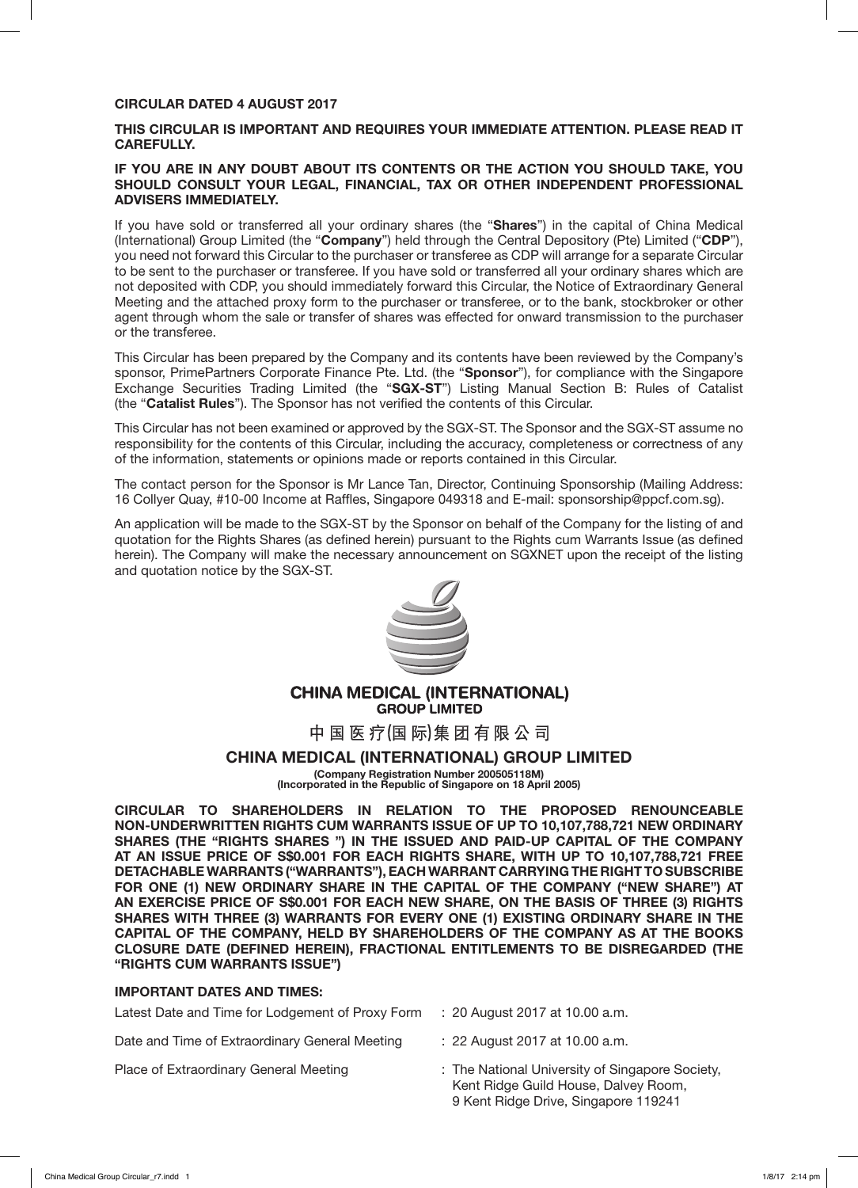#### CIRCULAR DATED 4 AUGUST 2017

#### THIS CIRCULAR IS IMPORTANT AND REQUIRES YOUR IMMEDIATE ATTENTION. PLEASE READ IT CAREFULLY.

#### IF YOU ARE IN ANY DOUBT ABOUT ITS CONTENTS OR THE ACTION YOU SHOULD TAKE, YOU SHOULD CONSULT YOUR LEGAL, FINANCIAL, TAX OR OTHER INDEPENDENT PROFESSIONAL ADVISERS IMMEDIATELY.

If you have sold or transferred all your ordinary shares (the "Shares") in the capital of China Medical (International) Group Limited (the "Company") held through the Central Depository (Pte) Limited ("CDP"), you need not forward this Circular to the purchaser or transferee as CDP will arrange for a separate Circular to be sent to the purchaser or transferee. If you have sold or transferred all your ordinary shares which are not deposited with CDP, you should immediately forward this Circular, the Notice of Extraordinary General Meeting and the attached proxy form to the purchaser or transferee, or to the bank, stockbroker or other agent through whom the sale or transfer of shares was effected for onward transmission to the purchaser or the transferee.

This Circular has been prepared by the Company and its contents have been reviewed by the Company's sponsor, PrimePartners Corporate Finance Pte. Ltd. (the "Sponsor"), for compliance with the Singapore Exchange Securities Trading Limited (the "SGX-ST") Listing Manual Section B: Rules of Catalist (the "Catalist Rules"). The Sponsor has not verified the contents of this Circular.

This Circular has not been examined or approved by the SGX-ST. The Sponsor and the SGX-ST assume no responsibility for the contents of this Circular, including the accuracy, completeness or correctness of any of the information, statements or opinions made or reports contained in this Circular.

The contact person for the Sponsor is Mr Lance Tan, Director, Continuing Sponsorship (Mailing Address: 16 Collyer Quay, #10-00 Income at Raffles, Singapore 049318 and E-mail: sponsorship@ppcf.com.sg).

An application will be made to the SGX-ST by the Sponsor on behalf of the Company for the listing of and quotation for the Rights Shares (as defined herein) pursuant to the Rights cum Warrants Issue (as defined herein). The Company will make the necessary announcement on SGXNET upon the receipt of the listing and quotation notice by the SGX-ST.



## **CHINA MEDICAL (INTERNATIONAL) GROUP LIMITED**

## 中国医疗(国际)集团有限公司

#### CHINA MEDICAL (INTERNATIONAL) GROUP LIMITED

(Company Registration Number 200505118M) (Incorporated in the Republic of Singapore on 18 April 2005)

CIRCULAR TO SHAREHOLDERS IN RELATION TO THE PROPOSED RENOUNCEABLE NON-UNDERWRITTEN RIGHTS CUM WARRANTS ISSUE OF UP TO 10,107,788,721 NEW ORDINARY SHARES (THE "RIGHTS SHARES ") IN THE ISSUED AND PAID-UP CAPITAL OF THE COMPANY AT AN ISSUE PRICE OF S\$0.001 FOR EACH RIGHTS SHARE, WITH UP TO 10,107,788,721 FREE DETACHABLE WARRANTS ("WARRANTS"), EACH WARRANT CARRYING THE RIGHT TO SUBSCRIBE FOR ONE (1) NEW ORDINARY SHARE IN THE CAPITAL OF THE COMPANY ("NEW SHARE") AT AN EXERCISE PRICE OF S\$0.001 FOR EACH NEW SHARE, ON THE BASIS OF THREE (3) RIGHTS SHARES WITH THREE (3) WARRANTS FOR EVERY ONE (1) EXISTING ORDINARY SHARE IN THE CAPITAL OF THE COMPANY, HELD BY SHAREHOLDERS OF THE COMPANY AS AT THE BOOKS CLOSURE DATE (DEFINED HEREIN), FRACTIONAL ENTITLEMENTS TO BE DISREGARDED (THE "RIGHTS CUM WARRANTS ISSUE")

#### IMPORTANT DATES AND TIMES:

| Latest Date and Time for Lodgement of Proxy Form | : 20 August 2017 at 10.00 a.m.                                                                                                  |
|--------------------------------------------------|---------------------------------------------------------------------------------------------------------------------------------|
| Date and Time of Extraordinary General Meeting   | : 22 August 2017 at 10.00 a.m.                                                                                                  |
| Place of Extraordinary General Meeting           | : The National University of Singapore Society,<br>Kent Ridge Guild House, Dalvey Room,<br>9 Kent Ridge Drive, Singapore 119241 |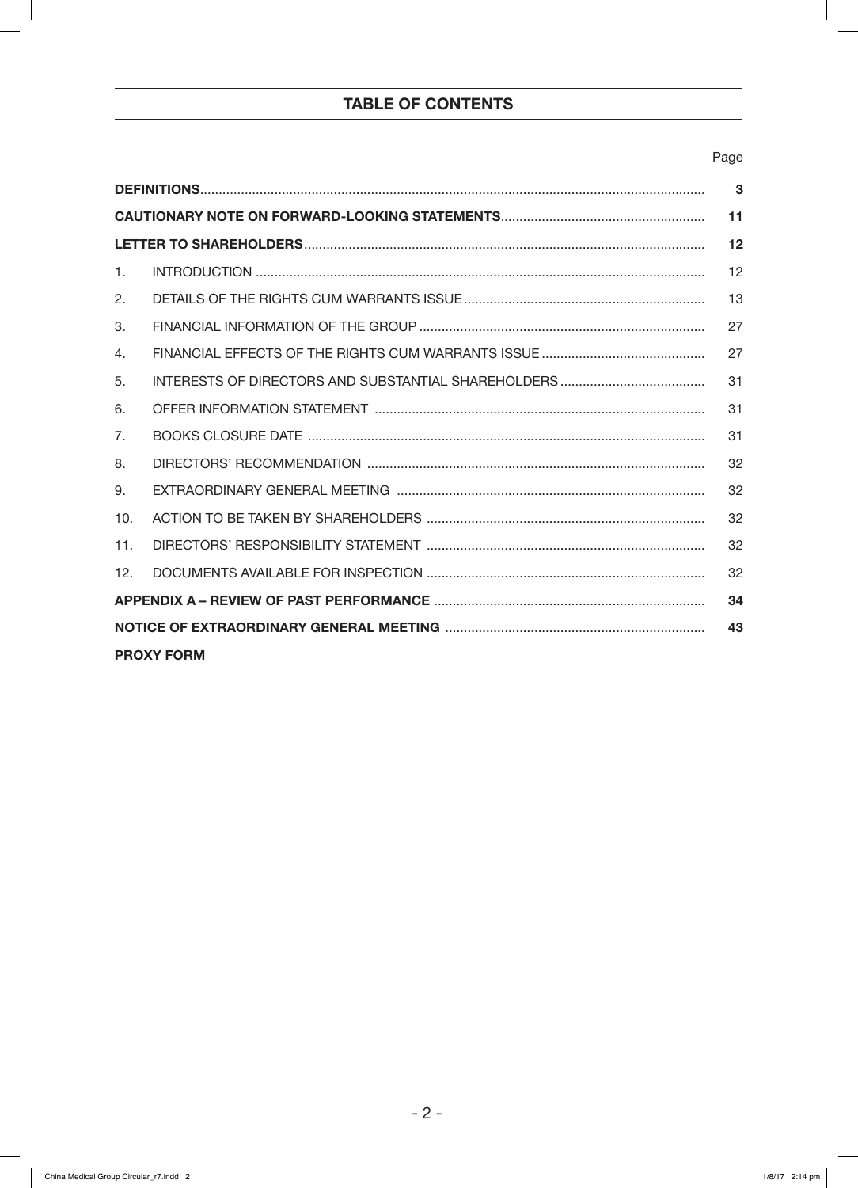# TABLE OF CONTENTS

## Page

|                   |  | 3  |  |  |
|-------------------|--|----|--|--|
|                   |  | 11 |  |  |
|                   |  | 12 |  |  |
| 1.                |  | 12 |  |  |
| 2.                |  | 13 |  |  |
| 3.                |  | 27 |  |  |
| 4.                |  | 27 |  |  |
| 5.                |  | 31 |  |  |
| 6.                |  | 31 |  |  |
| 7.                |  | 31 |  |  |
| 8.                |  | 32 |  |  |
| 9.                |  | 32 |  |  |
| 10.               |  | 32 |  |  |
| 11.               |  | 32 |  |  |
| 12.               |  | 32 |  |  |
|                   |  | 34 |  |  |
| 43                |  |    |  |  |
| <b>PROXY FORM</b> |  |    |  |  |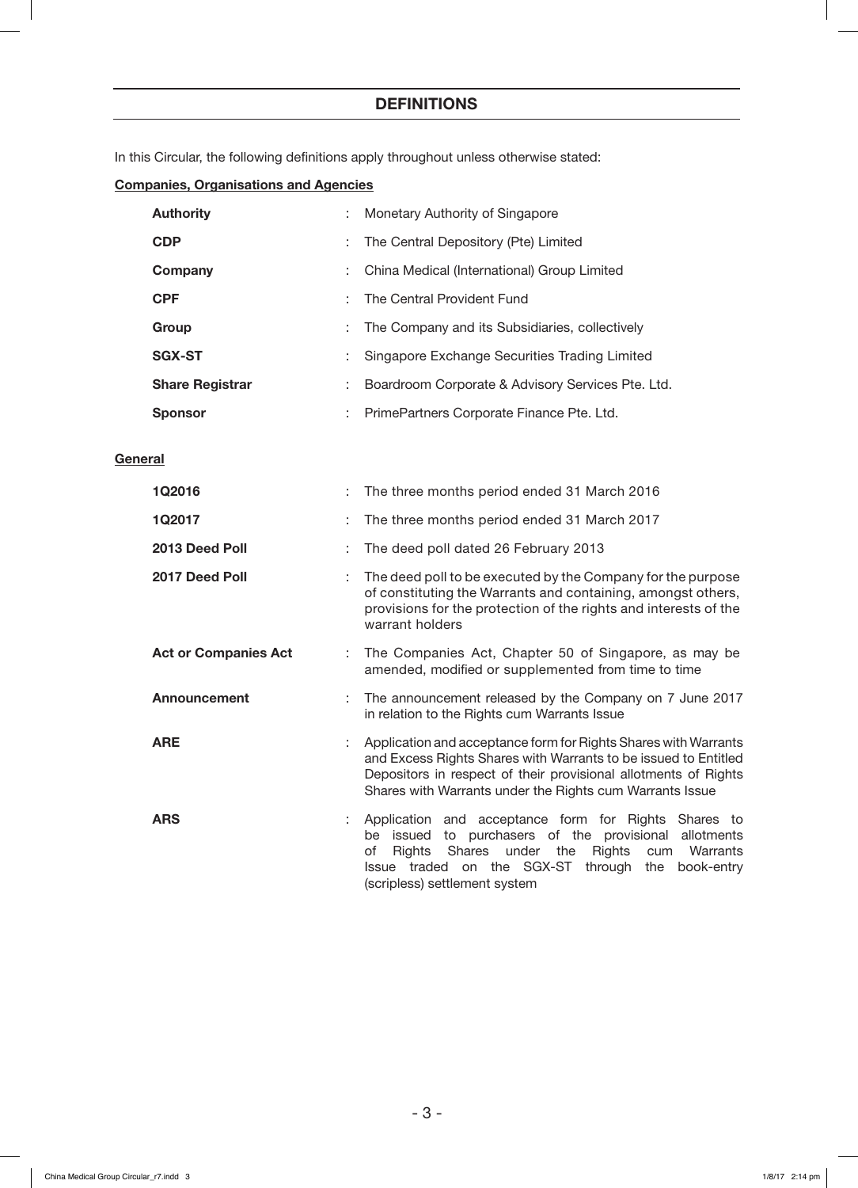In this Circular, the following definitions apply throughout unless otherwise stated:

## Companies, Organisations and Agencies

| <b>Authority</b>       | t. | Monetary Authority of Singapore                   |
|------------------------|----|---------------------------------------------------|
| <b>CDP</b>             |    | The Central Depository (Pte) Limited              |
| Company                |    | China Medical (International) Group Limited       |
| <b>CPF</b>             | ÷  | The Central Provident Fund                        |
| Group                  |    | The Company and its Subsidiaries, collectively    |
| <b>SGX-ST</b>          | ÷  | Singapore Exchange Securities Trading Limited     |
| <b>Share Registrar</b> |    | Boardroom Corporate & Advisory Services Pte. Ltd. |
| <b>Sponsor</b>         | ÷  | PrimePartners Corporate Finance Pte. Ltd.         |

#### **General**

| 1Q2016                      | : The three months period ended 31 March 2016                                                                                                                                                                                                                     |
|-----------------------------|-------------------------------------------------------------------------------------------------------------------------------------------------------------------------------------------------------------------------------------------------------------------|
| 1Q2017                      | : The three months period ended 31 March 2017                                                                                                                                                                                                                     |
| 2013 Deed Poll              | The deed poll dated 26 February 2013                                                                                                                                                                                                                              |
| 2017 Deed Poll              | : The deed poll to be executed by the Company for the purpose<br>of constituting the Warrants and containing, amongst others,<br>provisions for the protection of the rights and interests of the<br>warrant holders                                              |
| <b>Act or Companies Act</b> | : The Companies Act, Chapter 50 of Singapore, as may be<br>amended, modified or supplemented from time to time                                                                                                                                                    |
| Announcement                | : The announcement released by the Company on 7 June 2017<br>in relation to the Rights cum Warrants Issue                                                                                                                                                         |
| <b>ARE</b>                  | Application and acceptance form for Rights Shares with Warrants<br>and Excess Rights Shares with Warrants to be issued to Entitled<br>Depositors in respect of their provisional allotments of Rights<br>Shares with Warrants under the Rights cum Warrants Issue |
| <b>ARS</b>                  | Application and acceptance form for Rights Shares to<br>be issued to purchasers of the provisional allotments<br>Rights Shares under the Rights cum Warrants<br>of<br>Issue traded on the SGX-ST through the book-entry<br>(scripless) settlement system          |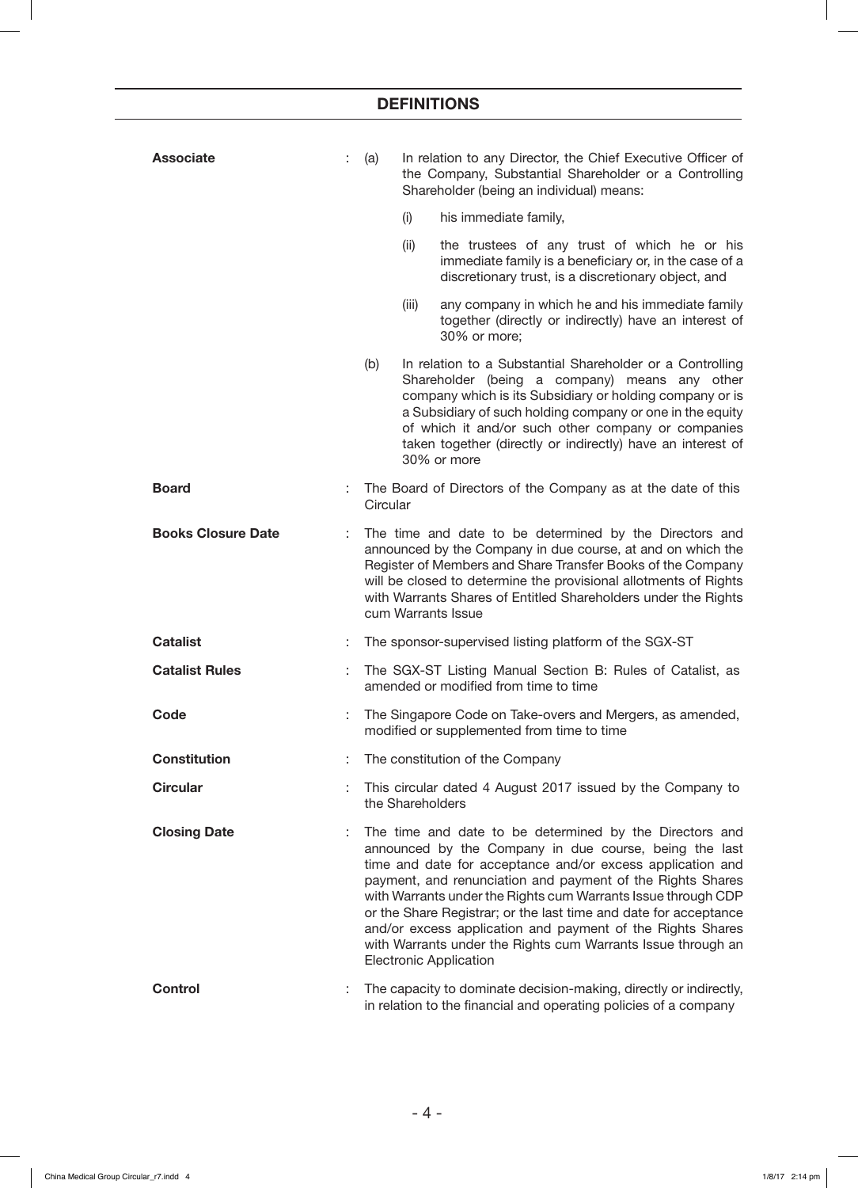| <b>Associate</b>          |    | $(a)$ :  | In relation to any Director, the Chief Executive Officer of<br>the Company, Substantial Shareholder or a Controlling<br>Shareholder (being an individual) means:                                                                                                                                                                                                                                                                                                                                                                                  |
|---------------------------|----|----------|---------------------------------------------------------------------------------------------------------------------------------------------------------------------------------------------------------------------------------------------------------------------------------------------------------------------------------------------------------------------------------------------------------------------------------------------------------------------------------------------------------------------------------------------------|
|                           |    |          | (i)<br>his immediate family,                                                                                                                                                                                                                                                                                                                                                                                                                                                                                                                      |
|                           |    |          | (ii)<br>the trustees of any trust of which he or his<br>immediate family is a beneficiary or, in the case of a<br>discretionary trust, is a discretionary object, and                                                                                                                                                                                                                                                                                                                                                                             |
|                           |    |          | (iii)<br>any company in which he and his immediate family<br>together (directly or indirectly) have an interest of<br>30% or more;                                                                                                                                                                                                                                                                                                                                                                                                                |
|                           |    | (b)      | In relation to a Substantial Shareholder or a Controlling<br>Shareholder (being a company) means any other<br>company which is its Subsidiary or holding company or is<br>a Subsidiary of such holding company or one in the equity<br>of which it and/or such other company or companies<br>taken together (directly or indirectly) have an interest of<br>30% or more                                                                                                                                                                           |
| <b>Board</b>              |    | Circular | : The Board of Directors of the Company as at the date of this                                                                                                                                                                                                                                                                                                                                                                                                                                                                                    |
| <b>Books Closure Date</b> |    |          | The time and date to be determined by the Directors and<br>announced by the Company in due course, at and on which the<br>Register of Members and Share Transfer Books of the Company<br>will be closed to determine the provisional allotments of Rights<br>with Warrants Shares of Entitled Shareholders under the Rights<br>cum Warrants Issue                                                                                                                                                                                                 |
| <b>Catalist</b>           | ÷. |          | The sponsor-supervised listing platform of the SGX-ST                                                                                                                                                                                                                                                                                                                                                                                                                                                                                             |
| <b>Catalist Rules</b>     |    |          | The SGX-ST Listing Manual Section B: Rules of Catalist, as<br>amended or modified from time to time                                                                                                                                                                                                                                                                                                                                                                                                                                               |
| Code                      |    |          | The Singapore Code on Take-overs and Mergers, as amended,<br>modified or supplemented from time to time                                                                                                                                                                                                                                                                                                                                                                                                                                           |
| <b>Constitution</b>       |    |          | The constitution of the Company                                                                                                                                                                                                                                                                                                                                                                                                                                                                                                                   |
| <b>Circular</b>           |    |          | This circular dated 4 August 2017 issued by the Company to<br>the Shareholders                                                                                                                                                                                                                                                                                                                                                                                                                                                                    |
| <b>Closing Date</b>       |    |          | The time and date to be determined by the Directors and<br>announced by the Company in due course, being the last<br>time and date for acceptance and/or excess application and<br>payment, and renunciation and payment of the Rights Shares<br>with Warrants under the Rights cum Warrants Issue through CDP<br>or the Share Registrar; or the last time and date for acceptance<br>and/or excess application and payment of the Rights Shares<br>with Warrants under the Rights cum Warrants Issue through an<br><b>Electronic Application</b> |
| <b>Control</b>            |    |          | The capacity to dominate decision-making, directly or indirectly,<br>in relation to the financial and operating policies of a company                                                                                                                                                                                                                                                                                                                                                                                                             |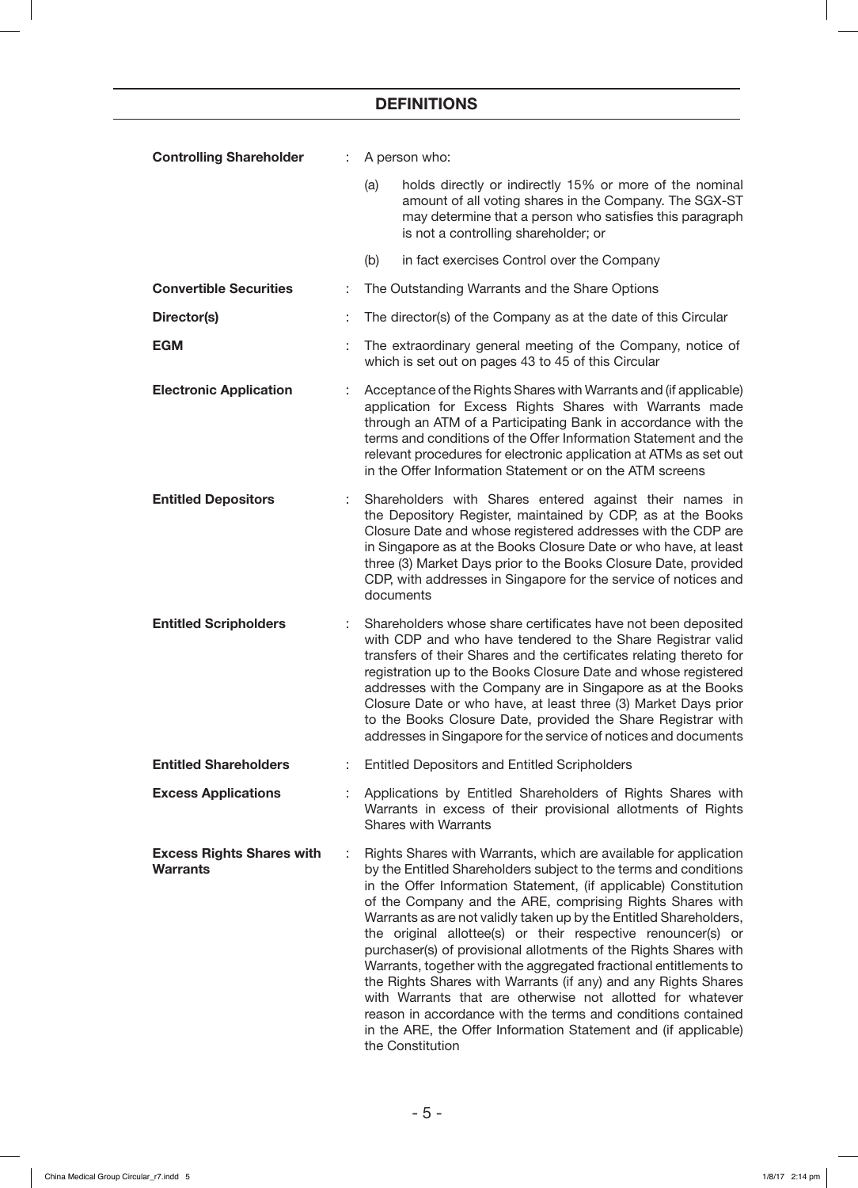| <b>Controlling Shareholder</b>                      | ÷. | A person who:                                                                                                                                                                                                                                                                                                                                                                                                                                                                                                                                                                                                                                                                                                                                                                                                                               |
|-----------------------------------------------------|----|---------------------------------------------------------------------------------------------------------------------------------------------------------------------------------------------------------------------------------------------------------------------------------------------------------------------------------------------------------------------------------------------------------------------------------------------------------------------------------------------------------------------------------------------------------------------------------------------------------------------------------------------------------------------------------------------------------------------------------------------------------------------------------------------------------------------------------------------|
|                                                     |    | (a)<br>holds directly or indirectly 15% or more of the nominal<br>amount of all voting shares in the Company. The SGX-ST<br>may determine that a person who satisfies this paragraph<br>is not a controlling shareholder; or                                                                                                                                                                                                                                                                                                                                                                                                                                                                                                                                                                                                                |
|                                                     |    | (b)<br>in fact exercises Control over the Company                                                                                                                                                                                                                                                                                                                                                                                                                                                                                                                                                                                                                                                                                                                                                                                           |
| <b>Convertible Securities</b>                       |    | The Outstanding Warrants and the Share Options                                                                                                                                                                                                                                                                                                                                                                                                                                                                                                                                                                                                                                                                                                                                                                                              |
| Director(s)                                         |    | The director(s) of the Company as at the date of this Circular                                                                                                                                                                                                                                                                                                                                                                                                                                                                                                                                                                                                                                                                                                                                                                              |
| <b>EGM</b>                                          |    | The extraordinary general meeting of the Company, notice of<br>which is set out on pages 43 to 45 of this Circular                                                                                                                                                                                                                                                                                                                                                                                                                                                                                                                                                                                                                                                                                                                          |
| <b>Electronic Application</b>                       |    | Acceptance of the Rights Shares with Warrants and (if applicable)<br>application for Excess Rights Shares with Warrants made<br>through an ATM of a Participating Bank in accordance with the<br>terms and conditions of the Offer Information Statement and the<br>relevant procedures for electronic application at ATMs as set out<br>in the Offer Information Statement or on the ATM screens                                                                                                                                                                                                                                                                                                                                                                                                                                           |
| <b>Entitled Depositors</b>                          |    | Shareholders with Shares entered against their names in<br>the Depository Register, maintained by CDP, as at the Books<br>Closure Date and whose registered addresses with the CDP are<br>in Singapore as at the Books Closure Date or who have, at least<br>three (3) Market Days prior to the Books Closure Date, provided<br>CDP, with addresses in Singapore for the service of notices and<br>documents                                                                                                                                                                                                                                                                                                                                                                                                                                |
| <b>Entitled Scripholders</b>                        |    | Shareholders whose share certificates have not been deposited<br>with CDP and who have tendered to the Share Registrar valid<br>transfers of their Shares and the certificates relating thereto for<br>registration up to the Books Closure Date and whose registered<br>addresses with the Company are in Singapore as at the Books<br>Closure Date or who have, at least three (3) Market Days prior<br>to the Books Closure Date, provided the Share Registrar with<br>addresses in Singapore for the service of notices and documents                                                                                                                                                                                                                                                                                                   |
| <b>Entitled Shareholders</b>                        | ÷  | <b>Entitled Depositors and Entitled Scripholders</b>                                                                                                                                                                                                                                                                                                                                                                                                                                                                                                                                                                                                                                                                                                                                                                                        |
| <b>Excess Applications</b>                          |    | Applications by Entitled Shareholders of Rights Shares with<br>Warrants in excess of their provisional allotments of Rights<br><b>Shares with Warrants</b>                                                                                                                                                                                                                                                                                                                                                                                                                                                                                                                                                                                                                                                                                  |
| <b>Excess Rights Shares with</b><br><b>Warrants</b> | ÷  | Rights Shares with Warrants, which are available for application<br>by the Entitled Shareholders subject to the terms and conditions<br>in the Offer Information Statement, (if applicable) Constitution<br>of the Company and the ARE, comprising Rights Shares with<br>Warrants as are not validly taken up by the Entitled Shareholders,<br>the original allottee(s) or their respective renouncer(s) or<br>purchaser(s) of provisional allotments of the Rights Shares with<br>Warrants, together with the aggregated fractional entitlements to<br>the Rights Shares with Warrants (if any) and any Rights Shares<br>with Warrants that are otherwise not allotted for whatever<br>reason in accordance with the terms and conditions contained<br>in the ARE, the Offer Information Statement and (if applicable)<br>the Constitution |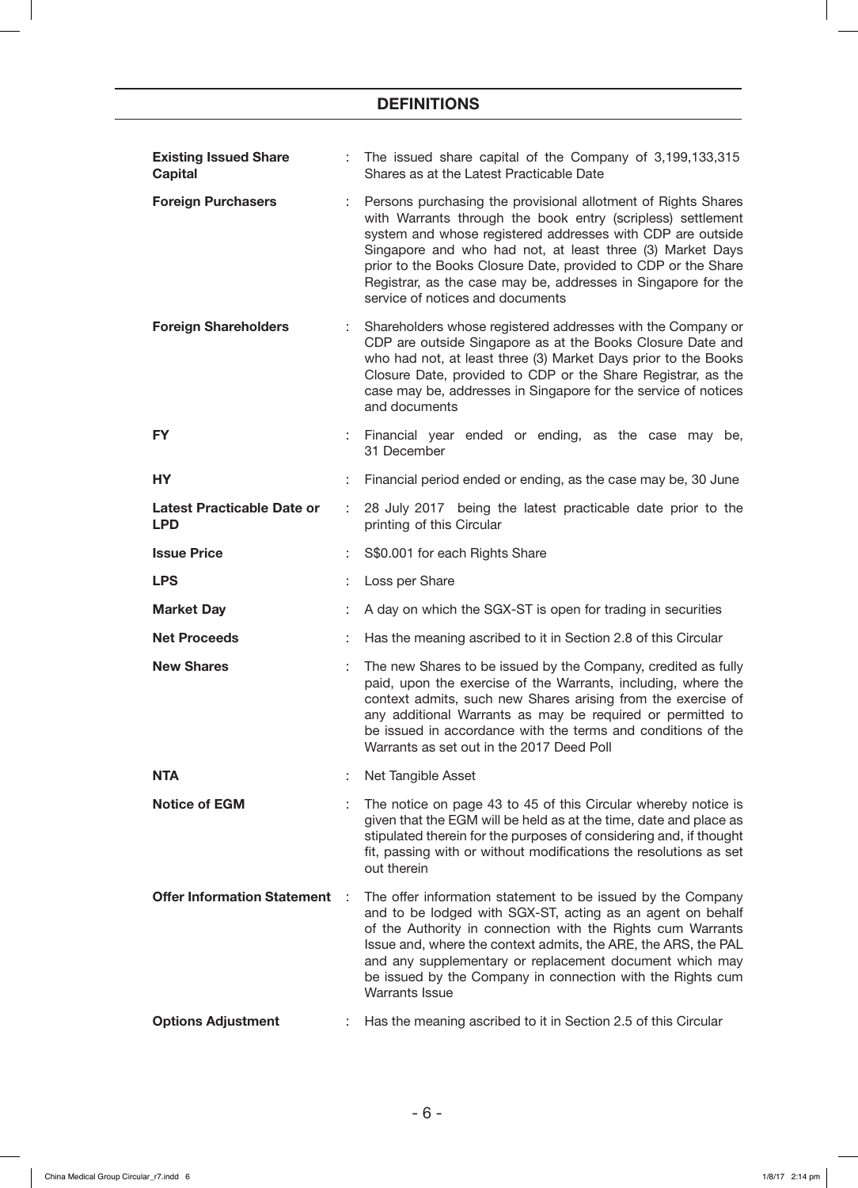| <b>Existing Issued Share</b><br><b>Capital</b>  |    | : The issued share capital of the Company of 3,199,133,315<br>Shares as at the Latest Practicable Date                                                                                                                                                                                                                                                                                                                        |
|-------------------------------------------------|----|-------------------------------------------------------------------------------------------------------------------------------------------------------------------------------------------------------------------------------------------------------------------------------------------------------------------------------------------------------------------------------------------------------------------------------|
| <b>Foreign Purchasers</b>                       |    | Persons purchasing the provisional allotment of Rights Shares<br>with Warrants through the book entry (scripless) settlement<br>system and whose registered addresses with CDP are outside<br>Singapore and who had not, at least three (3) Market Days<br>prior to the Books Closure Date, provided to CDP or the Share<br>Registrar, as the case may be, addresses in Singapore for the<br>service of notices and documents |
| <b>Foreign Shareholders</b>                     |    | Shareholders whose registered addresses with the Company or<br>CDP are outside Singapore as at the Books Closure Date and<br>who had not, at least three (3) Market Days prior to the Books<br>Closure Date, provided to CDP or the Share Registrar, as the<br>case may be, addresses in Singapore for the service of notices<br>and documents                                                                                |
| <b>FY</b>                                       | ÷. | Financial year ended or ending, as the case may be,<br>31 December                                                                                                                                                                                                                                                                                                                                                            |
| HY                                              |    | Financial period ended or ending, as the case may be, 30 June                                                                                                                                                                                                                                                                                                                                                                 |
| <b>Latest Practicable Date or</b><br><b>LPD</b> | t. | 28 July 2017 being the latest practicable date prior to the<br>printing of this Circular                                                                                                                                                                                                                                                                                                                                      |
| <b>Issue Price</b>                              |    | S\$0.001 for each Rights Share                                                                                                                                                                                                                                                                                                                                                                                                |
| <b>LPS</b>                                      | ÷. | Loss per Share                                                                                                                                                                                                                                                                                                                                                                                                                |
| <b>Market Day</b>                               |    | A day on which the SGX-ST is open for trading in securities                                                                                                                                                                                                                                                                                                                                                                   |
| <b>Net Proceeds</b>                             |    | Has the meaning ascribed to it in Section 2.8 of this Circular                                                                                                                                                                                                                                                                                                                                                                |
| <b>New Shares</b>                               |    | The new Shares to be issued by the Company, credited as fully<br>paid, upon the exercise of the Warrants, including, where the<br>context admits, such new Shares arising from the exercise of<br>any additional Warrants as may be required or permitted to<br>be issued in accordance with the terms and conditions of the<br>Warrants as set out in the 2017 Deed Poll                                                     |
| NTA                                             |    | Net Tangible Asset                                                                                                                                                                                                                                                                                                                                                                                                            |
| <b>Notice of EGM</b>                            |    | The notice on page 43 to 45 of this Circular whereby notice is<br>given that the EGM will be held as at the time, date and place as<br>stipulated therein for the purposes of considering and, if thought<br>fit, passing with or without modifications the resolutions as set<br>out therein                                                                                                                                 |
| <b>Offer Information Statement</b>              |    | The offer information statement to be issued by the Company<br>and to be lodged with SGX-ST, acting as an agent on behalf<br>of the Authority in connection with the Rights cum Warrants<br>Issue and, where the context admits, the ARE, the ARS, the PAL<br>and any supplementary or replacement document which may<br>be issued by the Company in connection with the Rights cum<br><b>Warrants Issue</b>                  |
| <b>Options Adjustment</b>                       |    | Has the meaning ascribed to it in Section 2.5 of this Circular                                                                                                                                                                                                                                                                                                                                                                |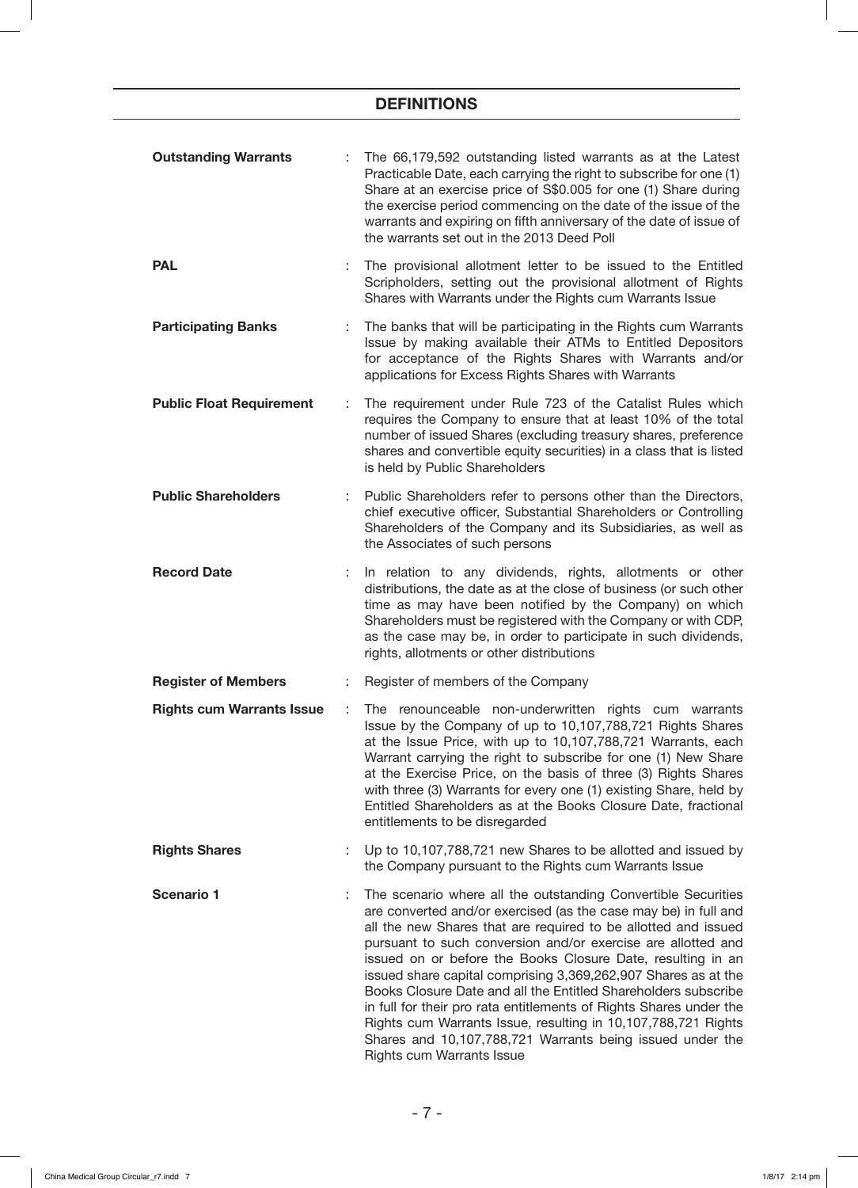| <b>Outstanding Warrants</b>           | The 66,179,592 outstanding listed warrants as at the Latest<br>Practicable Date, each carrying the right to subscribe for one (1)<br>Share at an exercise price of S\$0.005 for one (1) Share during<br>the exercise period commencing on the date of the issue of the<br>warrants and expiring on fifth anniversary of the date of issue of<br>the warrants set out in the 2013 Deed Poll                                                                                                                                                                                                                                                                                                             |
|---------------------------------------|--------------------------------------------------------------------------------------------------------------------------------------------------------------------------------------------------------------------------------------------------------------------------------------------------------------------------------------------------------------------------------------------------------------------------------------------------------------------------------------------------------------------------------------------------------------------------------------------------------------------------------------------------------------------------------------------------------|
| <b>PAL</b>                            | The provisional allotment letter to be issued to the Entitled<br>Scripholders, setting out the provisional allotment of Rights<br>Shares with Warrants under the Rights cum Warrants Issue                                                                                                                                                                                                                                                                                                                                                                                                                                                                                                             |
| <b>Participating Banks</b>            | The banks that will be participating in the Rights cum Warrants<br>Issue by making available their ATMs to Entitled Depositors<br>for acceptance of the Rights Shares with Warrants and/or<br>applications for Excess Rights Shares with Warrants                                                                                                                                                                                                                                                                                                                                                                                                                                                      |
| <b>Public Float Requirement</b>       | The requirement under Rule 723 of the Catalist Rules which<br>requires the Company to ensure that at least 10% of the total<br>number of issued Shares (excluding treasury shares, preference<br>shares and convertible equity securities) in a class that is listed<br>is held by Public Shareholders                                                                                                                                                                                                                                                                                                                                                                                                 |
| <b>Public Shareholders</b>            | Public Shareholders refer to persons other than the Directors,<br>chief executive officer, Substantial Shareholders or Controlling<br>Shareholders of the Company and its Subsidiaries, as well as<br>the Associates of such persons                                                                                                                                                                                                                                                                                                                                                                                                                                                                   |
| <b>Record Date</b>                    | In relation to any dividends, rights, allotments or other<br>distributions, the date as at the close of business (or such other<br>time as may have been notified by the Company) on which<br>Shareholders must be registered with the Company or with CDP,<br>as the case may be, in order to participate in such dividends,<br>rights, allotments or other distributions                                                                                                                                                                                                                                                                                                                             |
| <b>Register of Members</b>            | Register of members of the Company                                                                                                                                                                                                                                                                                                                                                                                                                                                                                                                                                                                                                                                                     |
| <b>Rights cum Warrants Issue</b><br>÷ | The renounceable non-underwritten rights cum warrants<br>Issue by the Company of up to 10,107,788,721 Rights Shares<br>at the Issue Price, with up to 10,107,788,721 Warrants, each<br>Warrant carrying the right to subscribe for one (1) New Share<br>at the Exercise Price, on the basis of three (3) Rights Shares<br>with three (3) Warrants for every one (1) existing Share, held by<br>Entitled Shareholders as at the Books Closure Date, fractional<br>entitlements to be disregarded                                                                                                                                                                                                        |
| <b>Rights Shares</b>                  | Up to 10,107,788,721 new Shares to be allotted and issued by<br>the Company pursuant to the Rights cum Warrants Issue                                                                                                                                                                                                                                                                                                                                                                                                                                                                                                                                                                                  |
| <b>Scenario 1</b>                     | The scenario where all the outstanding Convertible Securities<br>are converted and/or exercised (as the case may be) in full and<br>all the new Shares that are required to be allotted and issued<br>pursuant to such conversion and/or exercise are allotted and<br>issued on or before the Books Closure Date, resulting in an<br>issued share capital comprising 3,369,262,907 Shares as at the<br>Books Closure Date and all the Entitled Shareholders subscribe<br>in full for their pro rata entitlements of Rights Shares under the<br>Rights cum Warrants Issue, resulting in 10,107,788,721 Rights<br>Shares and 10,107,788,721 Warrants being issued under the<br>Rights cum Warrants Issue |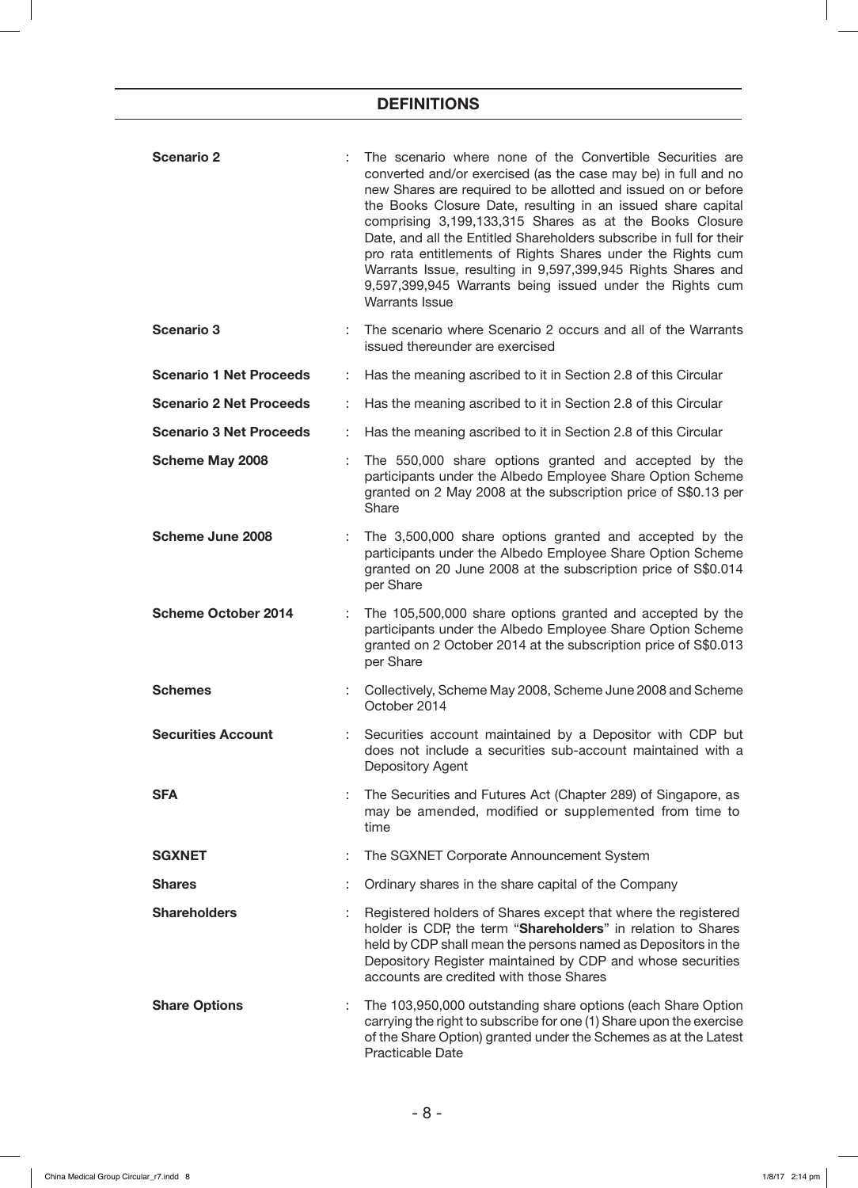| <b>Scenario 2</b>              |    | The scenario where none of the Convertible Securities are<br>converted and/or exercised (as the case may be) in full and no<br>new Shares are required to be allotted and issued on or before<br>the Books Closure Date, resulting in an issued share capital<br>comprising 3,199,133,315 Shares as at the Books Closure<br>Date, and all the Entitled Shareholders subscribe in full for their<br>pro rata entitlements of Rights Shares under the Rights cum<br>Warrants Issue, resulting in 9,597,399,945 Rights Shares and<br>9,597,399,945 Warrants being issued under the Rights cum<br><b>Warrants Issue</b> |
|--------------------------------|----|---------------------------------------------------------------------------------------------------------------------------------------------------------------------------------------------------------------------------------------------------------------------------------------------------------------------------------------------------------------------------------------------------------------------------------------------------------------------------------------------------------------------------------------------------------------------------------------------------------------------|
| <b>Scenario 3</b>              |    | The scenario where Scenario 2 occurs and all of the Warrants<br>issued thereunder are exercised                                                                                                                                                                                                                                                                                                                                                                                                                                                                                                                     |
| <b>Scenario 1 Net Proceeds</b> | ÷  | Has the meaning ascribed to it in Section 2.8 of this Circular                                                                                                                                                                                                                                                                                                                                                                                                                                                                                                                                                      |
| <b>Scenario 2 Net Proceeds</b> |    | Has the meaning ascribed to it in Section 2.8 of this Circular                                                                                                                                                                                                                                                                                                                                                                                                                                                                                                                                                      |
| <b>Scenario 3 Net Proceeds</b> |    | Has the meaning ascribed to it in Section 2.8 of this Circular                                                                                                                                                                                                                                                                                                                                                                                                                                                                                                                                                      |
| <b>Scheme May 2008</b>         |    | The 550,000 share options granted and accepted by the<br>participants under the Albedo Employee Share Option Scheme<br>granted on 2 May 2008 at the subscription price of S\$0.13 per<br>Share                                                                                                                                                                                                                                                                                                                                                                                                                      |
| <b>Scheme June 2008</b>        | ÷. | The 3,500,000 share options granted and accepted by the<br>participants under the Albedo Employee Share Option Scheme<br>granted on 20 June 2008 at the subscription price of S\$0.014<br>per Share                                                                                                                                                                                                                                                                                                                                                                                                                 |
| <b>Scheme October 2014</b>     | ÷. | The 105,500,000 share options granted and accepted by the<br>participants under the Albedo Employee Share Option Scheme<br>granted on 2 October 2014 at the subscription price of S\$0.013<br>per Share                                                                                                                                                                                                                                                                                                                                                                                                             |
| <b>Schemes</b>                 | ÷  | Collectively, Scheme May 2008, Scheme June 2008 and Scheme<br>October 2014                                                                                                                                                                                                                                                                                                                                                                                                                                                                                                                                          |
| <b>Securities Account</b>      |    | Securities account maintained by a Depositor with CDP but<br>does not include a securities sub-account maintained with a<br>Depository Agent                                                                                                                                                                                                                                                                                                                                                                                                                                                                        |
| <b>SFA</b>                     |    | The Securities and Futures Act (Chapter 289) of Singapore, as<br>may be amended, modified or supplemented from time to<br>time                                                                                                                                                                                                                                                                                                                                                                                                                                                                                      |
| <b>SGXNET</b>                  |    | The SGXNET Corporate Announcement System                                                                                                                                                                                                                                                                                                                                                                                                                                                                                                                                                                            |
| <b>Shares</b>                  |    | Ordinary shares in the share capital of the Company                                                                                                                                                                                                                                                                                                                                                                                                                                                                                                                                                                 |
| <b>Shareholders</b>            |    | Registered holders of Shares except that where the registered<br>holder is CDP, the term "Shareholders" in relation to Shares<br>held by CDP shall mean the persons named as Depositors in the<br>Depository Register maintained by CDP and whose securities<br>accounts are credited with those Shares                                                                                                                                                                                                                                                                                                             |
| <b>Share Options</b>           |    | The 103,950,000 outstanding share options (each Share Option<br>carrying the right to subscribe for one (1) Share upon the exercise<br>of the Share Option) granted under the Schemes as at the Latest<br>Practicable Date                                                                                                                                                                                                                                                                                                                                                                                          |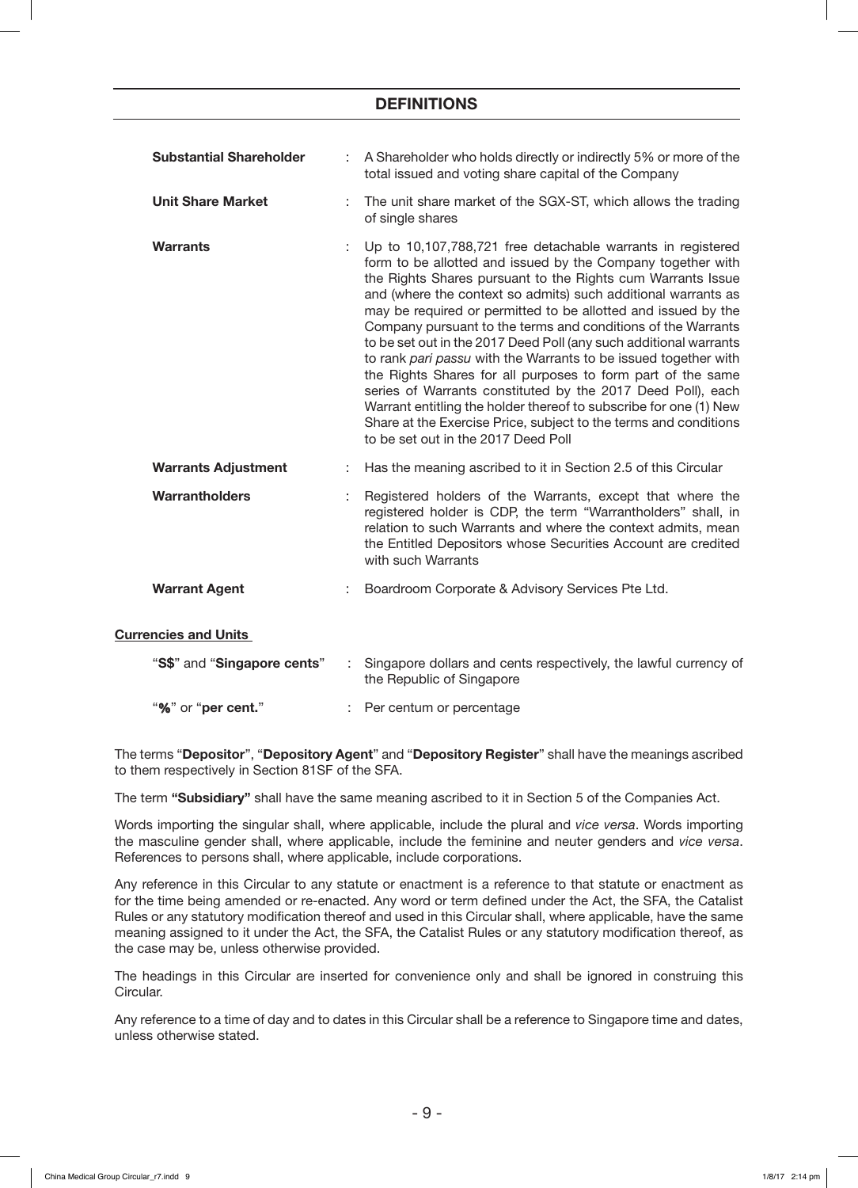| <b>Substantial Shareholder</b> | A Shareholder who holds directly or indirectly 5% or more of the<br>total issued and voting share capital of the Company                                                                                                                                                                                                                                                                                                                                                                                                                                                                                                                                                                                                                                                                                                                          |
|--------------------------------|---------------------------------------------------------------------------------------------------------------------------------------------------------------------------------------------------------------------------------------------------------------------------------------------------------------------------------------------------------------------------------------------------------------------------------------------------------------------------------------------------------------------------------------------------------------------------------------------------------------------------------------------------------------------------------------------------------------------------------------------------------------------------------------------------------------------------------------------------|
| <b>Unit Share Market</b>       | The unit share market of the SGX-ST, which allows the trading<br>of single shares                                                                                                                                                                                                                                                                                                                                                                                                                                                                                                                                                                                                                                                                                                                                                                 |
| <b>Warrants</b>                | Up to 10,107,788,721 free detachable warrants in registered<br>form to be allotted and issued by the Company together with<br>the Rights Shares pursuant to the Rights cum Warrants Issue<br>and (where the context so admits) such additional warrants as<br>may be required or permitted to be allotted and issued by the<br>Company pursuant to the terms and conditions of the Warrants<br>to be set out in the 2017 Deed Poll (any such additional warrants<br>to rank pari passu with the Warrants to be issued together with<br>the Rights Shares for all purposes to form part of the same<br>series of Warrants constituted by the 2017 Deed Poll), each<br>Warrant entitling the holder thereof to subscribe for one (1) New<br>Share at the Exercise Price, subject to the terms and conditions<br>to be set out in the 2017 Deed Poll |
| <b>Warrants Adjustment</b>     | Has the meaning ascribed to it in Section 2.5 of this Circular                                                                                                                                                                                                                                                                                                                                                                                                                                                                                                                                                                                                                                                                                                                                                                                    |
| <b>Warrantholders</b>          | Registered holders of the Warrants, except that where the<br>registered holder is CDP, the term "Warrantholders" shall, in<br>relation to such Warrants and where the context admits, mean<br>the Entitled Depositors whose Securities Account are credited<br>with such Warrants                                                                                                                                                                                                                                                                                                                                                                                                                                                                                                                                                                 |
| <b>Warrant Agent</b>           | Boardroom Corporate & Advisory Services Pte Ltd.                                                                                                                                                                                                                                                                                                                                                                                                                                                                                                                                                                                                                                                                                                                                                                                                  |
| <b>Currencies and Units</b>    |                                                                                                                                                                                                                                                                                                                                                                                                                                                                                                                                                                                                                                                                                                                                                                                                                                                   |

| "S\$" and "Singapore cents" | : Singapore dollars and cents respectively, the lawful currency of<br>the Republic of Singapore |
|-----------------------------|-------------------------------------------------------------------------------------------------|
| "%" or "per cent."          | : Per centum or percentage                                                                      |

The terms "Depositor", "Depository Agent" and "Depository Register" shall have the meanings ascribed to them respectively in Section 81SF of the SFA.

The term "Subsidiary" shall have the same meaning ascribed to it in Section 5 of the Companies Act.

Words importing the singular shall, where applicable, include the plural and *vice versa*. Words importing the masculine gender shall, where applicable, include the feminine and neuter genders and *vice versa*. References to persons shall, where applicable, include corporations.

Any reference in this Circular to any statute or enactment is a reference to that statute or enactment as for the time being amended or re-enacted. Any word or term defined under the Act, the SFA, the Catalist Rules or any statutory modification thereof and used in this Circular shall, where applicable, have the same meaning assigned to it under the Act, the SFA, the Catalist Rules or any statutory modification thereof, as the case may be, unless otherwise provided.

The headings in this Circular are inserted for convenience only and shall be ignored in construing this Circular.

Any reference to a time of day and to dates in this Circular shall be a reference to Singapore time and dates, unless otherwise stated.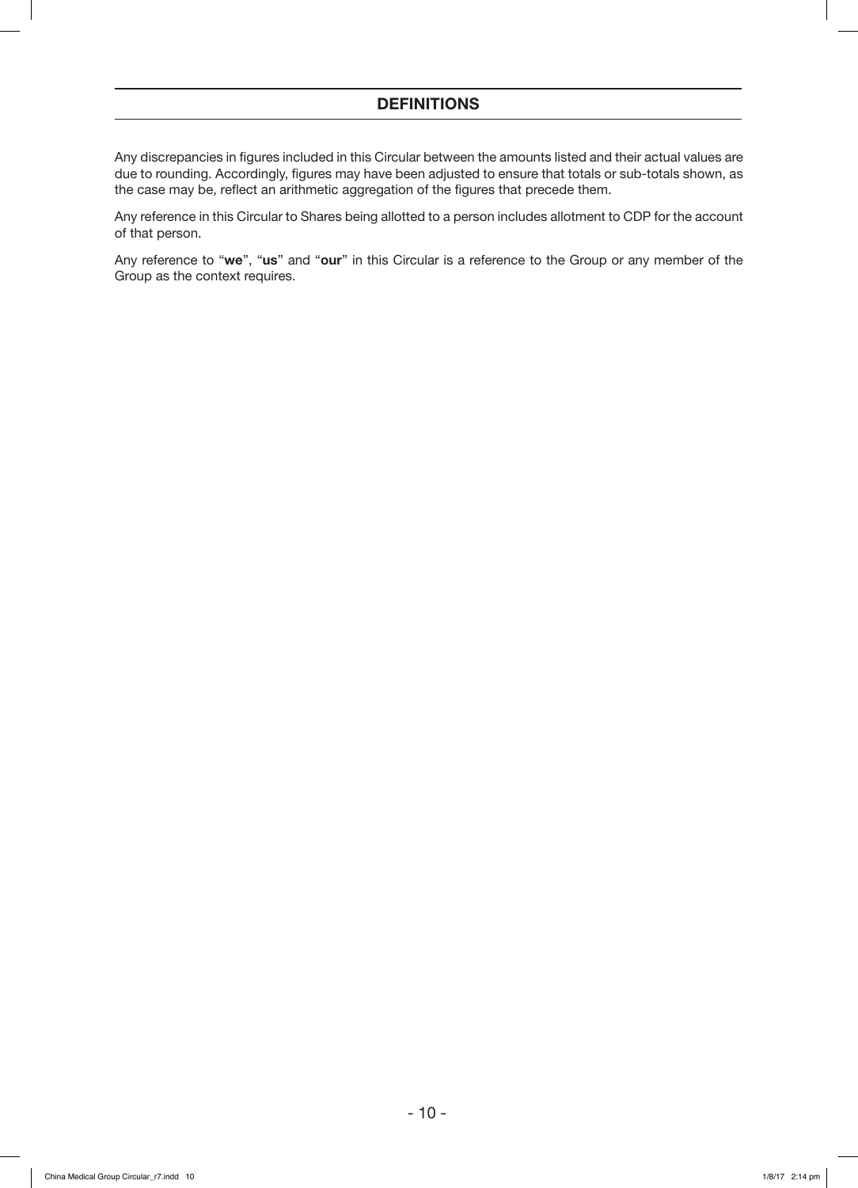Any discrepancies in figures included in this Circular between the amounts listed and their actual values are due to rounding. Accordingly, figures may have been adjusted to ensure that totals or sub-totals shown, as the case may be, reflect an arithmetic aggregation of the figures that precede them.

Any reference in this Circular to Shares being allotted to a person includes allotment to CDP for the account of that person.

Any reference to "we", "us" and "our" in this Circular is a reference to the Group or any member of the Group as the context requires.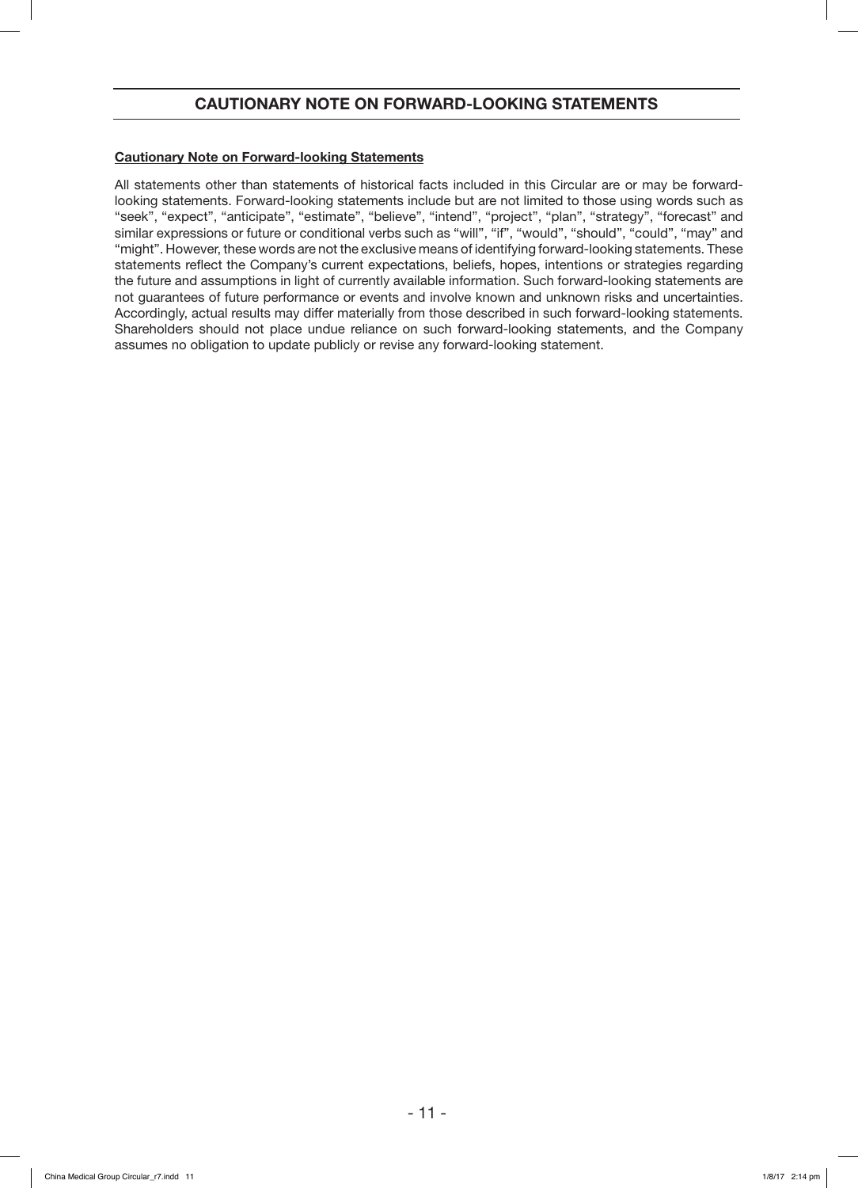## CAUTIONARY NOTE ON FORWARD-LOOKING STATEMENTS

#### Cautionary Note on Forward-looking Statements

All statements other than statements of historical facts included in this Circular are or may be forwardlooking statements. Forward-looking statements include but are not limited to those using words such as "seek", "expect", "anticipate", "estimate", "believe", "intend", "project", "plan", "strategy", "forecast" and similar expressions or future or conditional verbs such as "will", "if", "would", "should", "could", "may" and "might". However, these words are not the exclusive means of identifying forward-looking statements. These statements reflect the Company's current expectations, beliefs, hopes, intentions or strategies regarding the future and assumptions in light of currently available information. Such forward-looking statements are not guarantees of future performance or events and involve known and unknown risks and uncertainties. Accordingly, actual results may differ materially from those described in such forward-looking statements. Shareholders should not place undue reliance on such forward-looking statements, and the Company assumes no obligation to update publicly or revise any forward-looking statement.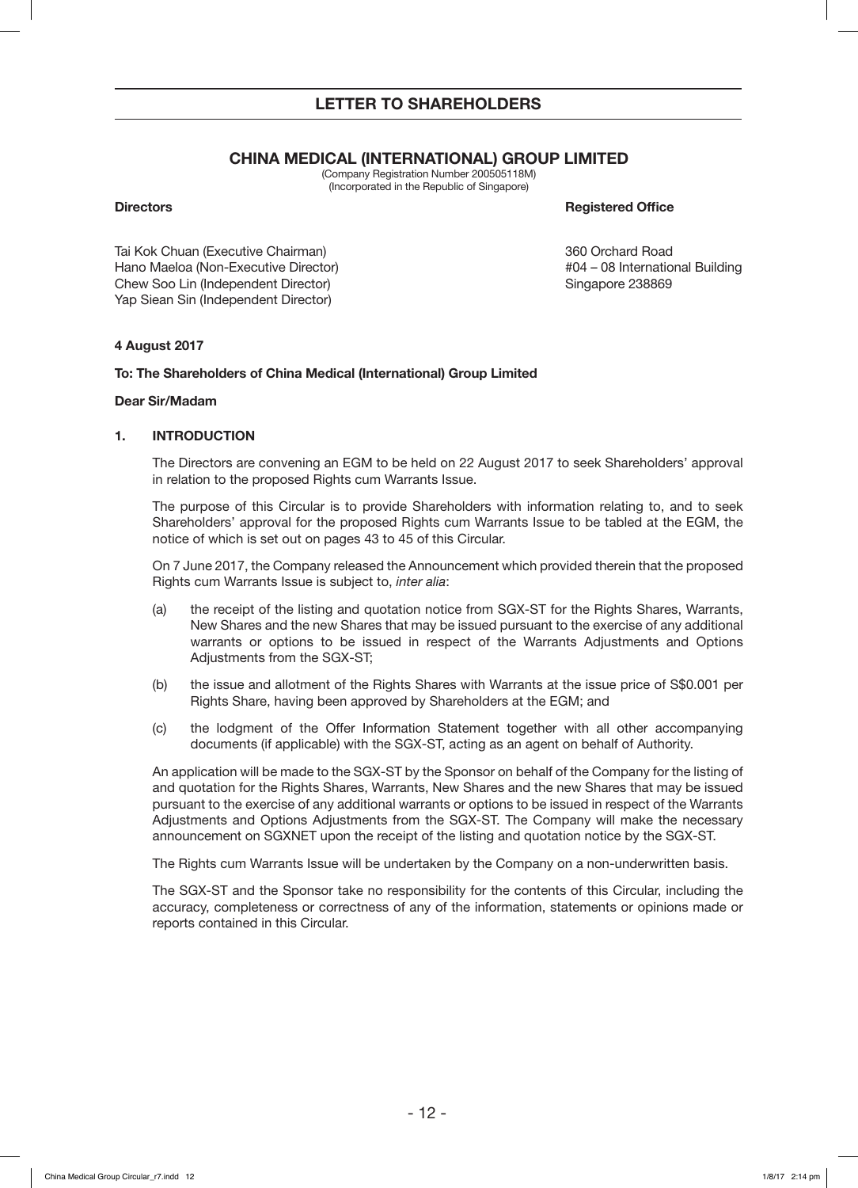## CHINA MEDICAL (INTERNATIONAL) GROUP LIMITED

(Company Registration Number 200505118M) (Incorporated in the Republic of Singapore)

**Directors Contract Contract Contract Contract Contract Contract Contract Contract Contract Contract Contract Contract Contract Contract Contract Contract Contract Contract Contract Contract Contract Contract Contract Co** 

Tai Kok Chuan (Executive Chairman) Hano Maeloa (Non-Executive Director) Chew Soo Lin (Independent Director) Yap Siean Sin (Independent Director)

360 Orchard Road #04 – 08 International Building Singapore 238869

#### 4 August 2017

#### To: The Shareholders of China Medical (International) Group Limited

#### Dear Sir/Madam

#### 1. INTRODUCTION

The Directors are convening an EGM to be held on 22 August 2017 to seek Shareholders' approval in relation to the proposed Rights cum Warrants Issue.

The purpose of this Circular is to provide Shareholders with information relating to, and to seek Shareholders' approval for the proposed Rights cum Warrants Issue to be tabled at the EGM, the notice of which is set out on pages 43 to 45 of this Circular.

On 7 June 2017, the Company released the Announcement which provided therein that the proposed Rights cum Warrants Issue is subject to, *inter alia*:

- (a) the receipt of the listing and quotation notice from SGX-ST for the Rights Shares, Warrants, New Shares and the new Shares that may be issued pursuant to the exercise of any additional warrants or options to be issued in respect of the Warrants Adjustments and Options Adjustments from the SGX-ST;
- (b) the issue and allotment of the Rights Shares with Warrants at the issue price of S\$0.001 per Rights Share, having been approved by Shareholders at the EGM; and
- (c) the lodgment of the Offer Information Statement together with all other accompanying documents (if applicable) with the SGX-ST, acting as an agent on behalf of Authority.

An application will be made to the SGX-ST by the Sponsor on behalf of the Company for the listing of and quotation for the Rights Shares, Warrants, New Shares and the new Shares that may be issued pursuant to the exercise of any additional warrants or options to be issued in respect of the Warrants Adjustments and Options Adjustments from the SGX-ST. The Company will make the necessary announcement on SGXNET upon the receipt of the listing and quotation notice by the SGX-ST.

The Rights cum Warrants Issue will be undertaken by the Company on a non-underwritten basis.

The SGX-ST and the Sponsor take no responsibility for the contents of this Circular, including the accuracy, completeness or correctness of any of the information, statements or opinions made or reports contained in this Circular.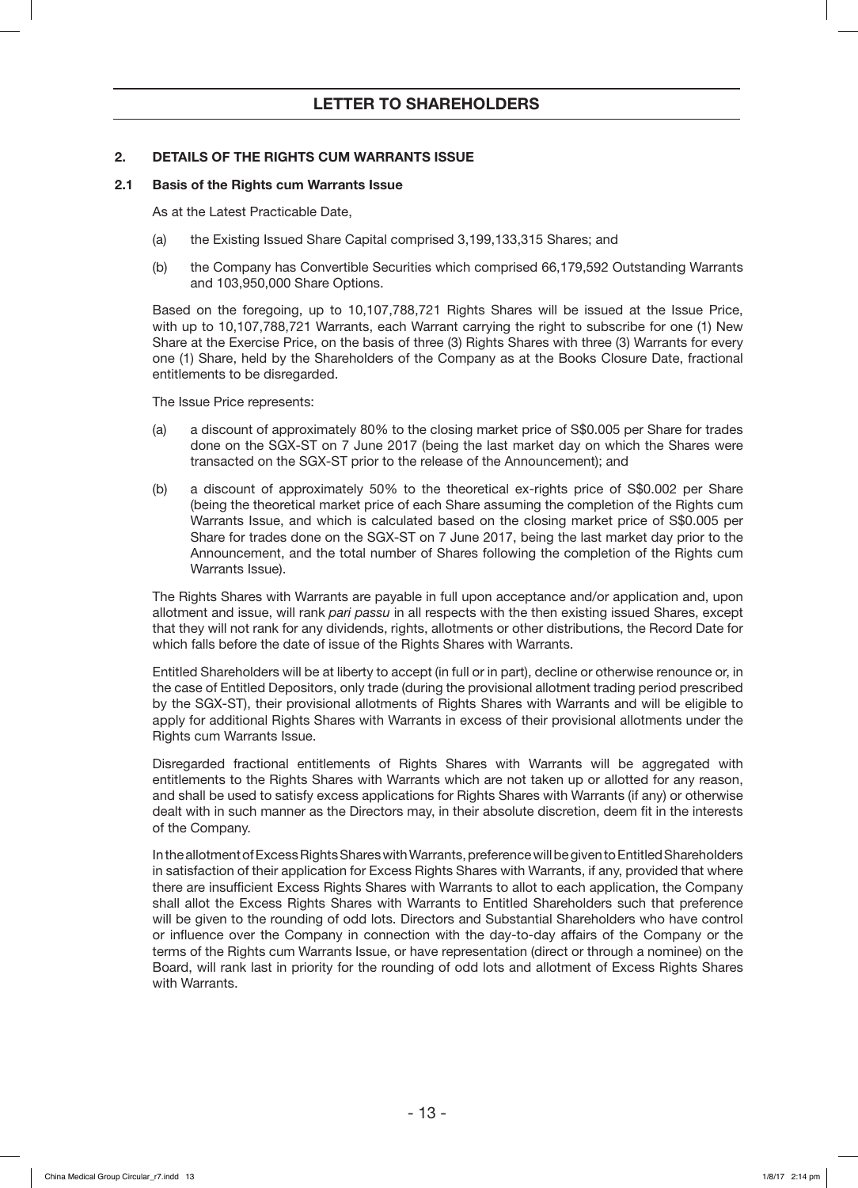#### 2. DETAILS OF THE RIGHTS CUM WARRANTS ISSUE

#### 2.1 Basis of the Rights cum Warrants Issue

As at the Latest Practicable Date,

- (a) the Existing Issued Share Capital comprised 3,199,133,315 Shares; and
- (b) the Company has Convertible Securities which comprised 66,179,592 Outstanding Warrants and 103,950,000 Share Options.

Based on the foregoing, up to 10,107,788,721 Rights Shares will be issued at the Issue Price, with up to 10,107,788,721 Warrants, each Warrant carrying the right to subscribe for one (1) New Share at the Exercise Price, on the basis of three (3) Rights Shares with three (3) Warrants for every one (1) Share, held by the Shareholders of the Company as at the Books Closure Date, fractional entitlements to be disregarded.

The Issue Price represents:

- (a) a discount of approximately 80% to the closing market price of S\$0.005 per Share for trades done on the SGX-ST on 7 June 2017 (being the last market day on which the Shares were transacted on the SGX-ST prior to the release of the Announcement); and
- (b) a discount of approximately 50% to the theoretical ex-rights price of S\$0.002 per Share (being the theoretical market price of each Share assuming the completion of the Rights cum Warrants Issue, and which is calculated based on the closing market price of S\$0.005 per Share for trades done on the SGX-ST on 7 June 2017, being the last market day prior to the Announcement, and the total number of Shares following the completion of the Rights cum Warrants Issue).

The Rights Shares with Warrants are payable in full upon acceptance and/or application and, upon allotment and issue, will rank *pari passu* in all respects with the then existing issued Shares, except that they will not rank for any dividends, rights, allotments or other distributions, the Record Date for which falls before the date of issue of the Rights Shares with Warrants.

Entitled Shareholders will be at liberty to accept (in full or in part), decline or otherwise renounce or, in the case of Entitled Depositors, only trade (during the provisional allotment trading period prescribed by the SGX-ST), their provisional allotments of Rights Shares with Warrants and will be eligible to apply for additional Rights Shares with Warrants in excess of their provisional allotments under the Rights cum Warrants Issue.

Disregarded fractional entitlements of Rights Shares with Warrants will be aggregated with entitlements to the Rights Shares with Warrants which are not taken up or allotted for any reason, and shall be used to satisfy excess applications for Rights Shares with Warrants (if any) or otherwise dealt with in such manner as the Directors may, in their absolute discretion, deem fit in the interests of the Company.

In the allotment of Excess Rights Shares with Warrants, preference will be given to Entitled Shareholders in satisfaction of their application for Excess Rights Shares with Warrants, if any, provided that where there are insufficient Excess Rights Shares with Warrants to allot to each application, the Company shall allot the Excess Rights Shares with Warrants to Entitled Shareholders such that preference will be given to the rounding of odd lots. Directors and Substantial Shareholders who have control or influence over the Company in connection with the day-to-day affairs of the Company or the terms of the Rights cum Warrants Issue, or have representation (direct or through a nominee) on the Board, will rank last in priority for the rounding of odd lots and allotment of Excess Rights Shares with Warrants.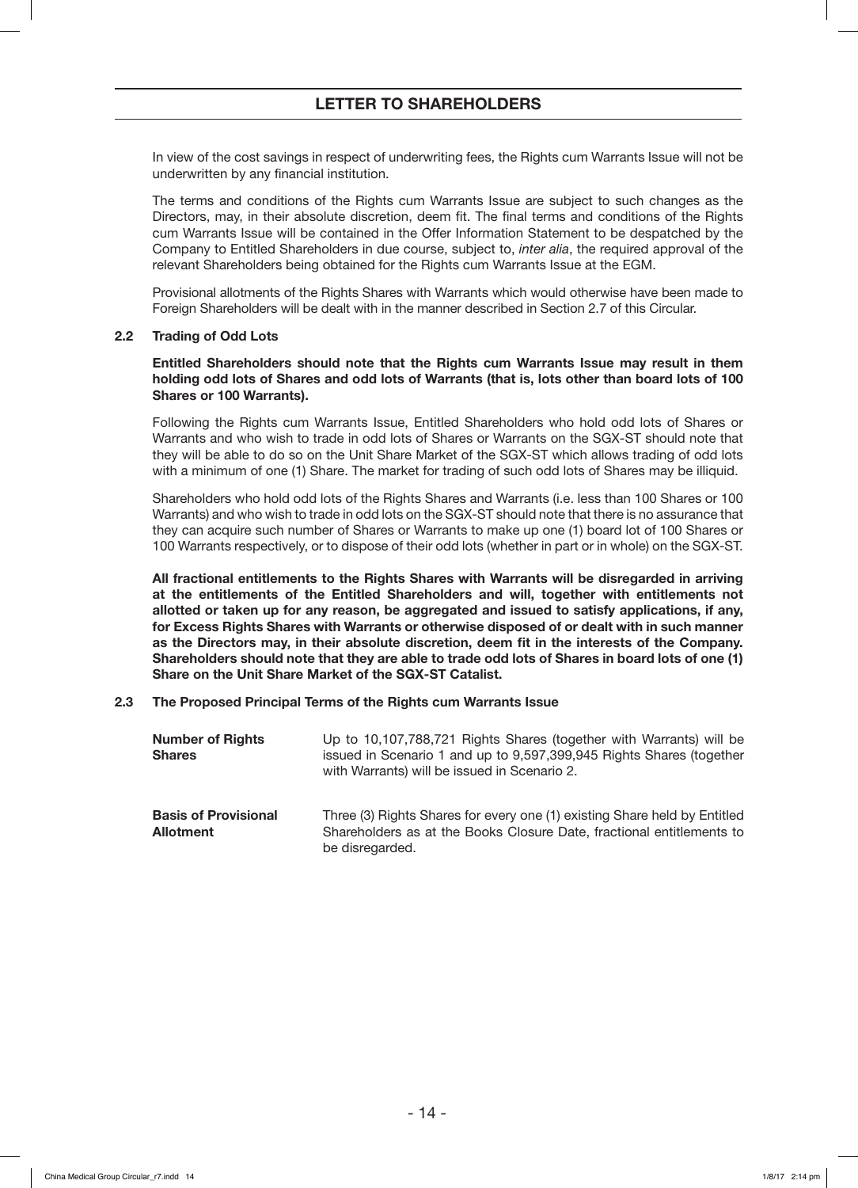In view of the cost savings in respect of underwriting fees, the Rights cum Warrants Issue will not be underwritten by any financial institution.

The terms and conditions of the Rights cum Warrants Issue are subject to such changes as the Directors, may, in their absolute discretion, deem fit. The final terms and conditions of the Rights cum Warrants Issue will be contained in the Offer Information Statement to be despatched by the Company to Entitled Shareholders in due course, subject to, *inter alia*, the required approval of the relevant Shareholders being obtained for the Rights cum Warrants Issue at the EGM.

Provisional allotments of the Rights Shares with Warrants which would otherwise have been made to Foreign Shareholders will be dealt with in the manner described in Section 2.7 of this Circular.

#### 2.2 Trading of Odd Lots

Entitled Shareholders should note that the Rights cum Warrants Issue may result in them holding odd lots of Shares and odd lots of Warrants (that is, lots other than board lots of 100 Shares or 100 Warrants).

Following the Rights cum Warrants Issue, Entitled Shareholders who hold odd lots of Shares or Warrants and who wish to trade in odd lots of Shares or Warrants on the SGX-ST should note that they will be able to do so on the Unit Share Market of the SGX-ST which allows trading of odd lots with a minimum of one (1) Share. The market for trading of such odd lots of Shares may be illiquid.

Shareholders who hold odd lots of the Rights Shares and Warrants (i.e. less than 100 Shares or 100 Warrants) and who wish to trade in odd lots on the SGX-ST should note that there is no assurance that they can acquire such number of Shares or Warrants to make up one (1) board lot of 100 Shares or 100 Warrants respectively, or to dispose of their odd lots (whether in part or in whole) on the SGX-ST.

All fractional entitlements to the Rights Shares with Warrants will be disregarded in arriving at the entitlements of the Entitled Shareholders and will, together with entitlements not allotted or taken up for any reason, be aggregated and issued to satisfy applications, if any, for Excess Rights Shares with Warrants or otherwise disposed of or dealt with in such manner as the Directors may, in their absolute discretion, deem fit in the interests of the Company. Shareholders should note that they are able to trade odd lots of Shares in board lots of one (1) Share on the Unit Share Market of the SGX-ST Catalist.

#### 2.3 The Proposed Principal Terms of the Rights cum Warrants Issue

| <b>Number of Rights</b><br><b>Shares</b>        | Up to 10,107,788,721 Rights Shares (together with Warrants) will be<br>issued in Scenario 1 and up to 9,597,399,945 Rights Shares (together<br>with Warrants) will be issued in Scenario 2. |
|-------------------------------------------------|---------------------------------------------------------------------------------------------------------------------------------------------------------------------------------------------|
| <b>Basis of Provisional</b><br><b>Allotment</b> | Three (3) Rights Shares for every one (1) existing Share held by Entitled<br>Shareholders as at the Books Closure Date, fractional entitlements to<br>be disregarded.                       |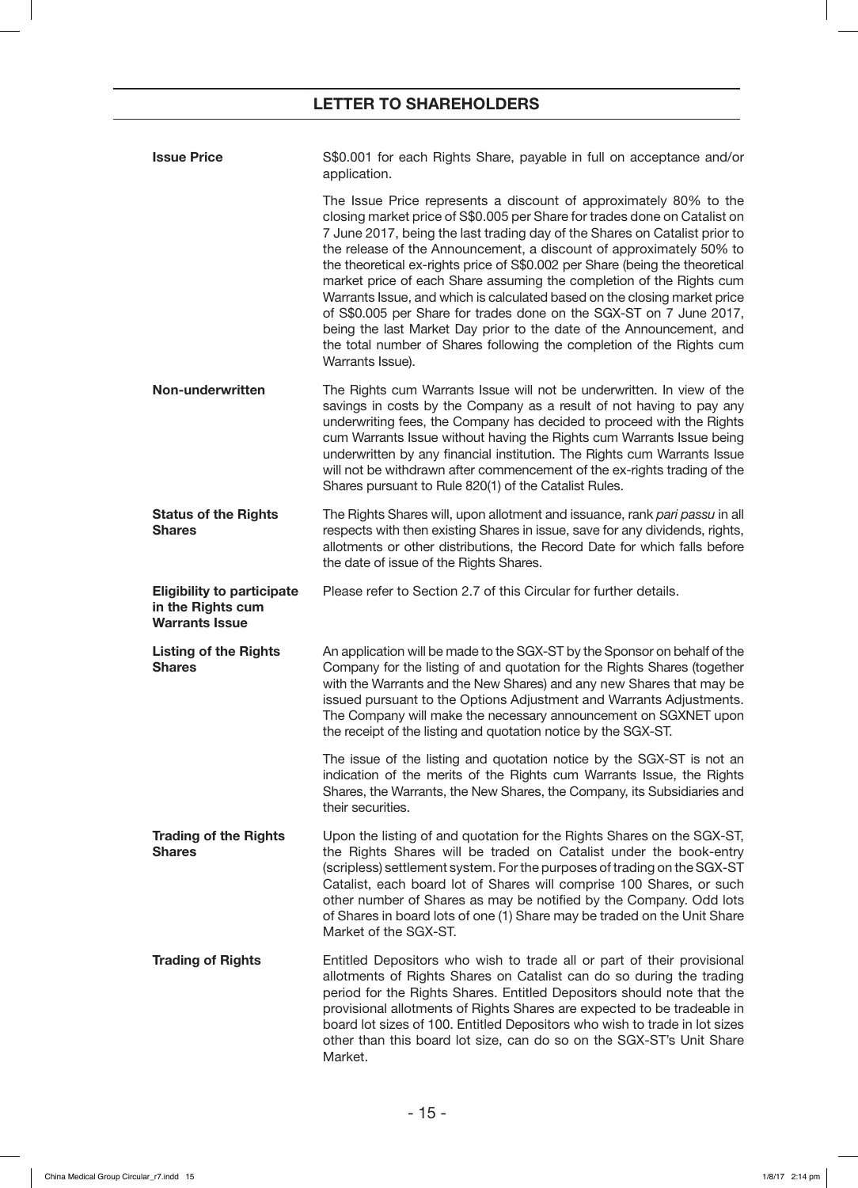| <b>Issue Price</b> | S\$0.001 for each Rights Share, payable in full on acceptance and/or |
|--------------------|----------------------------------------------------------------------|
|                    | application.                                                         |

The Issue Price represents a discount of approximately 80% to the closing market price of S\$0.005 per Share for trades done on Catalist on 7 June 2017, being the last trading day of the Shares on Catalist prior to the release of the Announcement, a discount of approximately 50% to the theoretical ex-rights price of S\$0.002 per Share (being the theoretical market price of each Share assuming the completion of the Rights cum Warrants Issue, and which is calculated based on the closing market price of S\$0.005 per Share for trades done on the SGX-ST on 7 June 2017, being the last Market Day prior to the date of the Announcement, and the total number of Shares following the completion of the Rights cum Warrants Issue).

- Non-underwritten The Rights cum Warrants Issue will not be underwritten. In view of the savings in costs by the Company as a result of not having to pay any underwriting fees, the Company has decided to proceed with the Rights cum Warrants Issue without having the Rights cum Warrants Issue being underwritten by any financial institution. The Rights cum Warrants Issue will not be withdrawn after commencement of the ex-rights trading of the Shares pursuant to Rule 820(1) of the Catalist Rules.
- Status of the Rights Shares The Rights Shares will, upon allotment and issuance, rank *pari passu* in all respects with then existing Shares in issue, save for any dividends, rights, allotments or other distributions, the Record Date for which falls before the date of issue of the Rights Shares.
- Eligibility to participate in the Rights cum Please refer to Section 2.7 of this Circular for further details.
- Warrants Issue
- Listing of the Rights Shares An application will be made to the SGX-ST by the Sponsor on behalf of the Company for the listing of and quotation for the Rights Shares (together with the Warrants and the New Shares) and any new Shares that may be
- 
- 
- Trading of the Rights Shares
- 
- their securities. Upon the listing of and quotation for the Rights Shares on the SGX-ST, the Rights Shares will be traded on Catalist under the book-entry (scripless) settlement system. For the purposes of trading on the SGX-ST
	- Catalist, each board lot of Shares will comprise 100 Shares, or such other number of Shares as may be notified by the Company. Odd lots of Shares in board lots of one (1) Share may be traded on the Unit Share Market of the SGX-ST.

the receipt of the listing and quotation notice by the SGX-ST.

issued pursuant to the Options Adjustment and Warrants Adjustments. The Company will make the necessary announcement on SGXNET upon

The issue of the listing and quotation notice by the SGX-ST is not an indication of the merits of the Rights cum Warrants Issue, the Rights Shares, the Warrants, the New Shares, the Company, its Subsidiaries and

**Trading of Rights** Entitled Depositors who wish to trade all or part of their provisional allotments of Rights Shares on Catalist can do so during the trading period for the Rights Shares. Entitled Depositors should note that the provisional allotments of Rights Shares are expected to be tradeable in board lot sizes of 100. Entitled Depositors who wish to trade in lot sizes other than this board lot size, can do so on the SGX-ST's Unit Share Market.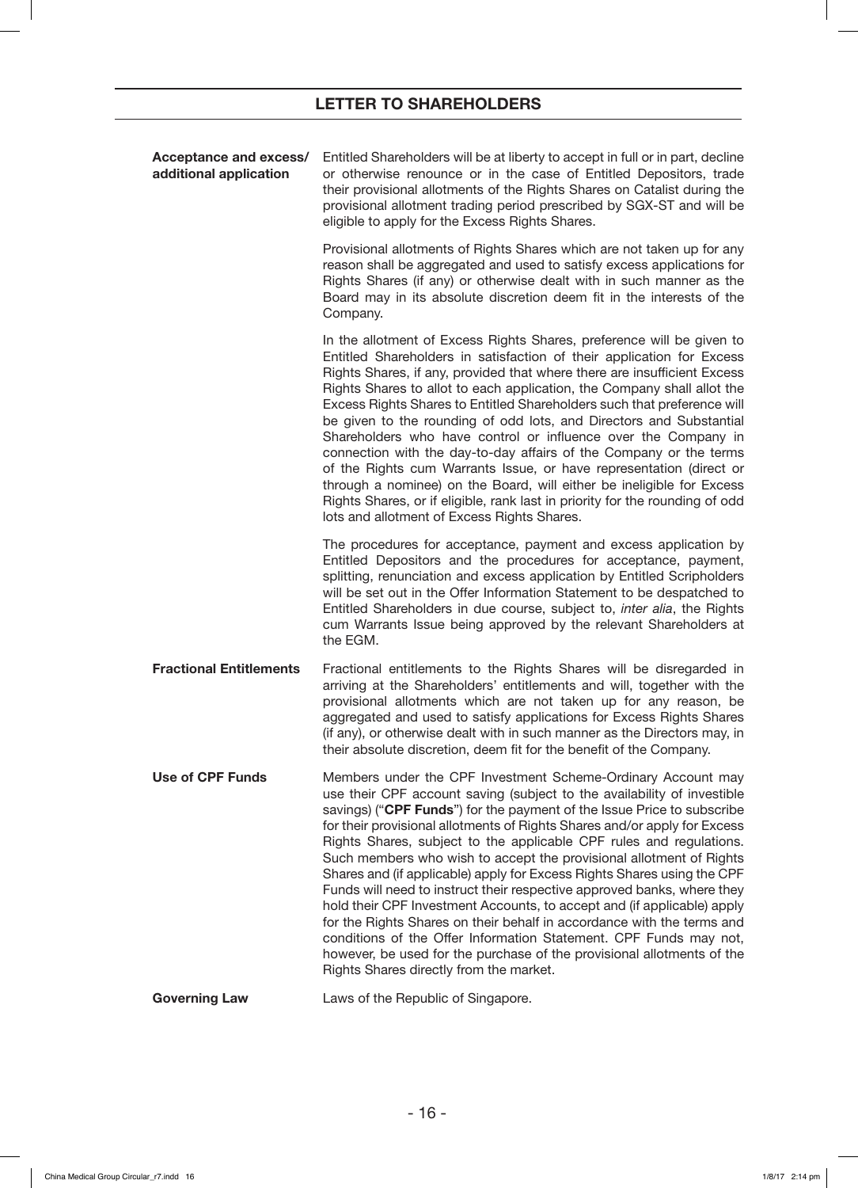| Acceptance and excess/<br>additional application | Entitled Shareholders will be at liberty to accept in full or in part, decline<br>or otherwise renounce or in the case of Entitled Depositors, trade<br>their provisional allotments of the Rights Shares on Catalist during the<br>provisional allotment trading period prescribed by SGX-ST and will be<br>eligible to apply for the Excess Rights Shares.                                                                                                                                                                                                                                                                                                                                                                                                                                                                                                                                                                                      |
|--------------------------------------------------|---------------------------------------------------------------------------------------------------------------------------------------------------------------------------------------------------------------------------------------------------------------------------------------------------------------------------------------------------------------------------------------------------------------------------------------------------------------------------------------------------------------------------------------------------------------------------------------------------------------------------------------------------------------------------------------------------------------------------------------------------------------------------------------------------------------------------------------------------------------------------------------------------------------------------------------------------|
|                                                  | Provisional allotments of Rights Shares which are not taken up for any<br>reason shall be aggregated and used to satisfy excess applications for<br>Rights Shares (if any) or otherwise dealt with in such manner as the<br>Board may in its absolute discretion deem fit in the interests of the<br>Company.                                                                                                                                                                                                                                                                                                                                                                                                                                                                                                                                                                                                                                     |
|                                                  | In the allotment of Excess Rights Shares, preference will be given to<br>Entitled Shareholders in satisfaction of their application for Excess<br>Rights Shares, if any, provided that where there are insufficient Excess<br>Rights Shares to allot to each application, the Company shall allot the<br>Excess Rights Shares to Entitled Shareholders such that preference will<br>be given to the rounding of odd lots, and Directors and Substantial<br>Shareholders who have control or influence over the Company in<br>connection with the day-to-day affairs of the Company or the terms<br>of the Rights cum Warrants Issue, or have representation (direct or<br>through a nominee) on the Board, will either be ineligible for Excess<br>Rights Shares, or if eligible, rank last in priority for the rounding of odd<br>lots and allotment of Excess Rights Shares.                                                                    |
|                                                  | The procedures for acceptance, payment and excess application by<br>Entitled Depositors and the procedures for acceptance, payment,<br>splitting, renunciation and excess application by Entitled Scripholders<br>will be set out in the Offer Information Statement to be despatched to<br>Entitled Shareholders in due course, subject to, inter alia, the Rights<br>cum Warrants Issue being approved by the relevant Shareholders at<br>the EGM.                                                                                                                                                                                                                                                                                                                                                                                                                                                                                              |
| <b>Fractional Entitlements</b>                   | Fractional entitlements to the Rights Shares will be disregarded in<br>arriving at the Shareholders' entitlements and will, together with the<br>provisional allotments which are not taken up for any reason, be<br>aggregated and used to satisfy applications for Excess Rights Shares<br>(if any), or otherwise dealt with in such manner as the Directors may, in<br>their absolute discretion, deem fit for the benefit of the Company.                                                                                                                                                                                                                                                                                                                                                                                                                                                                                                     |
| <b>Use of CPF Funds</b>                          | Members under the CPF Investment Scheme-Ordinary Account may<br>use their CPF account saving (subject to the availability of investible<br>savings) ("CPF Funds") for the payment of the Issue Price to subscribe<br>for their provisional allotments of Rights Shares and/or apply for Excess<br>Rights Shares, subject to the applicable CPF rules and regulations.<br>Such members who wish to accept the provisional allotment of Rights<br>Shares and (if applicable) apply for Excess Rights Shares using the CPF<br>Funds will need to instruct their respective approved banks, where they<br>hold their CPF Investment Accounts, to accept and (if applicable) apply<br>for the Rights Shares on their behalf in accordance with the terms and<br>conditions of the Offer Information Statement. CPF Funds may not,<br>however, be used for the purchase of the provisional allotments of the<br>Rights Shares directly from the market. |
| <b>Governing Law</b>                             | Laws of the Republic of Singapore.                                                                                                                                                                                                                                                                                                                                                                                                                                                                                                                                                                                                                                                                                                                                                                                                                                                                                                                |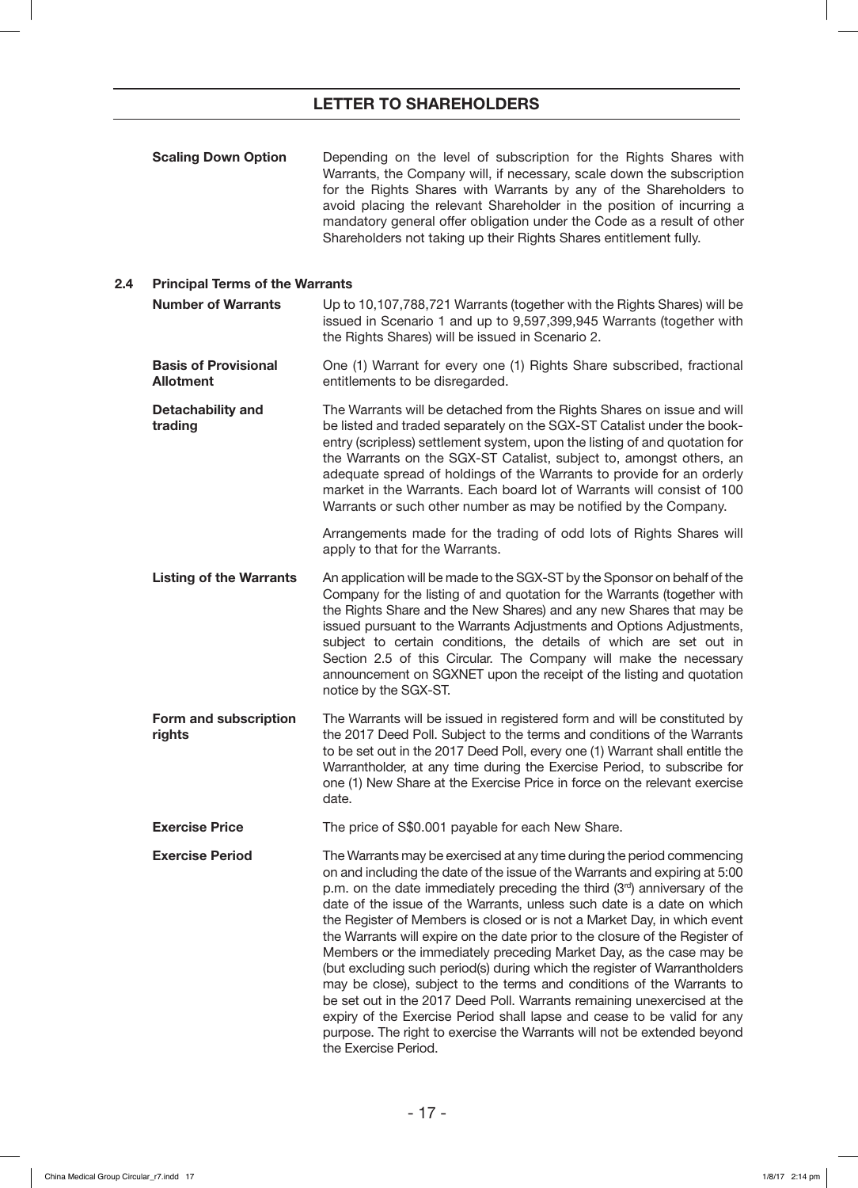|     | <b>Scaling Down Option</b>                      | Depending on the level of subscription for the Rights Shares with<br>Warrants, the Company will, if necessary, scale down the subscription<br>for the Rights Shares with Warrants by any of the Shareholders to<br>avoid placing the relevant Shareholder in the position of incurring a<br>mandatory general offer obligation under the Code as a result of other<br>Shareholders not taking up their Rights Shares entitlement fully.                                                                                                                                                                                                                                                                                                                                                                                                                                                                                                                        |
|-----|-------------------------------------------------|----------------------------------------------------------------------------------------------------------------------------------------------------------------------------------------------------------------------------------------------------------------------------------------------------------------------------------------------------------------------------------------------------------------------------------------------------------------------------------------------------------------------------------------------------------------------------------------------------------------------------------------------------------------------------------------------------------------------------------------------------------------------------------------------------------------------------------------------------------------------------------------------------------------------------------------------------------------|
| 2.4 | <b>Principal Terms of the Warrants</b>          |                                                                                                                                                                                                                                                                                                                                                                                                                                                                                                                                                                                                                                                                                                                                                                                                                                                                                                                                                                |
|     | <b>Number of Warrants</b>                       | Up to 10,107,788,721 Warrants (together with the Rights Shares) will be<br>issued in Scenario 1 and up to 9,597,399,945 Warrants (together with<br>the Rights Shares) will be issued in Scenario 2.                                                                                                                                                                                                                                                                                                                                                                                                                                                                                                                                                                                                                                                                                                                                                            |
|     | <b>Basis of Provisional</b><br><b>Allotment</b> | One (1) Warrant for every one (1) Rights Share subscribed, fractional<br>entitlements to be disregarded.                                                                                                                                                                                                                                                                                                                                                                                                                                                                                                                                                                                                                                                                                                                                                                                                                                                       |
|     | <b>Detachability and</b><br>trading             | The Warrants will be detached from the Rights Shares on issue and will<br>be listed and traded separately on the SGX-ST Catalist under the book-<br>entry (scripless) settlement system, upon the listing of and quotation for<br>the Warrants on the SGX-ST Catalist, subject to, amongst others, an<br>adequate spread of holdings of the Warrants to provide for an orderly<br>market in the Warrants. Each board lot of Warrants will consist of 100<br>Warrants or such other number as may be notified by the Company.                                                                                                                                                                                                                                                                                                                                                                                                                                   |
|     |                                                 | Arrangements made for the trading of odd lots of Rights Shares will<br>apply to that for the Warrants.                                                                                                                                                                                                                                                                                                                                                                                                                                                                                                                                                                                                                                                                                                                                                                                                                                                         |
|     | <b>Listing of the Warrants</b>                  | An application will be made to the SGX-ST by the Sponsor on behalf of the<br>Company for the listing of and quotation for the Warrants (together with<br>the Rights Share and the New Shares) and any new Shares that may be<br>issued pursuant to the Warrants Adjustments and Options Adjustments,<br>subject to certain conditions, the details of which are set out in<br>Section 2.5 of this Circular. The Company will make the necessary<br>announcement on SGXNET upon the receipt of the listing and quotation<br>notice by the SGX-ST.                                                                                                                                                                                                                                                                                                                                                                                                               |
|     | Form and subscription<br>rights                 | The Warrants will be issued in registered form and will be constituted by<br>the 2017 Deed Poll. Subject to the terms and conditions of the Warrants<br>to be set out in the 2017 Deed Poll, every one (1) Warrant shall entitle the<br>Warrantholder, at any time during the Exercise Period, to subscribe for<br>one (1) New Share at the Exercise Price in force on the relevant exercise<br>date.                                                                                                                                                                                                                                                                                                                                                                                                                                                                                                                                                          |
|     | <b>Exercise Price</b>                           | The price of S\$0.001 payable for each New Share.                                                                                                                                                                                                                                                                                                                                                                                                                                                                                                                                                                                                                                                                                                                                                                                                                                                                                                              |
|     | <b>Exercise Period</b>                          | The Warrants may be exercised at any time during the period commencing<br>on and including the date of the issue of the Warrants and expiring at 5:00<br>p.m. on the date immediately preceding the third (3rd) anniversary of the<br>date of the issue of the Warrants, unless such date is a date on which<br>the Register of Members is closed or is not a Market Day, in which event<br>the Warrants will expire on the date prior to the closure of the Register of<br>Members or the immediately preceding Market Day, as the case may be<br>(but excluding such period(s) during which the register of Warrantholders<br>may be close), subject to the terms and conditions of the Warrants to<br>be set out in the 2017 Deed Poll. Warrants remaining unexercised at the<br>expiry of the Exercise Period shall lapse and cease to be valid for any<br>purpose. The right to exercise the Warrants will not be extended beyond<br>the Exercise Period. |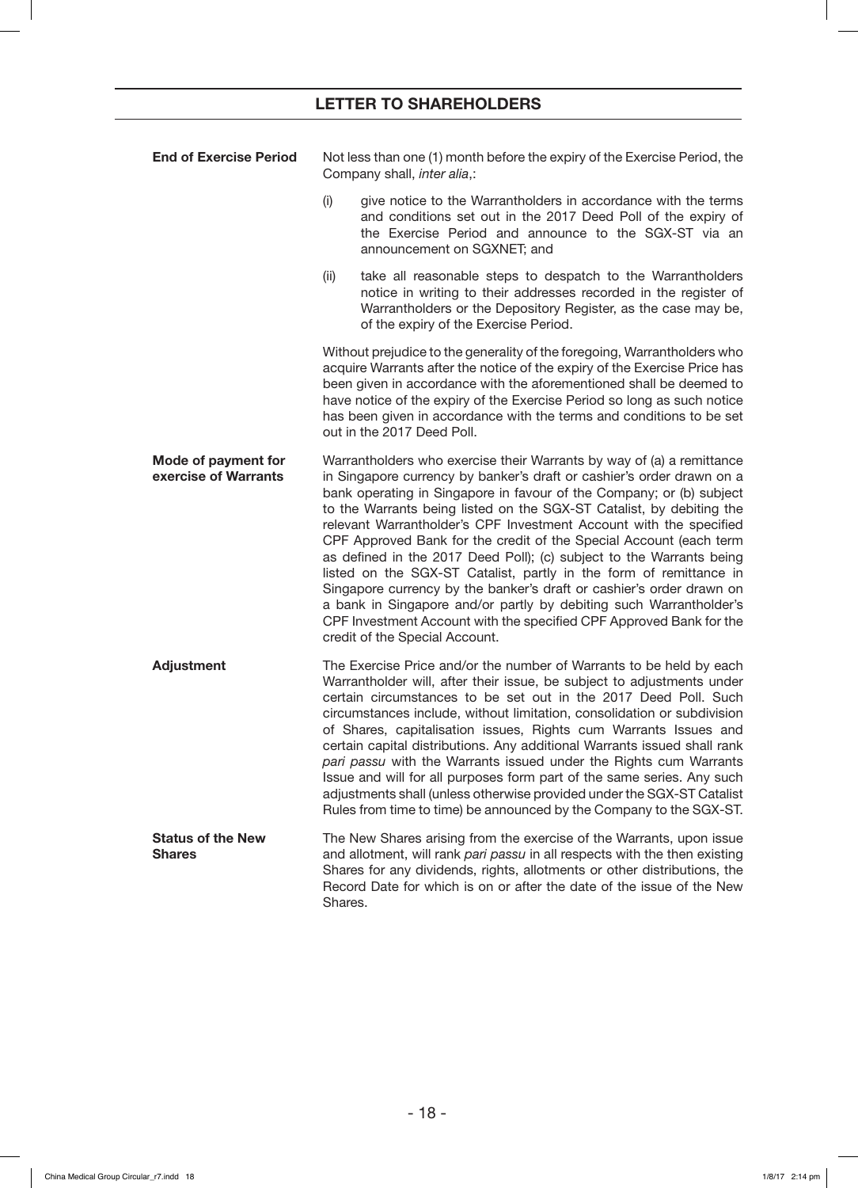| <b>End of Exercise Period</b>               | Not less than one (1) month before the expiry of the Exercise Period, the<br>Company shall, inter alia,:                                                                                                                                                                                                                                                                                                                                                                                                                                                                                                                                                                                                                                                                                                                                        |  |  |  |  |
|---------------------------------------------|-------------------------------------------------------------------------------------------------------------------------------------------------------------------------------------------------------------------------------------------------------------------------------------------------------------------------------------------------------------------------------------------------------------------------------------------------------------------------------------------------------------------------------------------------------------------------------------------------------------------------------------------------------------------------------------------------------------------------------------------------------------------------------------------------------------------------------------------------|--|--|--|--|
|                                             | (i)<br>give notice to the Warrantholders in accordance with the terms<br>and conditions set out in the 2017 Deed Poll of the expiry of<br>the Exercise Period and announce to the SGX-ST via an<br>announcement on SGXNET; and                                                                                                                                                                                                                                                                                                                                                                                                                                                                                                                                                                                                                  |  |  |  |  |
|                                             | (ii)<br>take all reasonable steps to despatch to the Warrantholders<br>notice in writing to their addresses recorded in the register of<br>Warrantholders or the Depository Register, as the case may be,<br>of the expiry of the Exercise Period.                                                                                                                                                                                                                                                                                                                                                                                                                                                                                                                                                                                              |  |  |  |  |
|                                             | Without prejudice to the generality of the foregoing, Warrantholders who<br>acquire Warrants after the notice of the expiry of the Exercise Price has<br>been given in accordance with the aforementioned shall be deemed to<br>have notice of the expiry of the Exercise Period so long as such notice<br>has been given in accordance with the terms and conditions to be set<br>out in the 2017 Deed Poll.                                                                                                                                                                                                                                                                                                                                                                                                                                   |  |  |  |  |
| Mode of payment for<br>exercise of Warrants | Warrantholders who exercise their Warrants by way of (a) a remittance<br>in Singapore currency by banker's draft or cashier's order drawn on a<br>bank operating in Singapore in favour of the Company; or (b) subject<br>to the Warrants being listed on the SGX-ST Catalist, by debiting the<br>relevant Warrantholder's CPF Investment Account with the specified<br>CPF Approved Bank for the credit of the Special Account (each term<br>as defined in the 2017 Deed Poll); (c) subject to the Warrants being<br>listed on the SGX-ST Catalist, partly in the form of remittance in<br>Singapore currency by the banker's draft or cashier's order drawn on<br>a bank in Singapore and/or partly by debiting such Warrantholder's<br>CPF Investment Account with the specified CPF Approved Bank for the<br>credit of the Special Account. |  |  |  |  |
| <b>Adjustment</b>                           | The Exercise Price and/or the number of Warrants to be held by each<br>Warrantholder will, after their issue, be subject to adjustments under<br>certain circumstances to be set out in the 2017 Deed Poll. Such<br>circumstances include, without limitation, consolidation or subdivision<br>of Shares, capitalisation issues, Rights cum Warrants Issues and<br>certain capital distributions. Any additional Warrants issued shall rank<br>pari passu with the Warrants issued under the Rights cum Warrants<br>Issue and will for all purposes form part of the same series. Any such<br>adjustments shall (unless otherwise provided under the SGX-ST Catalist<br>Rules from time to time) be announced by the Company to the SGX-ST.                                                                                                     |  |  |  |  |
| <b>Status of the New</b><br><b>Shares</b>   | The New Shares arising from the exercise of the Warrants, upon issue<br>and allotment, will rank pari passu in all respects with the then existing<br>Shares for any dividends, rights, allotments or other distributions, the<br>Record Date for which is on or after the date of the issue of the New<br>Shares.                                                                                                                                                                                                                                                                                                                                                                                                                                                                                                                              |  |  |  |  |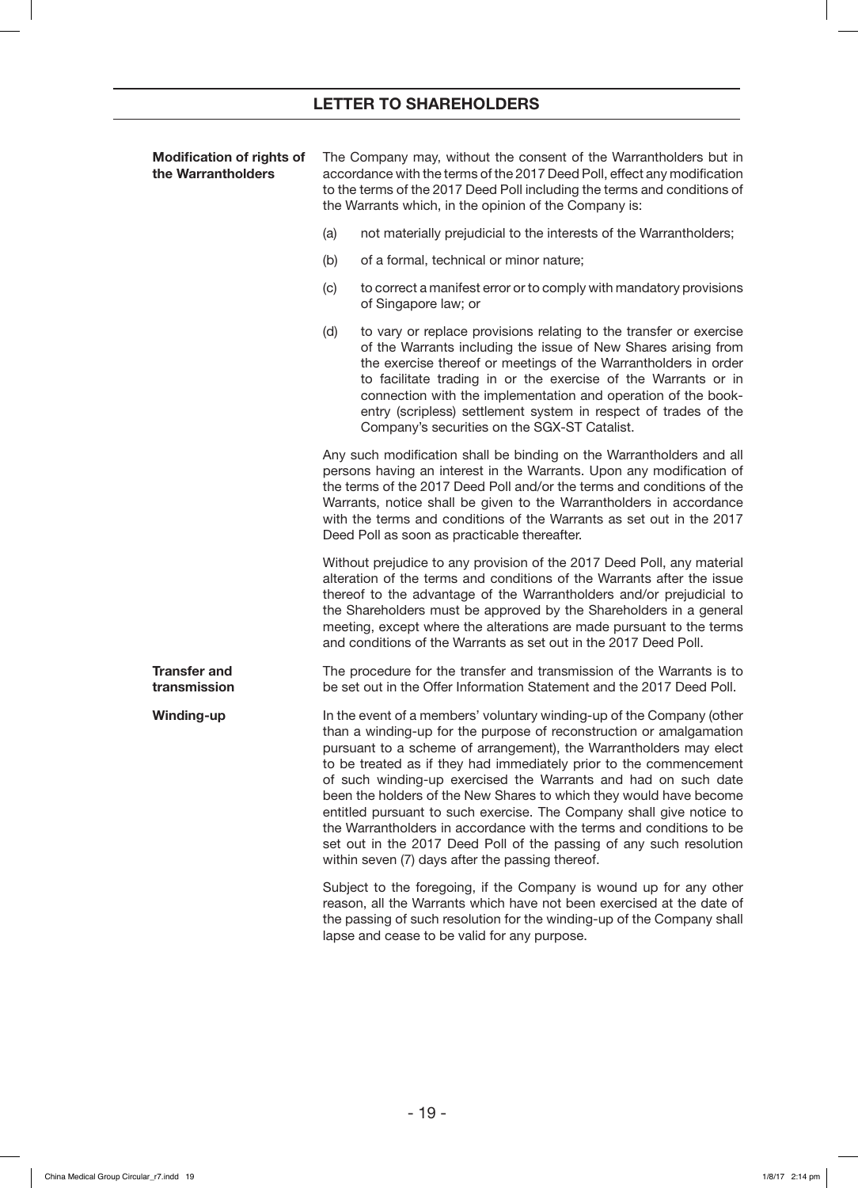| <b>Modification of rights of</b><br>the Warrantholders |     | The Company may, without the consent of the Warrantholders but in<br>accordance with the terms of the 2017 Deed Poll, effect any modification<br>to the terms of the 2017 Deed Poll including the terms and conditions of                                                                                                                                                                                                                                                                                                                                                                                                                                                                                   |  |  |  |
|--------------------------------------------------------|-----|-------------------------------------------------------------------------------------------------------------------------------------------------------------------------------------------------------------------------------------------------------------------------------------------------------------------------------------------------------------------------------------------------------------------------------------------------------------------------------------------------------------------------------------------------------------------------------------------------------------------------------------------------------------------------------------------------------------|--|--|--|
|                                                        |     | the Warrants which, in the opinion of the Company is:                                                                                                                                                                                                                                                                                                                                                                                                                                                                                                                                                                                                                                                       |  |  |  |
|                                                        | (a) | not materially prejudicial to the interests of the Warrantholders;                                                                                                                                                                                                                                                                                                                                                                                                                                                                                                                                                                                                                                          |  |  |  |
|                                                        | (b) | of a formal, technical or minor nature;                                                                                                                                                                                                                                                                                                                                                                                                                                                                                                                                                                                                                                                                     |  |  |  |
|                                                        | (c) | to correct a manifest error or to comply with mandatory provisions<br>of Singapore law; or                                                                                                                                                                                                                                                                                                                                                                                                                                                                                                                                                                                                                  |  |  |  |
|                                                        | (d) | to vary or replace provisions relating to the transfer or exercise<br>of the Warrants including the issue of New Shares arising from<br>the exercise thereof or meetings of the Warrantholders in order<br>to facilitate trading in or the exercise of the Warrants or in<br>connection with the implementation and operation of the book-<br>entry (scripless) settlement system in respect of trades of the<br>Company's securities on the SGX-ST Catalist.                                                                                                                                                                                                                                               |  |  |  |
|                                                        |     | Any such modification shall be binding on the Warrantholders and all<br>persons having an interest in the Warrants. Upon any modification of<br>the terms of the 2017 Deed Poll and/or the terms and conditions of the<br>Warrants, notice shall be given to the Warrantholders in accordance<br>with the terms and conditions of the Warrants as set out in the 2017<br>Deed Poll as soon as practicable thereafter.                                                                                                                                                                                                                                                                                       |  |  |  |
|                                                        |     | Without prejudice to any provision of the 2017 Deed Poll, any material<br>alteration of the terms and conditions of the Warrants after the issue<br>thereof to the advantage of the Warrantholders and/or prejudicial to<br>the Shareholders must be approved by the Shareholders in a general<br>meeting, except where the alterations are made pursuant to the terms<br>and conditions of the Warrants as set out in the 2017 Deed Poll.                                                                                                                                                                                                                                                                  |  |  |  |
| <b>Transfer and</b><br>transmission                    |     | The procedure for the transfer and transmission of the Warrants is to<br>be set out in the Offer Information Statement and the 2017 Deed Poll.                                                                                                                                                                                                                                                                                                                                                                                                                                                                                                                                                              |  |  |  |
| <b>Winding-up</b>                                      |     | In the event of a members' voluntary winding-up of the Company (other<br>than a winding-up for the purpose of reconstruction or amalgamation<br>pursuant to a scheme of arrangement), the Warrantholders may elect<br>to be treated as if they had immediately prior to the commencement<br>of such winding-up exercised the Warrants and had on such date<br>been the holders of the New Shares to which they would have become<br>entitled pursuant to such exercise. The Company shall give notice to<br>the Warrantholders in accordance with the terms and conditions to be<br>set out in the 2017 Deed Poll of the passing of any such resolution<br>within seven (7) days after the passing thereof. |  |  |  |
|                                                        |     | Subject to the foregoing, if the Company is wound up for any other<br>reason, all the Warrants which have not been exercised at the date of<br>the passing of such resolution for the winding-up of the Company shall                                                                                                                                                                                                                                                                                                                                                                                                                                                                                       |  |  |  |

lapse and cease to be valid for any purpose.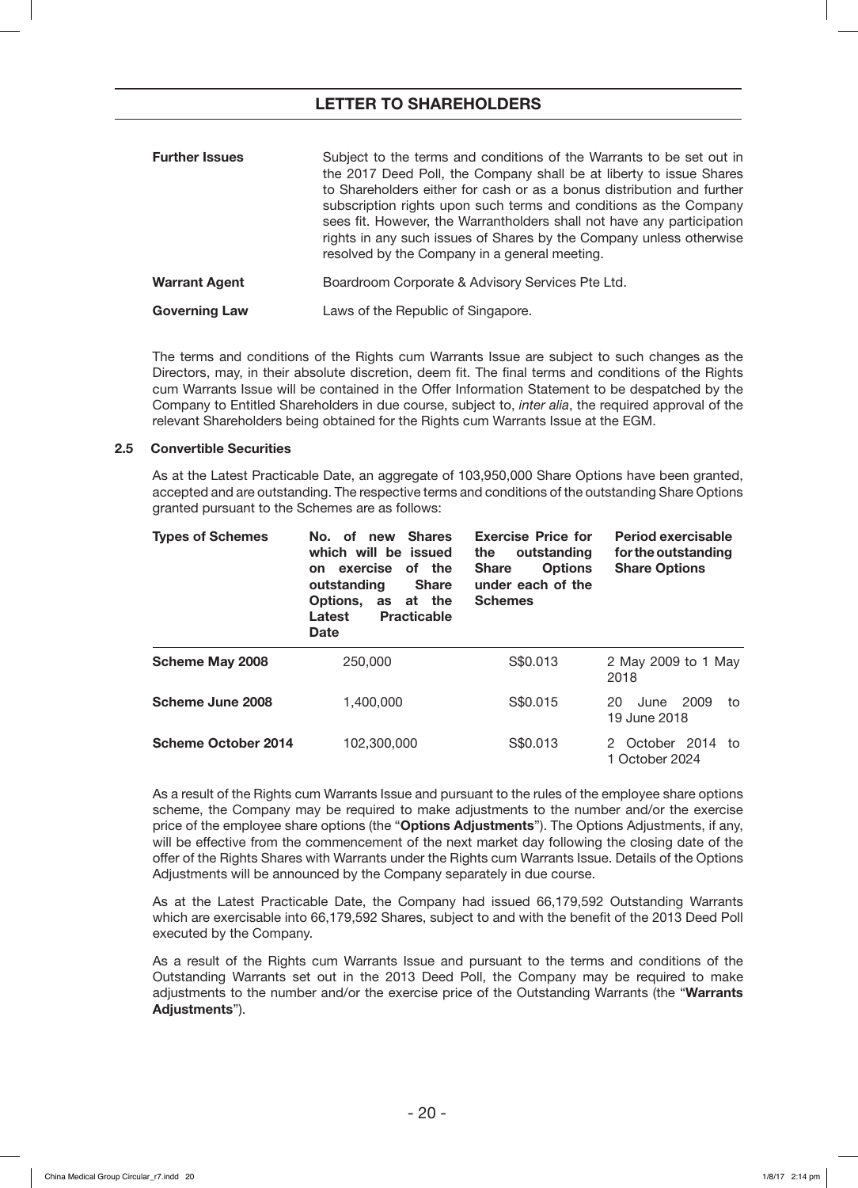| <b>Further Issues</b> | Subject to the terms and conditions of the Warrants to be set out in<br>the 2017 Deed Poll, the Company shall be at liberty to issue Shares<br>to Shareholders either for cash or as a bonus distribution and further<br>subscription rights upon such terms and conditions as the Company<br>sees fit. However, the Warrantholders shall not have any participation<br>rights in any such issues of Shares by the Company unless otherwise<br>resolved by the Company in a general meeting. |
|-----------------------|----------------------------------------------------------------------------------------------------------------------------------------------------------------------------------------------------------------------------------------------------------------------------------------------------------------------------------------------------------------------------------------------------------------------------------------------------------------------------------------------|
| <b>Warrant Agent</b>  | Boardroom Corporate & Advisory Services Pte Ltd.                                                                                                                                                                                                                                                                                                                                                                                                                                             |

Governing Law Laws of the Republic of Singapore.

The terms and conditions of the Rights cum Warrants Issue are subject to such changes as the Directors, may, in their absolute discretion, deem fit. The final terms and conditions of the Rights cum Warrants Issue will be contained in the Offer Information Statement to be despatched by the Company to Entitled Shareholders in due course, subject to, *inter alia*, the required approval of the relevant Shareholders being obtained for the Rights cum Warrants Issue at the EGM.

#### 2.5 Convertible Securities

As at the Latest Practicable Date, an aggregate of 103,950,000 Share Options have been granted, accepted and are outstanding. The respective terms and conditions of the outstanding Share Options granted pursuant to the Schemes are as follows:

| <b>Types of Schemes</b>    | No. of new Shares<br>which will be issued<br>on exercise of the<br><b>Share</b><br>outstanding<br>Options.<br>as at the<br><b>Practicable</b><br>Latest<br>Date | <b>Exercise Price for</b><br>outstanding<br>the<br><b>Options</b><br><b>Share</b><br>under each of the<br><b>Schemes</b> | <b>Period exercisable</b><br>for the outstanding<br><b>Share Options</b> |  |
|----------------------------|-----------------------------------------------------------------------------------------------------------------------------------------------------------------|--------------------------------------------------------------------------------------------------------------------------|--------------------------------------------------------------------------|--|
| <b>Scheme May 2008</b>     | 250,000                                                                                                                                                         | S\$0.013                                                                                                                 | 2 May 2009 to 1 May<br>2018                                              |  |
| Scheme June 2008           | 1,400,000                                                                                                                                                       | S\$0.015                                                                                                                 | 2009<br>June<br>20<br>to<br>19 June 2018                                 |  |
| <b>Scheme October 2014</b> | 102,300,000                                                                                                                                                     | S\$0.013                                                                                                                 | October 2014 to<br>2<br>1 October 2024                                   |  |

As a result of the Rights cum Warrants Issue and pursuant to the rules of the employee share options scheme, the Company may be required to make adjustments to the number and/or the exercise price of the employee share options (the "Options Adjustments"). The Options Adjustments, if any, will be effective from the commencement of the next market day following the closing date of the offer of the Rights Shares with Warrants under the Rights cum Warrants Issue. Details of the Options Adjustments will be announced by the Company separately in due course.

As at the Latest Practicable Date, the Company had issued 66,179,592 Outstanding Warrants which are exercisable into 66,179,592 Shares, subject to and with the benefit of the 2013 Deed Poll executed by the Company.

As a result of the Rights cum Warrants Issue and pursuant to the terms and conditions of the Outstanding Warrants set out in the 2013 Deed Poll, the Company may be required to make adjustments to the number and/or the exercise price of the Outstanding Warrants (the "Warrants Adjustments").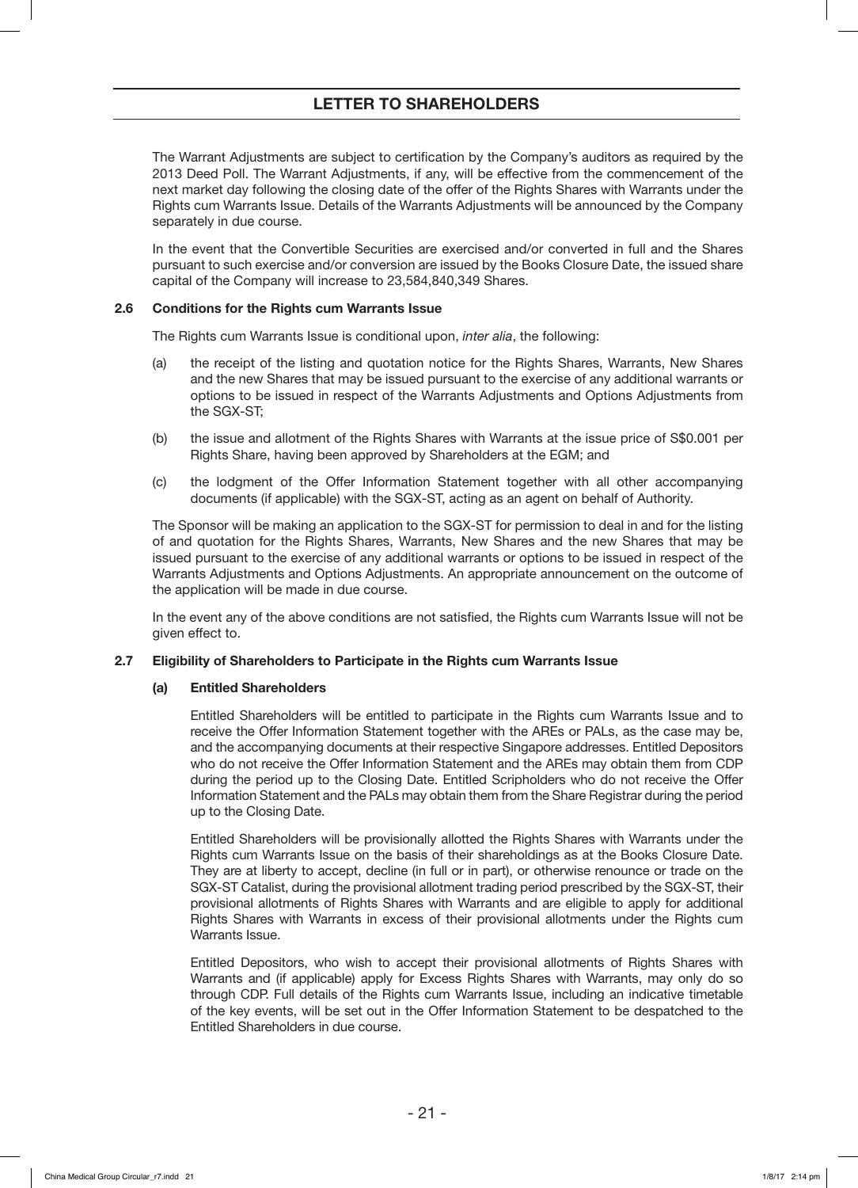The Warrant Adjustments are subject to certification by the Company's auditors as required by the 2013 Deed Poll. The Warrant Adjustments, if any, will be effective from the commencement of the next market day following the closing date of the offer of the Rights Shares with Warrants under the Rights cum Warrants Issue. Details of the Warrants Adjustments will be announced by the Company separately in due course.

In the event that the Convertible Securities are exercised and/or converted in full and the Shares pursuant to such exercise and/or conversion are issued by the Books Closure Date, the issued share capital of the Company will increase to 23,584,840,349 Shares.

#### 2.6 Conditions for the Rights cum Warrants Issue

The Rights cum Warrants Issue is conditional upon, *inter alia*, the following:

- (a) the receipt of the listing and quotation notice for the Rights Shares, Warrants, New Shares and the new Shares that may be issued pursuant to the exercise of any additional warrants or options to be issued in respect of the Warrants Adjustments and Options Adjustments from the SGX-ST;
- (b) the issue and allotment of the Rights Shares with Warrants at the issue price of S\$0.001 per Rights Share, having been approved by Shareholders at the EGM; and
- (c) the lodgment of the Offer Information Statement together with all other accompanying documents (if applicable) with the SGX-ST, acting as an agent on behalf of Authority.

The Sponsor will be making an application to the SGX-ST for permission to deal in and for the listing of and quotation for the Rights Shares, Warrants, New Shares and the new Shares that may be issued pursuant to the exercise of any additional warrants or options to be issued in respect of the Warrants Adjustments and Options Adjustments. An appropriate announcement on the outcome of the application will be made in due course.

In the event any of the above conditions are not satisfied, the Rights cum Warrants Issue will not be given effect to.

#### 2.7 Eligibility of Shareholders to Participate in the Rights cum Warrants Issue

#### (a) Entitled Shareholders

Entitled Shareholders will be entitled to participate in the Rights cum Warrants Issue and to receive the Offer Information Statement together with the AREs or PALs, as the case may be, and the accompanying documents at their respective Singapore addresses. Entitled Depositors who do not receive the Offer Information Statement and the AREs may obtain them from CDP during the period up to the Closing Date. Entitled Scripholders who do not receive the Offer Information Statement and the PALs may obtain them from the Share Registrar during the period up to the Closing Date.

Entitled Shareholders will be provisionally allotted the Rights Shares with Warrants under the Rights cum Warrants Issue on the basis of their shareholdings as at the Books Closure Date. They are at liberty to accept, decline (in full or in part), or otherwise renounce or trade on the SGX-ST Catalist, during the provisional allotment trading period prescribed by the SGX-ST, their provisional allotments of Rights Shares with Warrants and are eligible to apply for additional Rights Shares with Warrants in excess of their provisional allotments under the Rights cum Warrants Issue.

Entitled Depositors, who wish to accept their provisional allotments of Rights Shares with Warrants and (if applicable) apply for Excess Rights Shares with Warrants, may only do so through CDP. Full details of the Rights cum Warrants Issue, including an indicative timetable of the key events, will be set out in the Offer Information Statement to be despatched to the Entitled Shareholders in due course.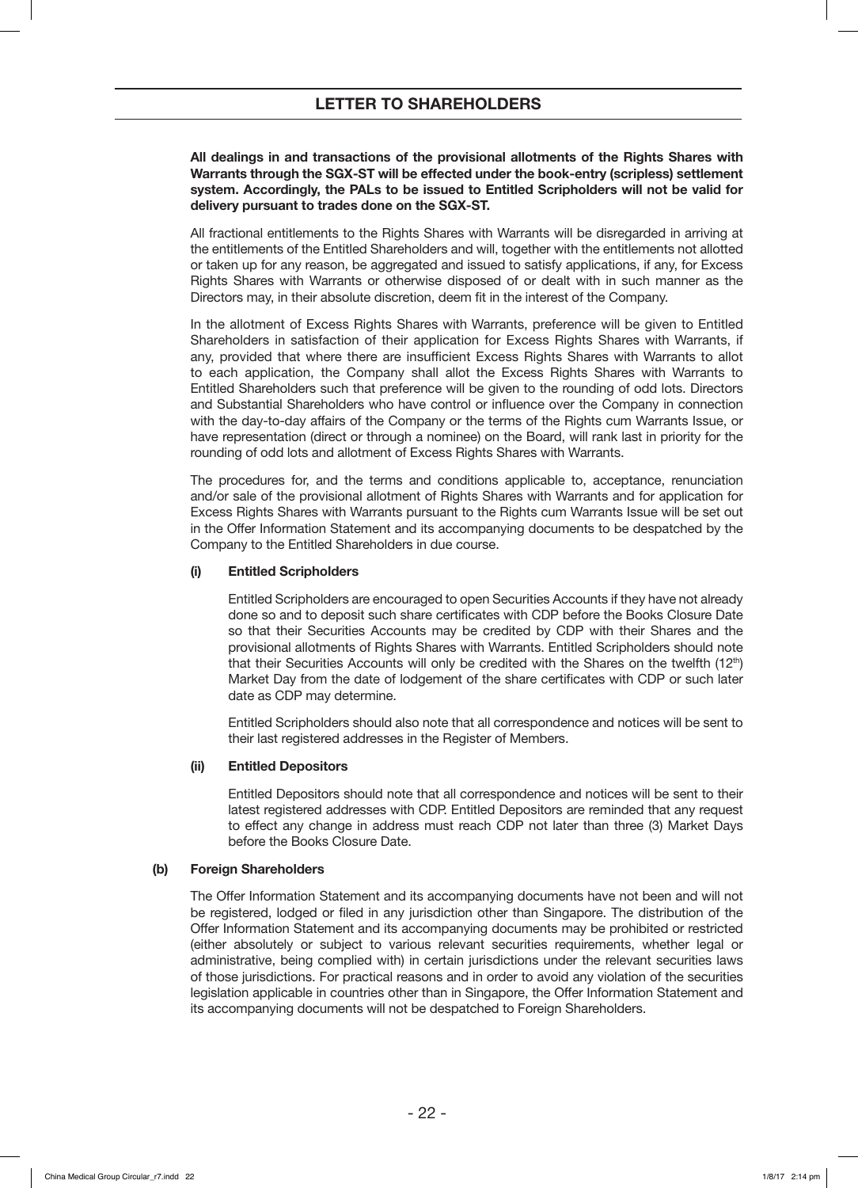#### All dealings in and transactions of the provisional allotments of the Rights Shares with Warrants through the SGX-ST will be effected under the book-entry (scripless) settlement system. Accordingly, the PALs to be issued to Entitled Scripholders will not be valid for delivery pursuant to trades done on the SGX-ST.

All fractional entitlements to the Rights Shares with Warrants will be disregarded in arriving at the entitlements of the Entitled Shareholders and will, together with the entitlements not allotted or taken up for any reason, be aggregated and issued to satisfy applications, if any, for Excess Rights Shares with Warrants or otherwise disposed of or dealt with in such manner as the Directors may, in their absolute discretion, deem fit in the interest of the Company.

In the allotment of Excess Rights Shares with Warrants, preference will be given to Entitled Shareholders in satisfaction of their application for Excess Rights Shares with Warrants, if any, provided that where there are insufficient Excess Rights Shares with Warrants to allot to each application, the Company shall allot the Excess Rights Shares with Warrants to Entitled Shareholders such that preference will be given to the rounding of odd lots. Directors and Substantial Shareholders who have control or influence over the Company in connection with the day-to-day affairs of the Company or the terms of the Rights cum Warrants Issue, or have representation (direct or through a nominee) on the Board, will rank last in priority for the rounding of odd lots and allotment of Excess Rights Shares with Warrants.

The procedures for, and the terms and conditions applicable to, acceptance, renunciation and/or sale of the provisional allotment of Rights Shares with Warrants and for application for Excess Rights Shares with Warrants pursuant to the Rights cum Warrants Issue will be set out in the Offer Information Statement and its accompanying documents to be despatched by the Company to the Entitled Shareholders in due course.

#### (i) Entitled Scripholders

Entitled Scripholders are encouraged to open Securities Accounts if they have not already done so and to deposit such share certificates with CDP before the Books Closure Date so that their Securities Accounts may be credited by CDP with their Shares and the provisional allotments of Rights Shares with Warrants. Entitled Scripholders should note that their Securities Accounts will only be credited with the Shares on the twelfth (12<sup>th</sup>) Market Day from the date of lodgement of the share certificates with CDP or such later date as CDP may determine.

Entitled Scripholders should also note that all correspondence and notices will be sent to their last registered addresses in the Register of Members.

#### (ii) Entitled Depositors

Entitled Depositors should note that all correspondence and notices will be sent to their latest registered addresses with CDP. Entitled Depositors are reminded that any request to effect any change in address must reach CDP not later than three (3) Market Days before the Books Closure Date.

#### (b) Foreign Shareholders

The Offer Information Statement and its accompanying documents have not been and will not be registered, lodged or filed in any jurisdiction other than Singapore. The distribution of the Offer Information Statement and its accompanying documents may be prohibited or restricted (either absolutely or subject to various relevant securities requirements, whether legal or administrative, being complied with) in certain jurisdictions under the relevant securities laws of those jurisdictions. For practical reasons and in order to avoid any violation of the securities legislation applicable in countries other than in Singapore, the Offer Information Statement and its accompanying documents will not be despatched to Foreign Shareholders.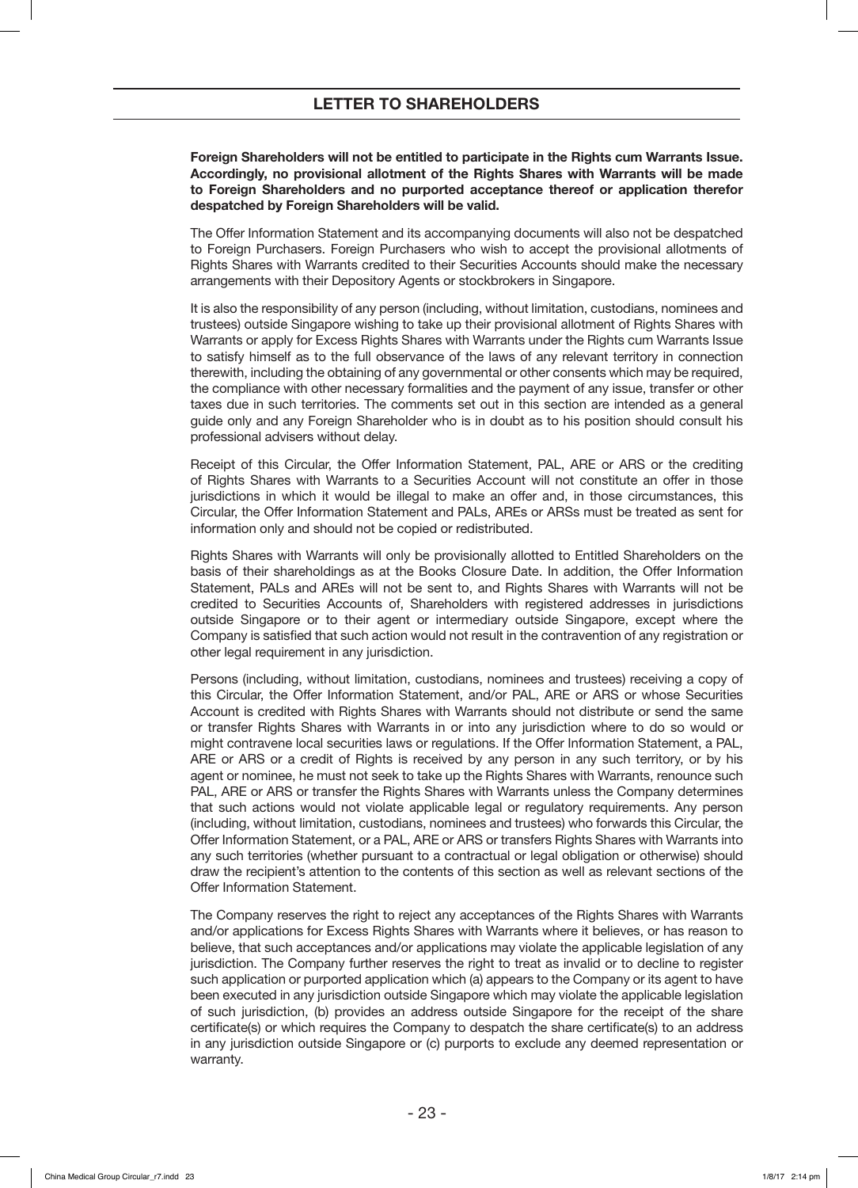Foreign Shareholders will not be entitled to participate in the Rights cum Warrants Issue. Accordingly, no provisional allotment of the Rights Shares with Warrants will be made to Foreign Shareholders and no purported acceptance thereof or application therefor despatched by Foreign Shareholders will be valid.

The Offer Information Statement and its accompanying documents will also not be despatched to Foreign Purchasers. Foreign Purchasers who wish to accept the provisional allotments of Rights Shares with Warrants credited to their Securities Accounts should make the necessary arrangements with their Depository Agents or stockbrokers in Singapore.

It is also the responsibility of any person (including, without limitation, custodians, nominees and trustees) outside Singapore wishing to take up their provisional allotment of Rights Shares with Warrants or apply for Excess Rights Shares with Warrants under the Rights cum Warrants Issue to satisfy himself as to the full observance of the laws of any relevant territory in connection therewith, including the obtaining of any governmental or other consents which may be required, the compliance with other necessary formalities and the payment of any issue, transfer or other taxes due in such territories. The comments set out in this section are intended as a general guide only and any Foreign Shareholder who is in doubt as to his position should consult his professional advisers without delay.

Receipt of this Circular, the Offer Information Statement, PAL, ARE or ARS or the crediting of Rights Shares with Warrants to a Securities Account will not constitute an offer in those jurisdictions in which it would be illegal to make an offer and, in those circumstances, this Circular, the Offer Information Statement and PALs, AREs or ARSs must be treated as sent for information only and should not be copied or redistributed.

Rights Shares with Warrants will only be provisionally allotted to Entitled Shareholders on the basis of their shareholdings as at the Books Closure Date. In addition, the Offer Information Statement, PALs and AREs will not be sent to, and Rights Shares with Warrants will not be credited to Securities Accounts of, Shareholders with registered addresses in jurisdictions outside Singapore or to their agent or intermediary outside Singapore, except where the Company is satisfied that such action would not result in the contravention of any registration or other legal requirement in any jurisdiction.

Persons (including, without limitation, custodians, nominees and trustees) receiving a copy of this Circular, the Offer Information Statement, and/or PAL, ARE or ARS or whose Securities Account is credited with Rights Shares with Warrants should not distribute or send the same or transfer Rights Shares with Warrants in or into any jurisdiction where to do so would or might contravene local securities laws or regulations. If the Offer Information Statement, a PAL, ARE or ARS or a credit of Rights is received by any person in any such territory, or by his agent or nominee, he must not seek to take up the Rights Shares with Warrants, renounce such PAL, ARE or ARS or transfer the Rights Shares with Warrants unless the Company determines that such actions would not violate applicable legal or regulatory requirements. Any person (including, without limitation, custodians, nominees and trustees) who forwards this Circular, the Offer Information Statement, or a PAL, ARE or ARS or transfers Rights Shares with Warrants into any such territories (whether pursuant to a contractual or legal obligation or otherwise) should draw the recipient's attention to the contents of this section as well as relevant sections of the Offer Information Statement.

The Company reserves the right to reject any acceptances of the Rights Shares with Warrants and/or applications for Excess Rights Shares with Warrants where it believes, or has reason to believe, that such acceptances and/or applications may violate the applicable legislation of any jurisdiction. The Company further reserves the right to treat as invalid or to decline to register such application or purported application which (a) appears to the Company or its agent to have been executed in any jurisdiction outside Singapore which may violate the applicable legislation of such jurisdiction, (b) provides an address outside Singapore for the receipt of the share certificate(s) or which requires the Company to despatch the share certificate(s) to an address in any jurisdiction outside Singapore or (c) purports to exclude any deemed representation or warranty.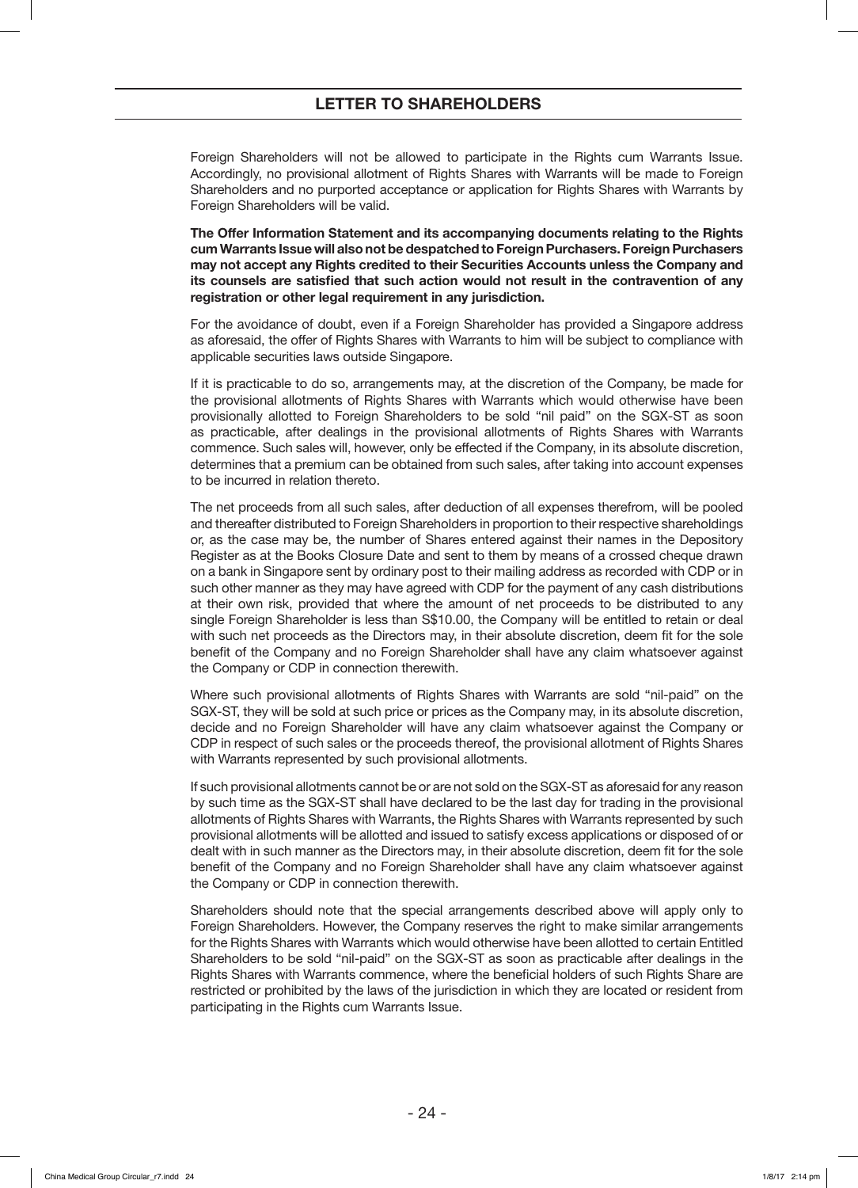Foreign Shareholders will not be allowed to participate in the Rights cum Warrants Issue. Accordingly, no provisional allotment of Rights Shares with Warrants will be made to Foreign Shareholders and no purported acceptance or application for Rights Shares with Warrants by Foreign Shareholders will be valid.

The Offer Information Statement and its accompanying documents relating to the Rights cum Warrants Issue will also not be despatched to Foreign Purchasers. Foreign Purchasers may not accept any Rights credited to their Securities Accounts unless the Company and its counsels are satisfied that such action would not result in the contravention of any registration or other legal requirement in any jurisdiction.

For the avoidance of doubt, even if a Foreign Shareholder has provided a Singapore address as aforesaid, the offer of Rights Shares with Warrants to him will be subject to compliance with applicable securities laws outside Singapore.

If it is practicable to do so, arrangements may, at the discretion of the Company, be made for the provisional allotments of Rights Shares with Warrants which would otherwise have been provisionally allotted to Foreign Shareholders to be sold "nil paid" on the SGX-ST as soon as practicable, after dealings in the provisional allotments of Rights Shares with Warrants commence. Such sales will, however, only be effected if the Company, in its absolute discretion, determines that a premium can be obtained from such sales, after taking into account expenses to be incurred in relation thereto.

The net proceeds from all such sales, after deduction of all expenses therefrom, will be pooled and thereafter distributed to Foreign Shareholders in proportion to their respective shareholdings or, as the case may be, the number of Shares entered against their names in the Depository Register as at the Books Closure Date and sent to them by means of a crossed cheque drawn on a bank in Singapore sent by ordinary post to their mailing address as recorded with CDP or in such other manner as they may have agreed with CDP for the payment of any cash distributions at their own risk, provided that where the amount of net proceeds to be distributed to any single Foreign Shareholder is less than S\$10.00, the Company will be entitled to retain or deal with such net proceeds as the Directors may, in their absolute discretion, deem fit for the sole benefit of the Company and no Foreign Shareholder shall have any claim whatsoever against the Company or CDP in connection therewith.

Where such provisional allotments of Rights Shares with Warrants are sold "nil-paid" on the SGX-ST, they will be sold at such price or prices as the Company may, in its absolute discretion, decide and no Foreign Shareholder will have any claim whatsoever against the Company or CDP in respect of such sales or the proceeds thereof, the provisional allotment of Rights Shares with Warrants represented by such provisional allotments.

If such provisional allotments cannot be or are not sold on the SGX-ST as aforesaid for any reason by such time as the SGX-ST shall have declared to be the last day for trading in the provisional allotments of Rights Shares with Warrants, the Rights Shares with Warrants represented by such provisional allotments will be allotted and issued to satisfy excess applications or disposed of or dealt with in such manner as the Directors may, in their absolute discretion, deem fit for the sole benefit of the Company and no Foreign Shareholder shall have any claim whatsoever against the Company or CDP in connection therewith.

Shareholders should note that the special arrangements described above will apply only to Foreign Shareholders. However, the Company reserves the right to make similar arrangements for the Rights Shares with Warrants which would otherwise have been allotted to certain Entitled Shareholders to be sold "nil-paid" on the SGX-ST as soon as practicable after dealings in the Rights Shares with Warrants commence, where the beneficial holders of such Rights Share are restricted or prohibited by the laws of the jurisdiction in which they are located or resident from participating in the Rights cum Warrants Issue.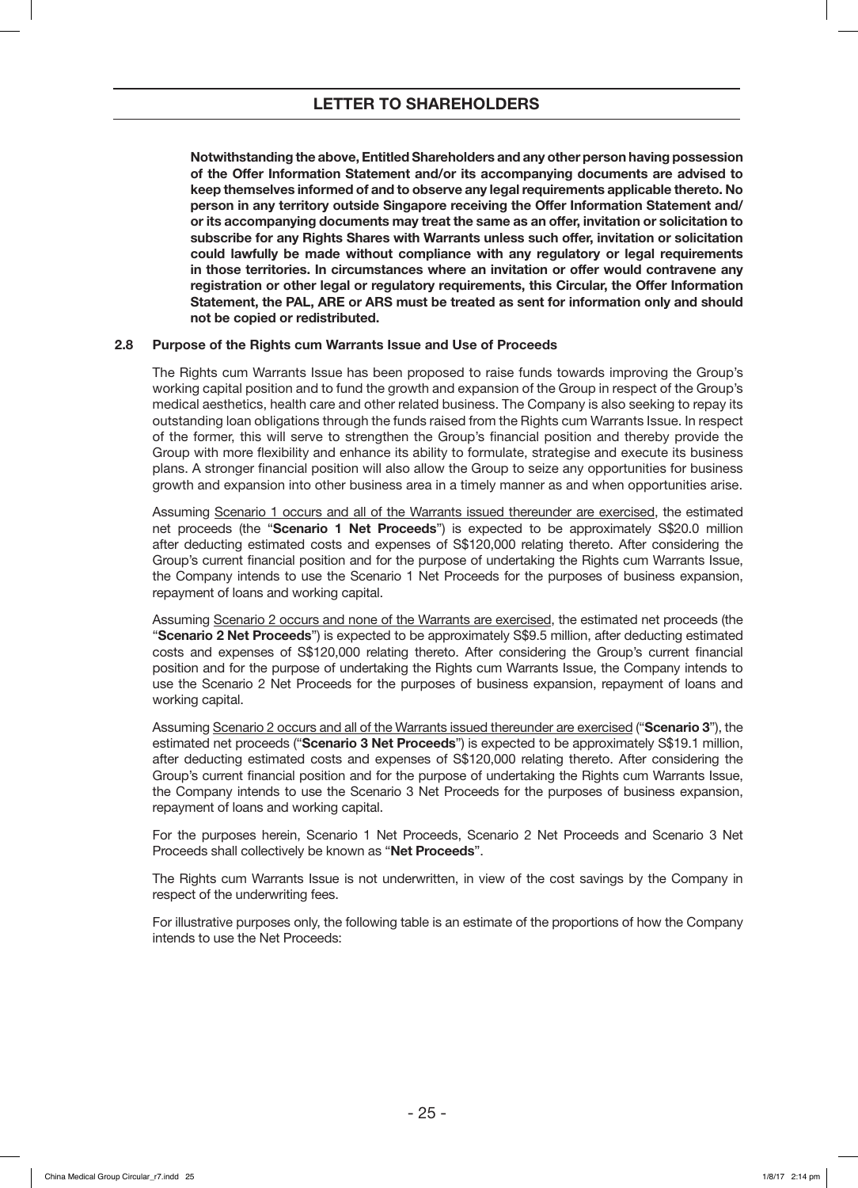Notwithstanding the above, Entitled Shareholders and any other person having possession of the Offer Information Statement and/or its accompanying documents are advised to keep themselves informed of and to observe any legal requirements applicable thereto. No person in any territory outside Singapore receiving the Offer Information Statement and/ or its accompanying documents may treat the same as an offer, invitation or solicitation to subscribe for any Rights Shares with Warrants unless such offer, invitation or solicitation could lawfully be made without compliance with any regulatory or legal requirements in those territories. In circumstances where an invitation or offer would contravene any registration or other legal or regulatory requirements, this Circular, the Offer Information Statement, the PAL, ARE or ARS must be treated as sent for information only and should not be copied or redistributed.

#### 2.8 Purpose of the Rights cum Warrants Issue and Use of Proceeds

The Rights cum Warrants Issue has been proposed to raise funds towards improving the Group's working capital position and to fund the growth and expansion of the Group in respect of the Group's medical aesthetics, health care and other related business. The Company is also seeking to repay its outstanding loan obligations through the funds raised from the Rights cum Warrants Issue. In respect of the former, this will serve to strengthen the Group's financial position and thereby provide the Group with more flexibility and enhance its ability to formulate, strategise and execute its business plans. A stronger financial position will also allow the Group to seize any opportunities for business growth and expansion into other business area in a timely manner as and when opportunities arise.

Assuming Scenario 1 occurs and all of the Warrants issued thereunder are exercised, the estimated net proceeds (the "Scenario 1 Net Proceeds") is expected to be approximately S\$20.0 million after deducting estimated costs and expenses of S\$120,000 relating thereto. After considering the Group's current financial position and for the purpose of undertaking the Rights cum Warrants Issue, the Company intends to use the Scenario 1 Net Proceeds for the purposes of business expansion, repayment of loans and working capital.

Assuming Scenario 2 occurs and none of the Warrants are exercised, the estimated net proceeds (the "Scenario 2 Net Proceeds") is expected to be approximately S\$9.5 million, after deducting estimated costs and expenses of S\$120,000 relating thereto. After considering the Group's current financial position and for the purpose of undertaking the Rights cum Warrants Issue, the Company intends to use the Scenario 2 Net Proceeds for the purposes of business expansion, repayment of loans and working capital.

Assuming Scenario 2 occurs and all of the Warrants issued thereunder are exercised ("Scenario 3"), the estimated net proceeds ("Scenario 3 Net Proceeds") is expected to be approximately S\$19.1 million, after deducting estimated costs and expenses of S\$120,000 relating thereto. After considering the Group's current financial position and for the purpose of undertaking the Rights cum Warrants Issue, the Company intends to use the Scenario 3 Net Proceeds for the purposes of business expansion, repayment of loans and working capital.

For the purposes herein, Scenario 1 Net Proceeds, Scenario 2 Net Proceeds and Scenario 3 Net Proceeds shall collectively be known as "Net Proceeds".

The Rights cum Warrants Issue is not underwritten, in view of the cost savings by the Company in respect of the underwriting fees.

For illustrative purposes only, the following table is an estimate of the proportions of how the Company intends to use the Net Proceeds: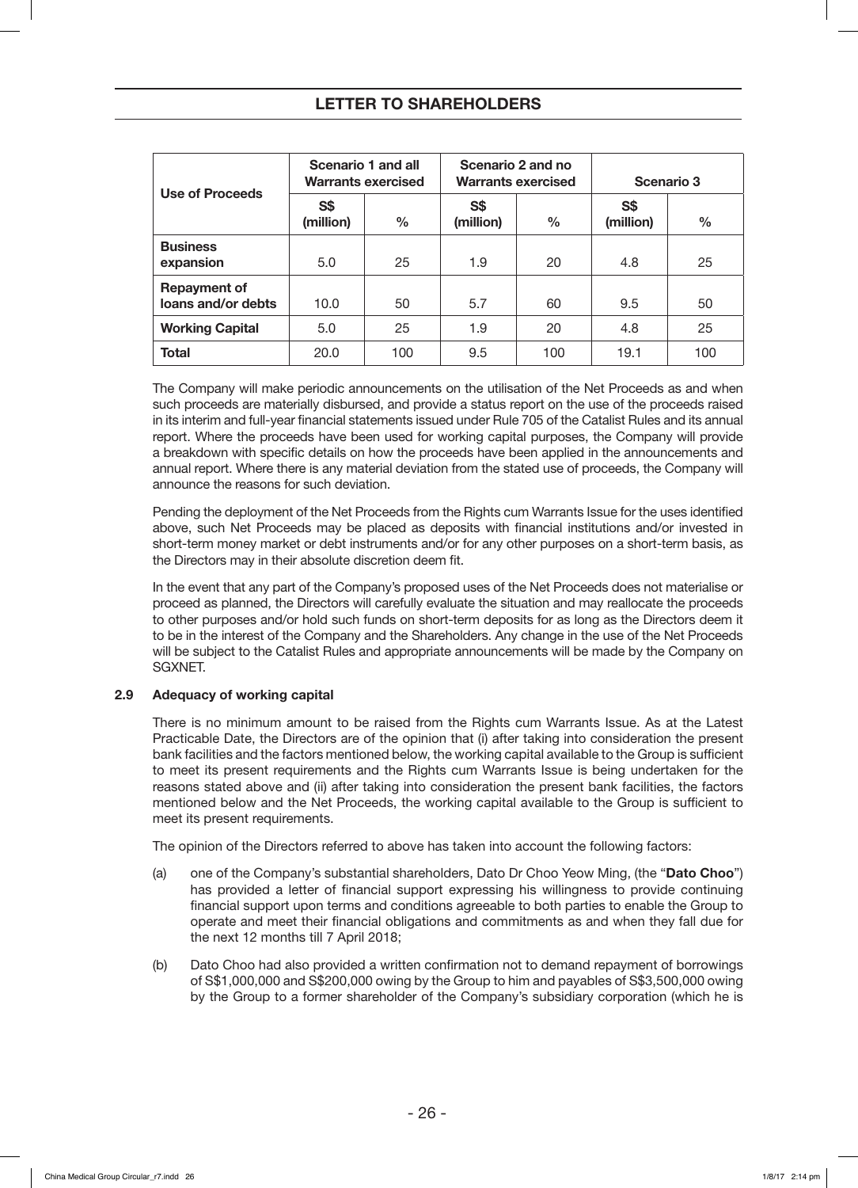|                                           | Scenario 1 and all<br><b>Warrants exercised</b> |      | Scenario 2 and no<br><b>Warrants exercised</b> |               | Scenario 3              |               |
|-------------------------------------------|-------------------------------------------------|------|------------------------------------------------|---------------|-------------------------|---------------|
| Use of Proceeds                           | <b>S\$</b><br>(million)                         | $\%$ | <b>S\$</b><br>(million)                        | $\frac{0}{0}$ | <b>S\$</b><br>(million) | $\frac{0}{0}$ |
| <b>Business</b><br>expansion              | 5.0                                             | 25   | 1.9                                            | 20            | 4.8                     | 25            |
| <b>Repayment of</b><br>loans and/or debts | 10.0                                            | 50   | 5.7                                            | 60            | 9.5                     | 50            |
| <b>Working Capital</b>                    | 5.0                                             | 25   | 1.9                                            | 20            | 4.8                     | 25            |
| <b>Total</b>                              | 20.0                                            | 100  | 9.5                                            | 100           | 19.1                    | 100           |

The Company will make periodic announcements on the utilisation of the Net Proceeds as and when such proceeds are materially disbursed, and provide a status report on the use of the proceeds raised in its interim and full-year financial statements issued under Rule 705 of the Catalist Rules and its annual report. Where the proceeds have been used for working capital purposes, the Company will provide a breakdown with specific details on how the proceeds have been applied in the announcements and annual report. Where there is any material deviation from the stated use of proceeds, the Company will announce the reasons for such deviation.

Pending the deployment of the Net Proceeds from the Rights cum Warrants Issue for the uses identified above, such Net Proceeds may be placed as deposits with financial institutions and/or invested in short-term money market or debt instruments and/or for any other purposes on a short-term basis, as the Directors may in their absolute discretion deem fit.

In the event that any part of the Company's proposed uses of the Net Proceeds does not materialise or proceed as planned, the Directors will carefully evaluate the situation and may reallocate the proceeds to other purposes and/or hold such funds on short-term deposits for as long as the Directors deem it to be in the interest of the Company and the Shareholders. Any change in the use of the Net Proceeds will be subject to the Catalist Rules and appropriate announcements will be made by the Company on SGXNET.

#### 2.9 Adequacy of working capital

There is no minimum amount to be raised from the Rights cum Warrants Issue. As at the Latest Practicable Date, the Directors are of the opinion that (i) after taking into consideration the present bank facilities and the factors mentioned below, the working capital available to the Group is sufficient to meet its present requirements and the Rights cum Warrants Issue is being undertaken for the reasons stated above and (ii) after taking into consideration the present bank facilities, the factors mentioned below and the Net Proceeds, the working capital available to the Group is sufficient to meet its present requirements.

The opinion of the Directors referred to above has taken into account the following factors:

- (a) one of the Company's substantial shareholders, Dato Dr Choo Yeow Ming, (the "Dato Choo") has provided a letter of financial support expressing his willingness to provide continuing financial support upon terms and conditions agreeable to both parties to enable the Group to operate and meet their financial obligations and commitments as and when they fall due for the next 12 months till 7 April 2018;
- (b) Dato Choo had also provided a written confirmation not to demand repayment of borrowings of S\$1,000,000 and S\$200,000 owing by the Group to him and payables of S\$3,500,000 owing by the Group to a former shareholder of the Company's subsidiary corporation (which he is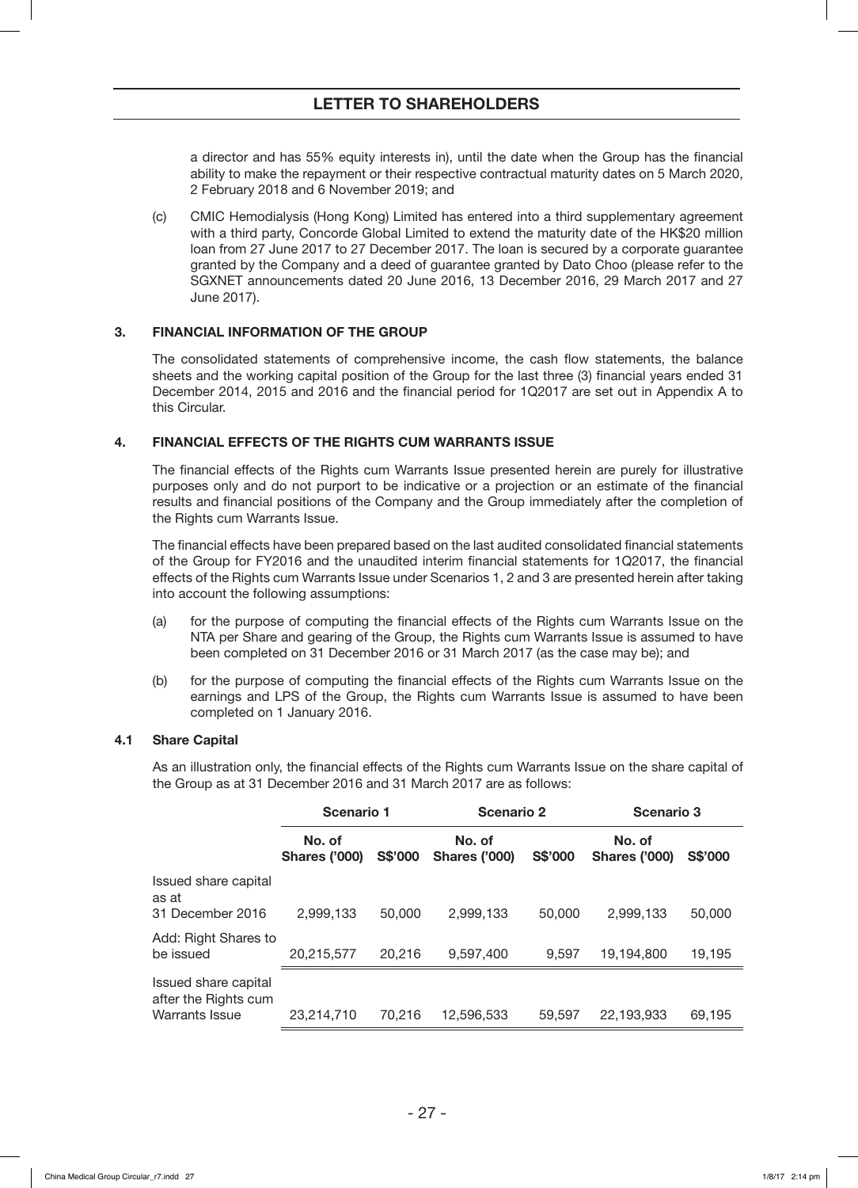a director and has 55% equity interests in), until the date when the Group has the financial ability to make the repayment or their respective contractual maturity dates on 5 March 2020, 2 February 2018 and 6 November 2019; and

(c) CMIC Hemodialysis (Hong Kong) Limited has entered into a third supplementary agreement with a third party, Concorde Global Limited to extend the maturity date of the HK\$20 million loan from 27 June 2017 to 27 December 2017. The loan is secured by a corporate guarantee granted by the Company and a deed of guarantee granted by Dato Choo (please refer to the SGXNET announcements dated 20 June 2016, 13 December 2016, 29 March 2017 and 27 June 2017).

#### 3. FINANCIAL INFORMATION OF THE GROUP

The consolidated statements of comprehensive income, the cash flow statements, the balance sheets and the working capital position of the Group for the last three (3) financial years ended 31 December 2014, 2015 and 2016 and the financial period for 1Q2017 are set out in Appendix A to this Circular.

#### 4. FINANCIAL EFFECTS OF THE RIGHTS CUM WARRANTS ISSUE

The financial effects of the Rights cum Warrants Issue presented herein are purely for illustrative purposes only and do not purport to be indicative or a projection or an estimate of the financial results and financial positions of the Company and the Group immediately after the completion of the Rights cum Warrants Issue.

The financial effects have been prepared based on the last audited consolidated financial statements of the Group for FY2016 and the unaudited interim financial statements for 1Q2017, the financial effects of the Rights cum Warrants Issue under Scenarios 1, 2 and 3 are presented herein after taking into account the following assumptions:

- (a) for the purpose of computing the financial effects of the Rights cum Warrants Issue on the NTA per Share and gearing of the Group, the Rights cum Warrants Issue is assumed to have been completed on 31 December 2016 or 31 March 2017 (as the case may be); and
- (b) for the purpose of computing the financial effects of the Rights cum Warrants Issue on the earnings and LPS of the Group, the Rights cum Warrants Issue is assumed to have been completed on 1 January 2016.

#### 4.1 Share Capital

As an illustration only, the financial effects of the Rights cum Warrants Issue on the share capital of the Group as at 31 December 2016 and 31 March 2017 are as follows:

|                                                                       |                                | Scenario 1 |                                | Scenario 2     |                                | Scenario 3 |
|-----------------------------------------------------------------------|--------------------------------|------------|--------------------------------|----------------|--------------------------------|------------|
|                                                                       | No. of<br><b>Shares ('000)</b> | S\$'000    | No. of<br><b>Shares ('000)</b> | <b>S\$'000</b> | No. of<br><b>Shares ('000)</b> | S\$'000    |
| Issued share capital<br>as at                                         |                                |            |                                |                |                                |            |
| 31 December 2016                                                      | 2.999.133                      | 50,000     | 2,999,133                      | 50,000         | 2.999.133                      | 50,000     |
| Add: Right Shares to<br>be issued                                     | 20,215,577                     | 20.216     | 9,597,400                      | 9.597          | 19.194.800                     | 19.195     |
| Issued share capital<br>after the Rights cum<br><b>Warrants Issue</b> | 23,214,710                     | 70.216     | 12,596,533                     | 59,597         | 22,193,933                     | 69.195     |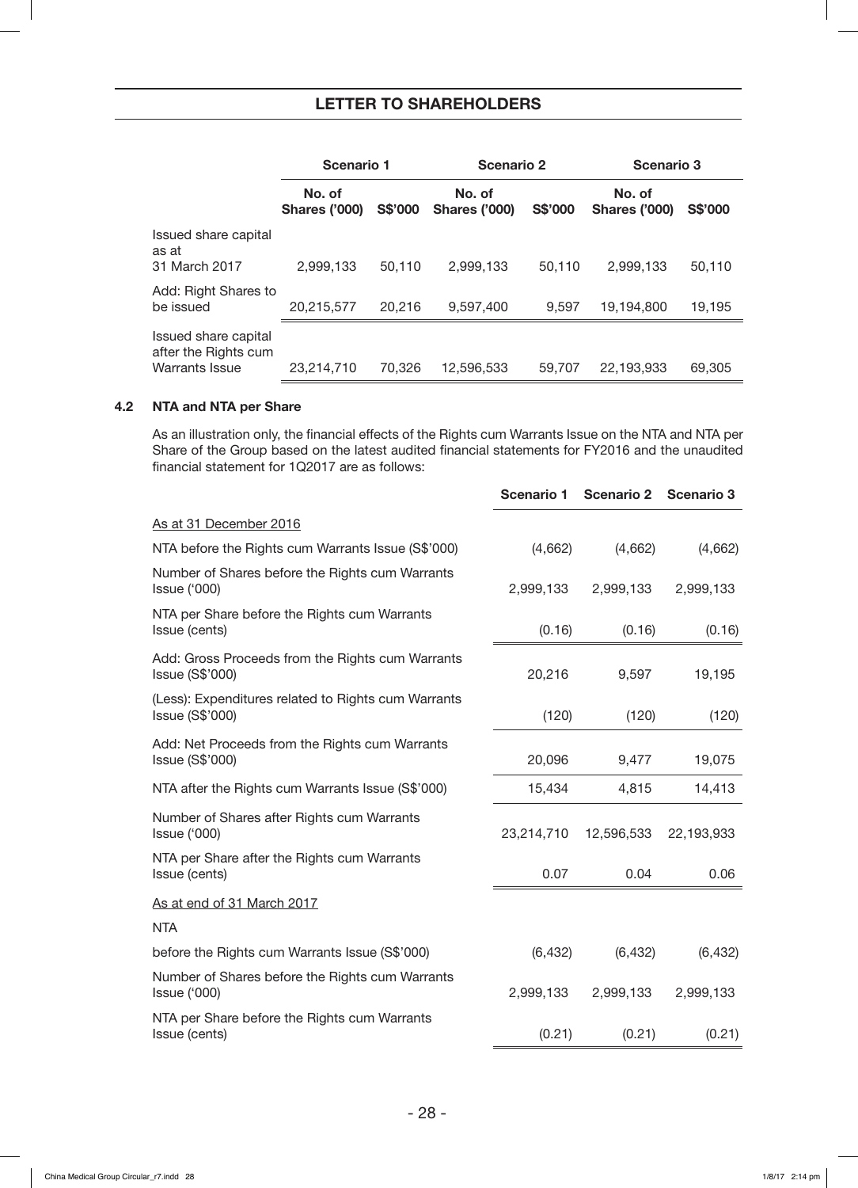|                                                                       | Scenario 1                     |                | Scenario 2                     |         | Scenario 3                     |                |
|-----------------------------------------------------------------------|--------------------------------|----------------|--------------------------------|---------|--------------------------------|----------------|
|                                                                       | No. of<br><b>Shares ('000)</b> | <b>S\$'000</b> | No. of<br><b>Shares ('000)</b> | S\$'000 | No. of<br><b>Shares ('000)</b> | <b>S\$'000</b> |
| Issued share capital<br>as at<br>31 March 2017                        | 2,999,133                      | 50,110         | 2,999,133                      | 50.110  | 2,999,133                      | 50,110         |
| Add: Right Shares to<br>be issued                                     | 20.215.577                     | 20.216         | 9.597.400                      | 9.597   | 19.194.800                     | 19.195         |
| Issued share capital<br>after the Rights cum<br><b>Warrants Issue</b> | 23,214,710                     | 70.326         | 12,596,533                     | 59.707  | 22,193,933                     | 69.305         |

#### 4.2 NTA and NTA per Share

As an illustration only, the financial effects of the Rights cum Warrants Issue on the NTA and NTA per Share of the Group based on the latest audited financial statements for FY2016 and the unaudited financial statement for 1Q2017 are as follows:

|                                                                               | Scenario 1 | <b>Scenario 2</b> | <b>Scenario 3</b> |
|-------------------------------------------------------------------------------|------------|-------------------|-------------------|
| As at 31 December 2016                                                        |            |                   |                   |
| NTA before the Rights cum Warrants Issue (S\$'000)                            | (4,662)    | (4,662)           | (4,662)           |
| Number of Shares before the Rights cum Warrants<br><b>Issue ('000)</b>        | 2,999,133  | 2,999,133         | 2,999,133         |
| NTA per Share before the Rights cum Warrants<br>Issue (cents)                 | (0.16)     | (0.16)            | (0.16)            |
| Add: Gross Proceeds from the Rights cum Warrants<br><b>Issue (S\$'000)</b>    | 20,216     | 9,597             | 19,195            |
| (Less): Expenditures related to Rights cum Warrants<br><b>Issue (S\$'000)</b> | (120)      | (120)             | (120)             |
| Add: Net Proceeds from the Rights cum Warrants<br>Issue (S\$'000)             | 20,096     | 9,477             | 19,075            |
| NTA after the Rights cum Warrants Issue (S\$'000)                             | 15,434     | 4,815             | 14,413            |
| Number of Shares after Rights cum Warrants<br><b>Issue ('000)</b>             | 23,214,710 | 12,596,533        | 22,193,933        |
| NTA per Share after the Rights cum Warrants<br>Issue (cents)                  | 0.07       | 0.04              | 0.06              |
| As at end of 31 March 2017                                                    |            |                   |                   |
| <b>NTA</b>                                                                    |            |                   |                   |
| before the Rights cum Warrants Issue (S\$'000)                                | (6, 432)   | (6, 432)          | (6, 432)          |
| Number of Shares before the Rights cum Warrants<br><b>Issue ('000)</b>        | 2,999,133  | 2,999,133         | 2,999,133         |
| NTA per Share before the Rights cum Warrants<br>Issue (cents)                 | (0.21)     | (0.21)            | (0.21)            |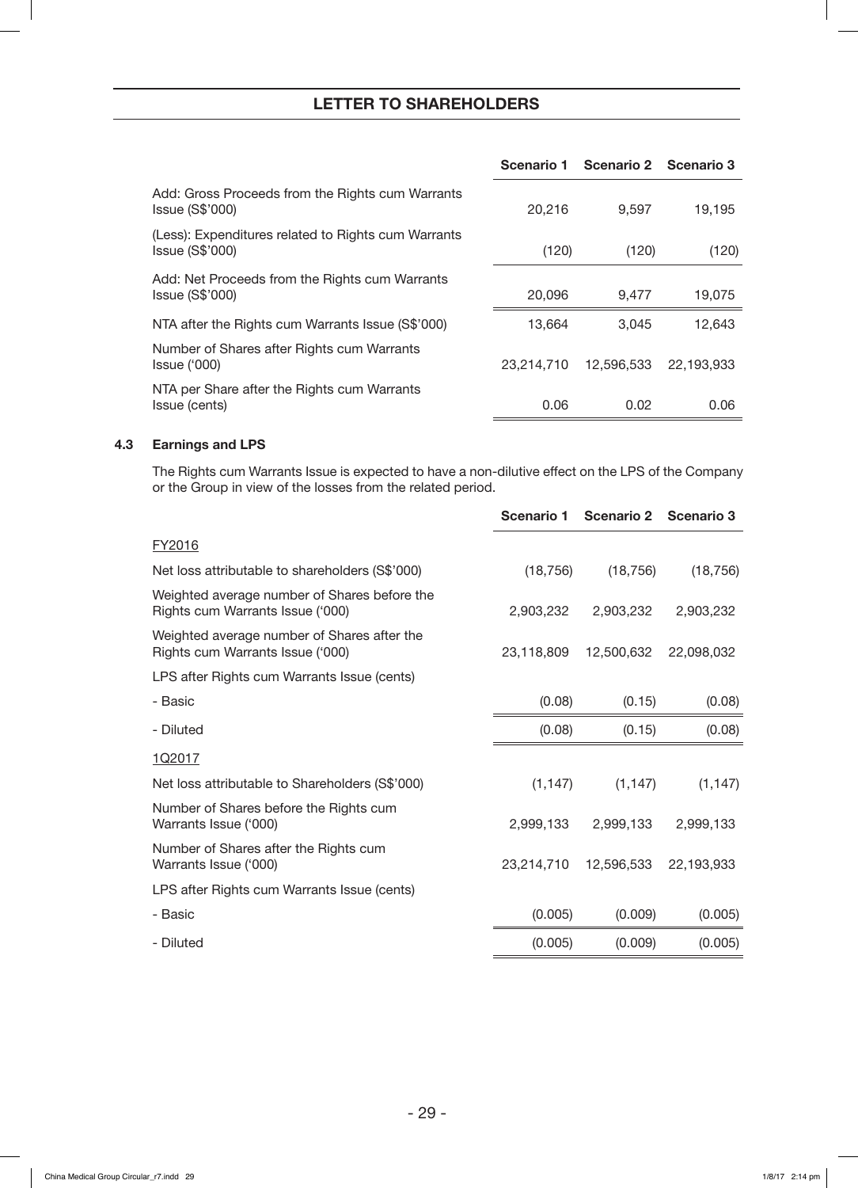|                                                                               |            | Scenario 1 Scenario 2 Scenario 3 |            |
|-------------------------------------------------------------------------------|------------|----------------------------------|------------|
| Add: Gross Proceeds from the Rights cum Warrants<br><b>Issue (S\$'000)</b>    | 20,216     | 9.597                            | 19,195     |
| (Less): Expenditures related to Rights cum Warrants<br><b>Issue (S\$'000)</b> | (120)      | (120)                            | (120)      |
| Add: Net Proceeds from the Rights cum Warrants<br><b>Issue (S\$'000)</b>      | 20,096     | 9.477                            | 19.075     |
| NTA after the Rights cum Warrants Issue (S\$'000)                             | 13,664     | 3.045                            | 12.643     |
| Number of Shares after Rights cum Warrants<br><b>Issue ('000)</b>             | 23.214.710 | 12.596.533                       | 22,193,933 |
| NTA per Share after the Rights cum Warrants<br>Issue (cents)                  | 0.06       | 0.02                             | 0.06       |

## 4.3 Earnings and LPS

The Rights cum Warrants Issue is expected to have a non-dilutive effect on the LPS of the Company or the Group in view of the losses from the related period.

|                                                                                  | Scenario 1 | <b>Scenario 2</b> | <b>Scenario 3</b> |
|----------------------------------------------------------------------------------|------------|-------------------|-------------------|
| FY2016                                                                           |            |                   |                   |
| Net loss attributable to shareholders (S\$'000)                                  | (18, 756)  | (18, 756)         | (18, 756)         |
| Weighted average number of Shares before the<br>Rights cum Warrants Issue ('000) | 2,903,232  | 2,903,232         | 2,903,232         |
| Weighted average number of Shares after the<br>Rights cum Warrants Issue ('000)  | 23,118,809 | 12,500,632        | 22,098,032        |
| LPS after Rights cum Warrants Issue (cents)                                      |            |                   |                   |
| - Basic                                                                          | (0.08)     | (0.15)            | (0.08)            |
| - Diluted                                                                        | (0.08)     | (0.15)            | (0.08)            |
| 1Q2017                                                                           |            |                   |                   |
| Net loss attributable to Shareholders (S\$'000)                                  | (1, 147)   | (1, 147)          | (1, 147)          |
| Number of Shares before the Rights cum<br>Warrants Issue ('000)                  | 2,999,133  | 2,999,133         | 2,999,133         |
| Number of Shares after the Rights cum<br>Warrants Issue ('000)                   | 23,214,710 | 12,596,533        | 22,193,933        |
| LPS after Rights cum Warrants Issue (cents)                                      |            |                   |                   |
| - Basic                                                                          | (0.005)    | (0.009)           | (0.005)           |
| - Diluted                                                                        | (0.005)    | (0.009)           | (0.005)           |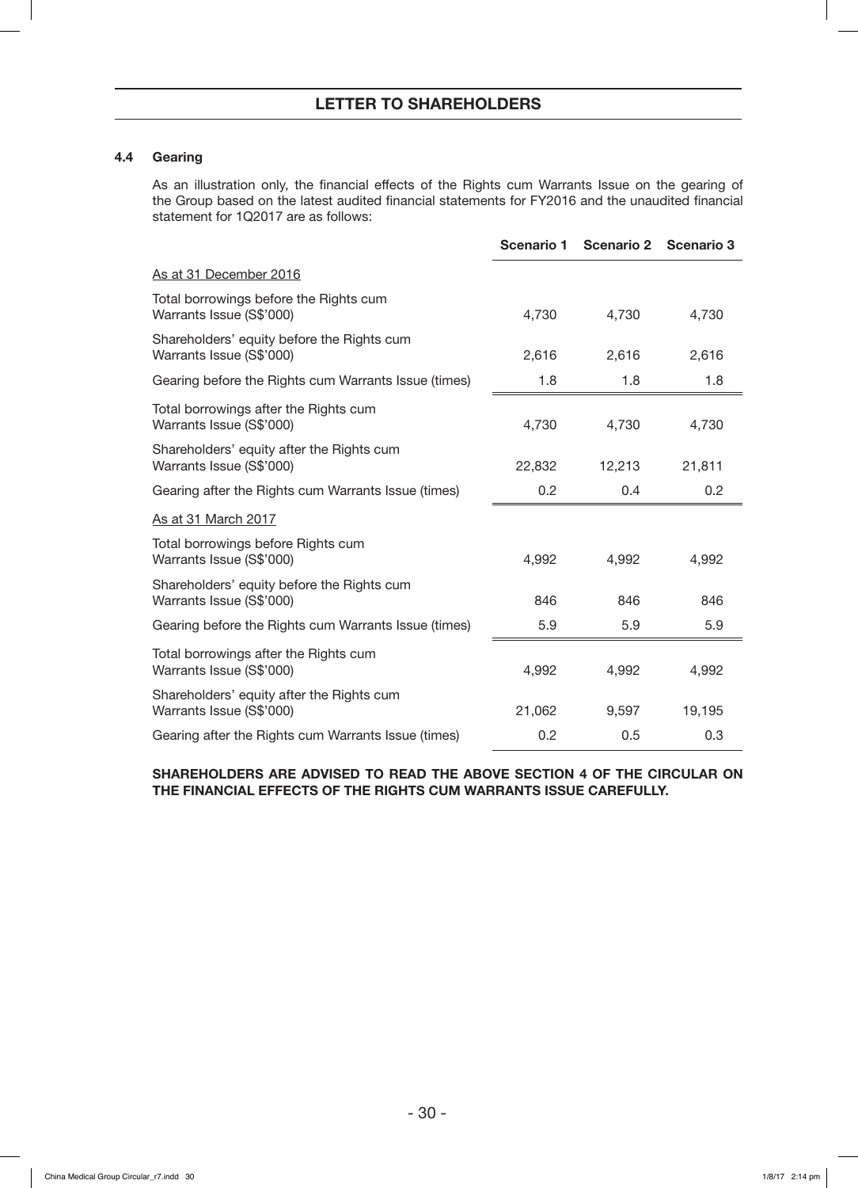## 4.4 Gearing

As an illustration only, the financial effects of the Rights cum Warrants Issue on the gearing of the Group based on the latest audited financial statements for FY2016 and the unaudited financial statement for 1Q2017 are as follows:

|                                                                        | Scenario 1 | <b>Scenario 2</b> | <b>Scenario 3</b> |
|------------------------------------------------------------------------|------------|-------------------|-------------------|
| As at 31 December 2016                                                 |            |                   |                   |
| Total borrowings before the Rights cum<br>Warrants Issue (S\$'000)     | 4,730      | 4,730             | 4,730             |
| Shareholders' equity before the Rights cum<br>Warrants Issue (S\$'000) | 2,616      | 2,616             | 2,616             |
| Gearing before the Rights cum Warrants Issue (times)                   | 1.8        | 1.8               | 1.8               |
| Total borrowings after the Rights cum<br>Warrants Issue (S\$'000)      | 4,730      | 4,730             | 4,730             |
| Shareholders' equity after the Rights cum<br>Warrants Issue (S\$'000)  | 22,832     | 12,213            | 21,811            |
| Gearing after the Rights cum Warrants Issue (times)                    | 0.2        | 0.4               | 0.2               |
| As at 31 March 2017                                                    |            |                   |                   |
| Total borrowings before Rights cum<br>Warrants Issue (S\$'000)         | 4,992      | 4,992             | 4,992             |
| Shareholders' equity before the Rights cum<br>Warrants Issue (S\$'000) | 846        | 846               | 846               |
| Gearing before the Rights cum Warrants Issue (times)                   | 5.9        | 5.9               | 5.9               |
| Total borrowings after the Rights cum<br>Warrants Issue (S\$'000)      | 4,992      | 4,992             | 4,992             |
| Shareholders' equity after the Rights cum<br>Warrants Issue (S\$'000)  | 21,062     | 9,597             | 19,195            |
| Gearing after the Rights cum Warrants Issue (times)                    | 0.2        | 0.5               | 0.3               |

SHAREHOLDERS ARE ADVISED TO READ THE ABOVE SECTION 4 OF THE CIRCULAR ON THE FINANCIAL EFFECTS OF THE RIGHTS CUM WARRANTS ISSUE CAREFULLY.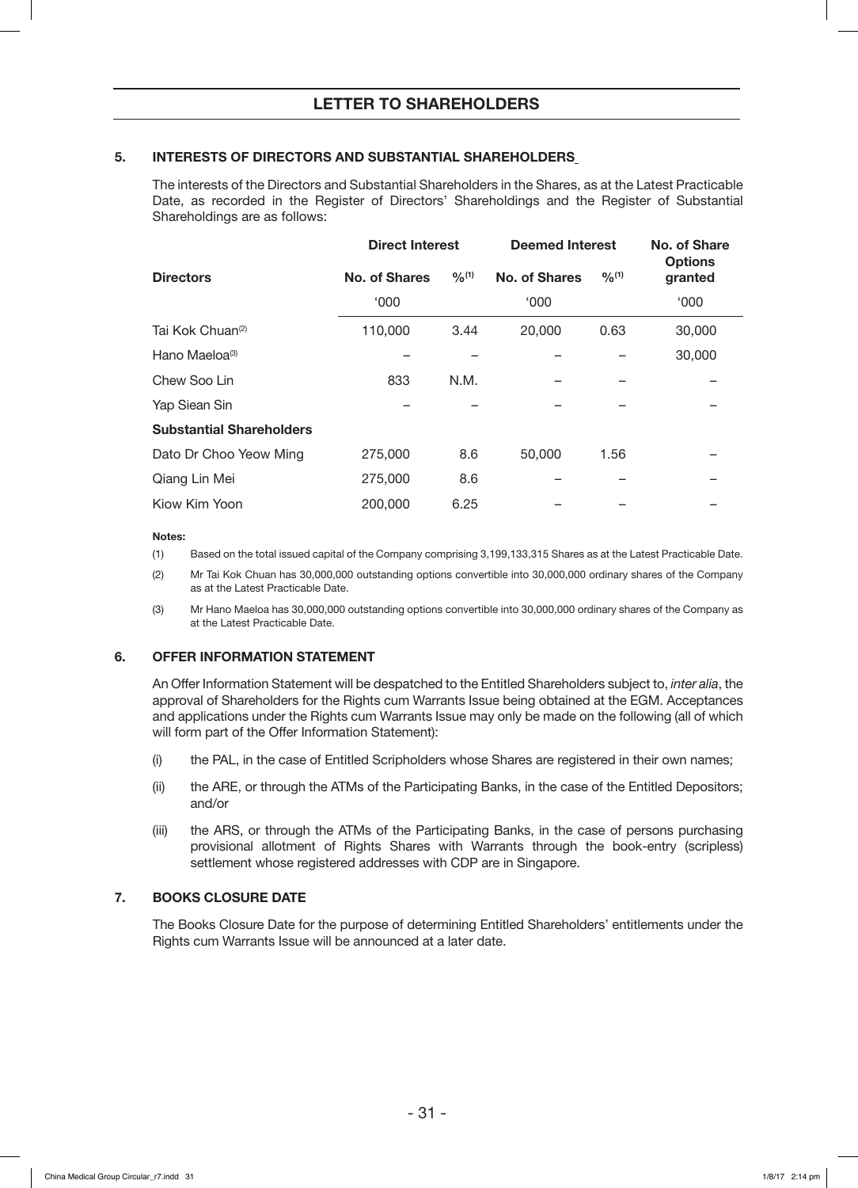#### 5. INTERESTS OF DIRECTORS AND SUBSTANTIAL SHAREHOLDERS

The interests of the Directors and Substantial Shareholders in the Shares, as at the Latest Practicable Date, as recorded in the Register of Directors' Shareholdings and the Register of Substantial Shareholdings are as follows:

|                                 | <b>Direct Interest</b> |             | <b>Deemed Interest</b> |        | No. of Share<br><b>Options</b> |
|---------------------------------|------------------------|-------------|------------------------|--------|--------------------------------|
| <b>Directors</b>                | <b>No. of Shares</b>   | $0/0^{(1)}$ | No. of Shares          | 0/0(1) | granted                        |
|                                 | 000'                   |             | 000'                   |        | $000^{\circ}$                  |
| Tai Kok Chuan <sup>(2)</sup>    | 110,000                | 3.44        | 20,000                 | 0.63   | 30,000                         |
| Hano Maeloa $(3)$               |                        |             |                        |        | 30,000                         |
| Chew Soo Lin                    | 833                    | N.M.        |                        |        |                                |
| Yap Siean Sin                   |                        |             |                        |        |                                |
| <b>Substantial Shareholders</b> |                        |             |                        |        |                                |
| Dato Dr Choo Yeow Ming          | 275,000                | 8.6         | 50,000                 | 1.56   |                                |
| Qiang Lin Mei                   | 275,000                | 8.6         |                        |        |                                |
| Kiow Kim Yoon                   | 200,000                | 6.25        |                        |        |                                |

#### Notes:

(1) Based on the total issued capital of the Company comprising 3,199,133,315 Shares as at the Latest Practicable Date.

(2) Mr Tai Kok Chuan has 30,000,000 outstanding options convertible into 30,000,000 ordinary shares of the Company as at the Latest Practicable Date.

(3) Mr Hano Maeloa has 30,000,000 outstanding options convertible into 30,000,000 ordinary shares of the Company as at the Latest Practicable Date.

#### 6. OFFER INFORMATION STATEMENT

An Offer Information Statement will be despatched to the Entitled Shareholders subject to, *inter alia*, the approval of Shareholders for the Rights cum Warrants Issue being obtained at the EGM. Acceptances and applications under the Rights cum Warrants Issue may only be made on the following (all of which will form part of the Offer Information Statement):

- (i) the PAL, in the case of Entitled Scripholders whose Shares are registered in their own names;
- (ii) the ARE, or through the ATMs of the Participating Banks, in the case of the Entitled Depositors; and/or
- (iii) the ARS, or through the ATMs of the Participating Banks, in the case of persons purchasing provisional allotment of Rights Shares with Warrants through the book-entry (scripless) settlement whose registered addresses with CDP are in Singapore.

#### 7. BOOKS CLOSURE DATE

The Books Closure Date for the purpose of determining Entitled Shareholders' entitlements under the Rights cum Warrants Issue will be announced at a later date.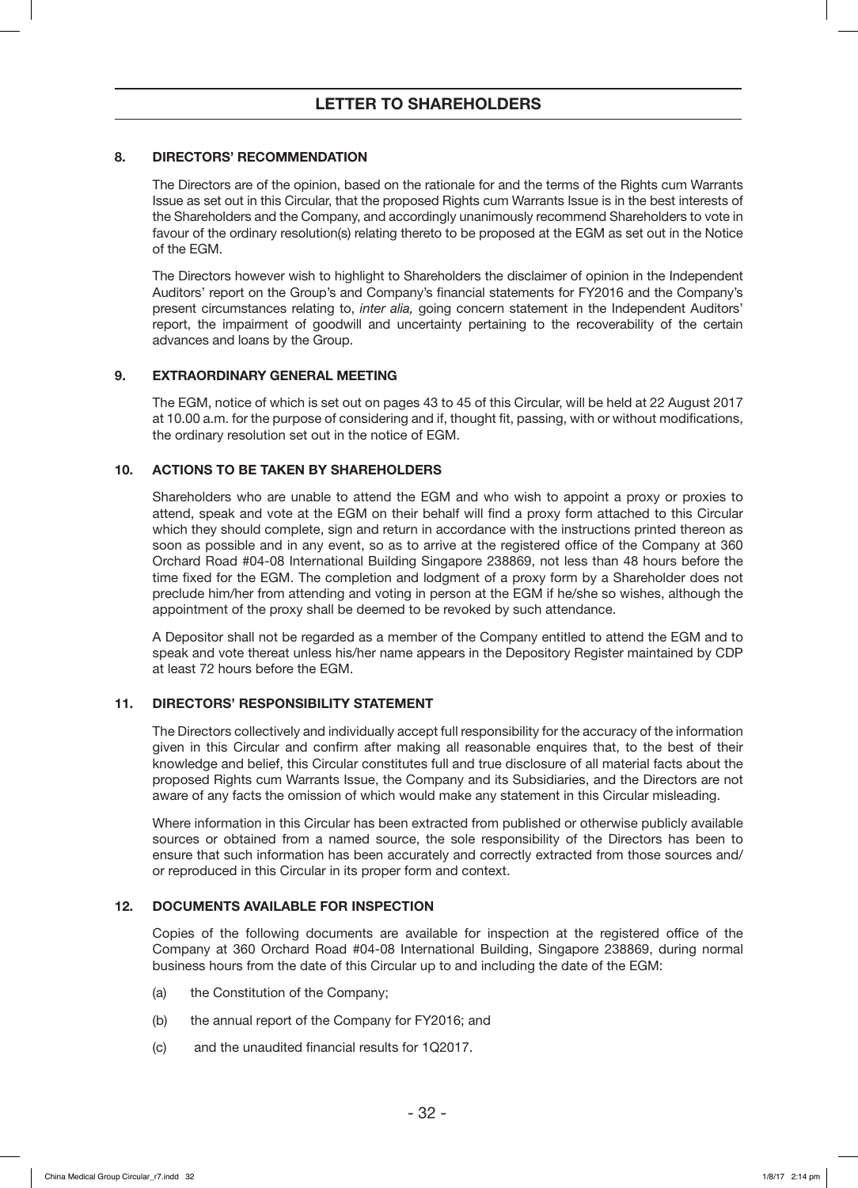#### 8. DIRECTORS' RECOMMENDATION

The Directors are of the opinion, based on the rationale for and the terms of the Rights cum Warrants Issue as set out in this Circular, that the proposed Rights cum Warrants Issue is in the best interests of the Shareholders and the Company, and accordingly unanimously recommend Shareholders to vote in favour of the ordinary resolution(s) relating thereto to be proposed at the EGM as set out in the Notice of the EGM.

The Directors however wish to highlight to Shareholders the disclaimer of opinion in the Independent Auditors' report on the Group's and Company's financial statements for FY2016 and the Company's present circumstances relating to, *inter alia,* going concern statement in the Independent Auditors' report, the impairment of goodwill and uncertainty pertaining to the recoverability of the certain advances and loans by the Group.

#### 9. EXTRAORDINARY GENERAL MEETING

The EGM, notice of which is set out on pages 43 to 45 of this Circular, will be held at 22 August 2017 at 10.00 a.m. for the purpose of considering and if, thought fit, passing, with or without modifications, the ordinary resolution set out in the notice of EGM.

#### 10. ACTIONS TO BE TAKEN BY SHAREHOLDERS

Shareholders who are unable to attend the EGM and who wish to appoint a proxy or proxies to attend, speak and vote at the EGM on their behalf will find a proxy form attached to this Circular which they should complete, sign and return in accordance with the instructions printed thereon as soon as possible and in any event, so as to arrive at the registered office of the Company at 360 Orchard Road #04-08 International Building Singapore 238869, not less than 48 hours before the time fixed for the EGM. The completion and lodgment of a proxy form by a Shareholder does not preclude him/her from attending and voting in person at the EGM if he/she so wishes, although the appointment of the proxy shall be deemed to be revoked by such attendance.

A Depositor shall not be regarded as a member of the Company entitled to attend the EGM and to speak and vote thereat unless his/her name appears in the Depository Register maintained by CDP at least 72 hours before the EGM.

#### 11. DIRECTORS' RESPONSIBILITY STATEMENT

The Directors collectively and individually accept full responsibility for the accuracy of the information given in this Circular and confirm after making all reasonable enquires that, to the best of their knowledge and belief, this Circular constitutes full and true disclosure of all material facts about the proposed Rights cum Warrants Issue, the Company and its Subsidiaries, and the Directors are not aware of any facts the omission of which would make any statement in this Circular misleading.

Where information in this Circular has been extracted from published or otherwise publicly available sources or obtained from a named source, the sole responsibility of the Directors has been to ensure that such information has been accurately and correctly extracted from those sources and/ or reproduced in this Circular in its proper form and context.

#### 12. DOCUMENTS AVAILABLE FOR INSPECTION

Copies of the following documents are available for inspection at the registered office of the Company at 360 Orchard Road #04-08 International Building, Singapore 238869, during normal business hours from the date of this Circular up to and including the date of the EGM:

- (a) the Constitution of the Company;
- (b) the annual report of the Company for FY2016; and
- (c) and the unaudited financial results for 1Q2017.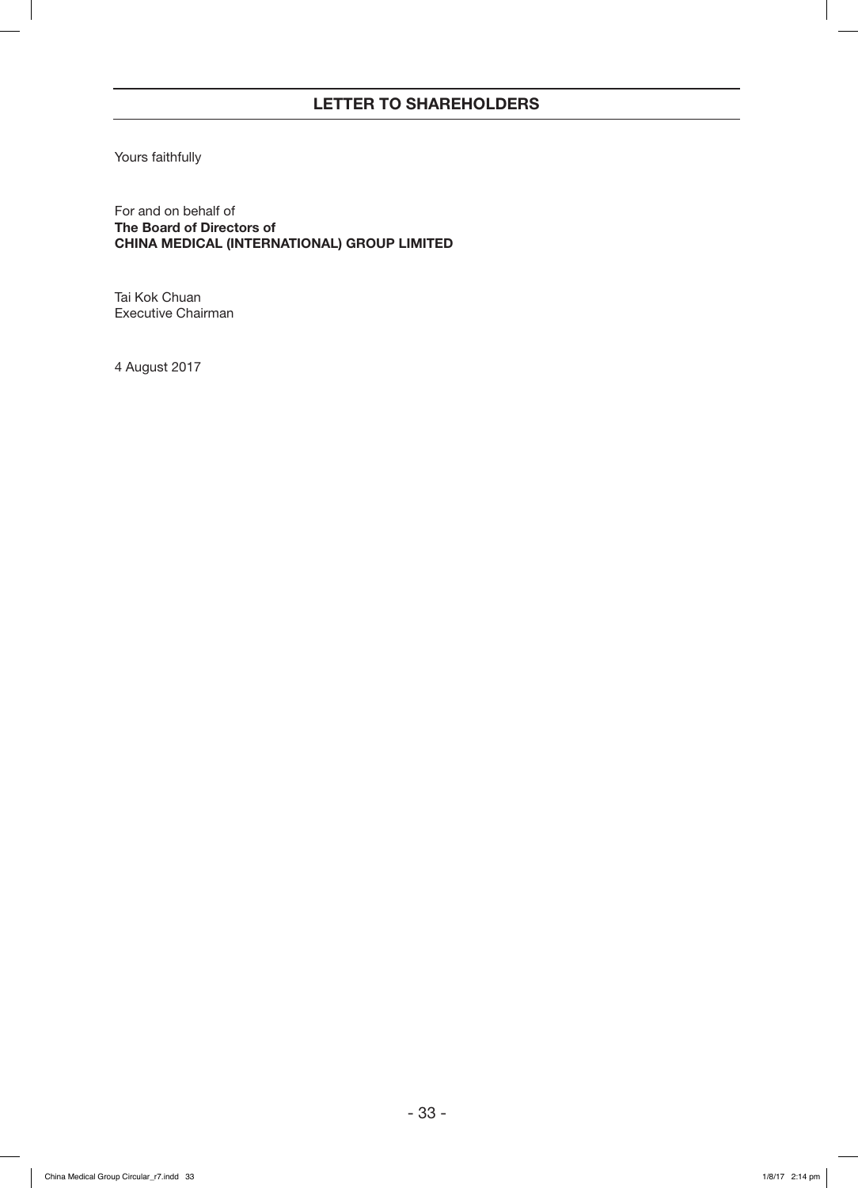Yours faithfully

For and on behalf of The Board of Directors of CHINA MEDICAL (INTERNATIONAL) GROUP LIMITED

Tai Kok Chuan Executive Chairman

4 August 2017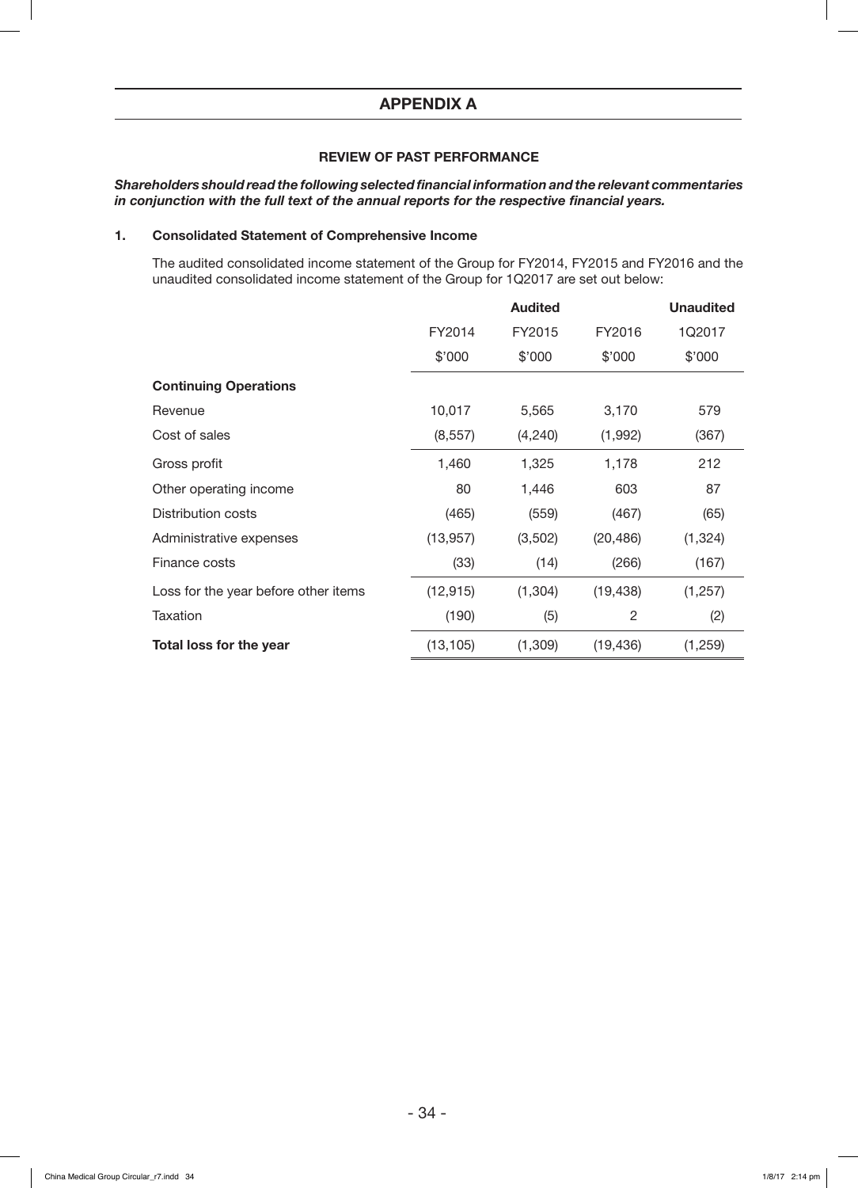#### REVIEW OF PAST PERFORMANCE

#### *Shareholders should read the following selected financial information and the relevant commentaries in conjunction with the full text of the annual reports for the respective financial years.*

#### 1. Consolidated Statement of Comprehensive Income

The audited consolidated income statement of the Group for FY2014, FY2015 and FY2016 and the unaudited consolidated income statement of the Group for 1Q2017 are set out below:

|                                      |           | <b>Audited</b> |           | <b>Unaudited</b> |
|--------------------------------------|-----------|----------------|-----------|------------------|
|                                      | FY2014    | FY2015         | FY2016    | 1Q2017           |
|                                      | \$'000    | \$'000         | \$'000    | \$'000           |
| <b>Continuing Operations</b>         |           |                |           |                  |
| Revenue                              | 10,017    | 5,565          | 3,170     | 579              |
| Cost of sales                        | (8, 557)  | (4,240)        | (1,992)   | (367)            |
| Gross profit                         | 1,460     | 1,325          | 1,178     | 212              |
| Other operating income               | 80        | 1,446          | 603       | 87               |
| Distribution costs                   | (465)     | (559)          | (467)     | (65)             |
| Administrative expenses              | (13, 957) | (3,502)        | (20, 486) | (1, 324)         |
| Finance costs                        | (33)      | (14)           | (266)     | (167)            |
| Loss for the year before other items | (12, 915) | (1, 304)       | (19, 438) | (1, 257)         |
| Taxation                             | (190)     | (5)            | 2         | (2)              |
| Total loss for the year              | (13, 105) | (1,309)        | (19, 436) | (1,259)          |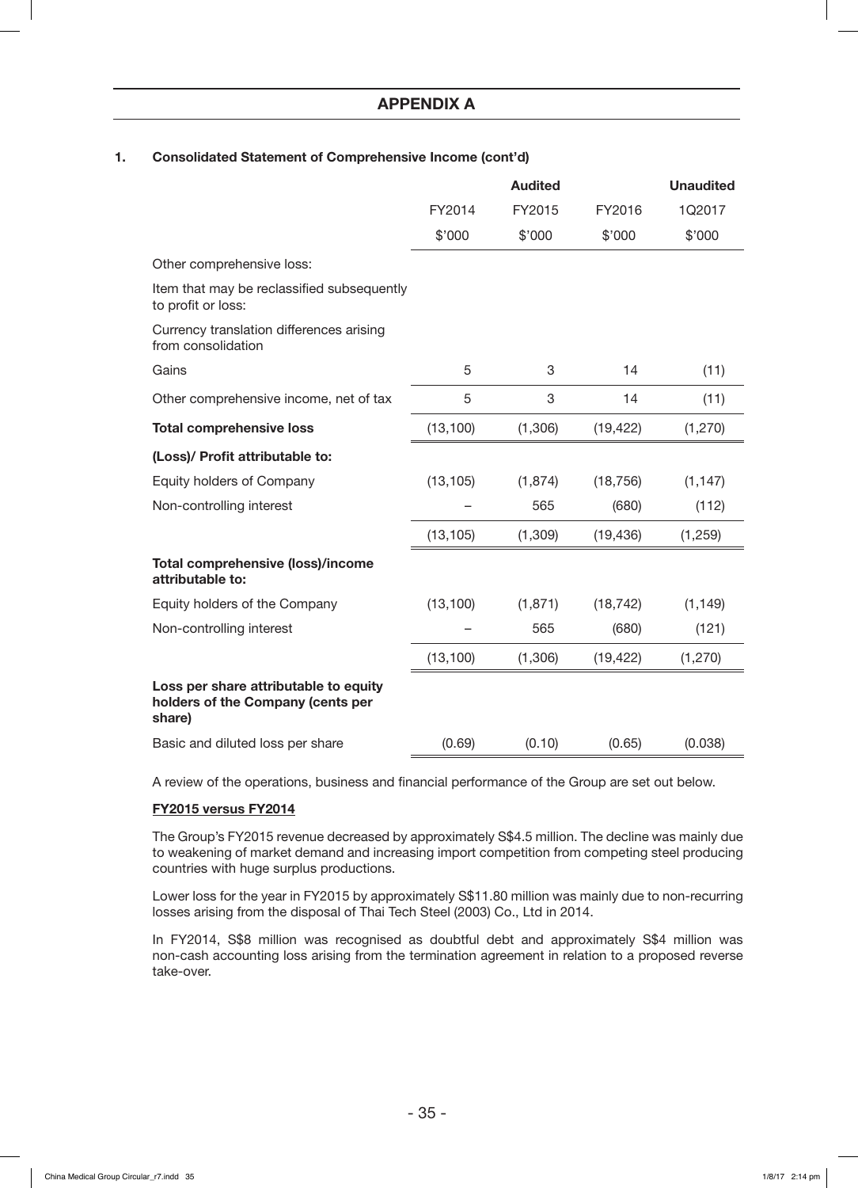#### 1. Consolidated Statement of Comprehensive Income (cont'd)

|                                                                                      |           | <b>Audited</b> |           | <b>Unaudited</b> |
|--------------------------------------------------------------------------------------|-----------|----------------|-----------|------------------|
|                                                                                      | FY2014    | FY2015         | FY2016    | 1Q2017           |
|                                                                                      | \$'000    | \$'000         | \$'000    | \$'000           |
| Other comprehensive loss:                                                            |           |                |           |                  |
| Item that may be reclassified subsequently<br>to profit or loss:                     |           |                |           |                  |
| Currency translation differences arising<br>from consolidation                       |           |                |           |                  |
| Gains                                                                                | 5         | 3              | 14        | (11)             |
| Other comprehensive income, net of tax                                               | 5         | 3              | 14        | (11)             |
| <b>Total comprehensive loss</b>                                                      | (13, 100) | (1,306)        | (19, 422) | (1,270)          |
| (Loss)/ Profit attributable to:                                                      |           |                |           |                  |
| Equity holders of Company                                                            | (13, 105) | (1, 874)       | (18, 756) | (1, 147)         |
| Non-controlling interest                                                             |           | 565            | (680)     | (112)            |
|                                                                                      | (13, 105) | (1, 309)       | (19, 436) | (1, 259)         |
| <b>Total comprehensive (loss)/income</b><br>attributable to:                         |           |                |           |                  |
| Equity holders of the Company                                                        | (13, 100) | (1, 871)       | (18, 742) | (1, 149)         |
| Non-controlling interest                                                             |           | 565            | (680)     | (121)            |
|                                                                                      | (13, 100) | (1,306)        | (19, 422) | (1,270)          |
| Loss per share attributable to equity<br>holders of the Company (cents per<br>share) |           |                |           |                  |
| Basic and diluted loss per share                                                     | (0.69)    | (0.10)         | (0.65)    | (0.038)          |

A review of the operations, business and financial performance of the Group are set out below.

#### FY2015 versus FY2014

The Group's FY2015 revenue decreased by approximately S\$4.5 million. The decline was mainly due to weakening of market demand and increasing import competition from competing steel producing countries with huge surplus productions.

Lower loss for the year in FY2015 by approximately S\$11.80 million was mainly due to non-recurring losses arising from the disposal of Thai Tech Steel (2003) Co., Ltd in 2014.

In FY2014, S\$8 million was recognised as doubtful debt and approximately S\$4 million was non-cash accounting loss arising from the termination agreement in relation to a proposed reverse take-over.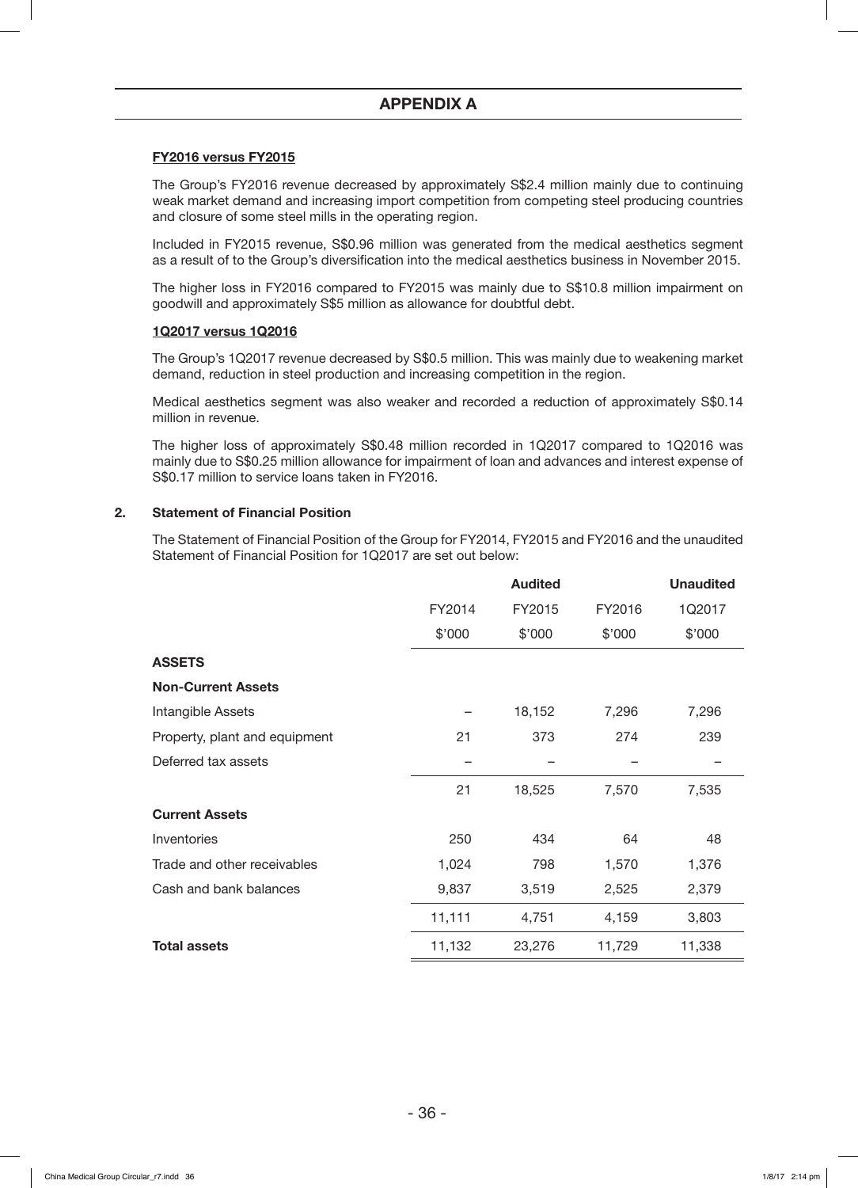#### FY2016 versus FY2015

The Group's FY2016 revenue decreased by approximately S\$2.4 million mainly due to continuing weak market demand and increasing import competition from competing steel producing countries and closure of some steel mills in the operating region.

Included in FY2015 revenue, S\$0.96 million was generated from the medical aesthetics segment as a result of to the Group's diversification into the medical aesthetics business in November 2015.

The higher loss in FY2016 compared to FY2015 was mainly due to S\$10.8 million impairment on goodwill and approximately S\$5 million as allowance for doubtful debt.

#### 1Q2017 versus 1Q2016

The Group's 1Q2017 revenue decreased by S\$0.5 million. This was mainly due to weakening market demand, reduction in steel production and increasing competition in the region.

Medical aesthetics segment was also weaker and recorded a reduction of approximately S\$0.14 million in revenue.

The higher loss of approximately S\$0.48 million recorded in 1Q2017 compared to 1Q2016 was mainly due to S\$0.25 million allowance for impairment of loan and advances and interest expense of S\$0.17 million to service loans taken in FY2016.

#### 2. Statement of Financial Position

The Statement of Financial Position of the Group for FY2014, FY2015 and FY2016 and the unaudited Statement of Financial Position for 1Q2017 are set out below:

|                               |        | <b>Audited</b> |        | <b>Unaudited</b> |
|-------------------------------|--------|----------------|--------|------------------|
|                               | FY2014 | FY2015         | FY2016 | 1Q2017           |
|                               | \$'000 | \$'000         | \$'000 | \$'000           |
| <b>ASSETS</b>                 |        |                |        |                  |
| <b>Non-Current Assets</b>     |        |                |        |                  |
| Intangible Assets             |        | 18,152         | 7,296  | 7,296            |
| Property, plant and equipment | 21     | 373            | 274    | 239              |
| Deferred tax assets           |        |                |        |                  |
|                               | 21     | 18,525         | 7,570  | 7,535            |
| <b>Current Assets</b>         |        |                |        |                  |
| Inventories                   | 250    | 434            | 64     | 48               |
| Trade and other receivables   | 1,024  | 798            | 1,570  | 1,376            |
| Cash and bank balances        | 9,837  | 3,519          | 2,525  | 2,379            |
|                               | 11,111 | 4,751          | 4,159  | 3,803            |
| <b>Total assets</b>           | 11,132 | 23,276         | 11,729 | 11,338           |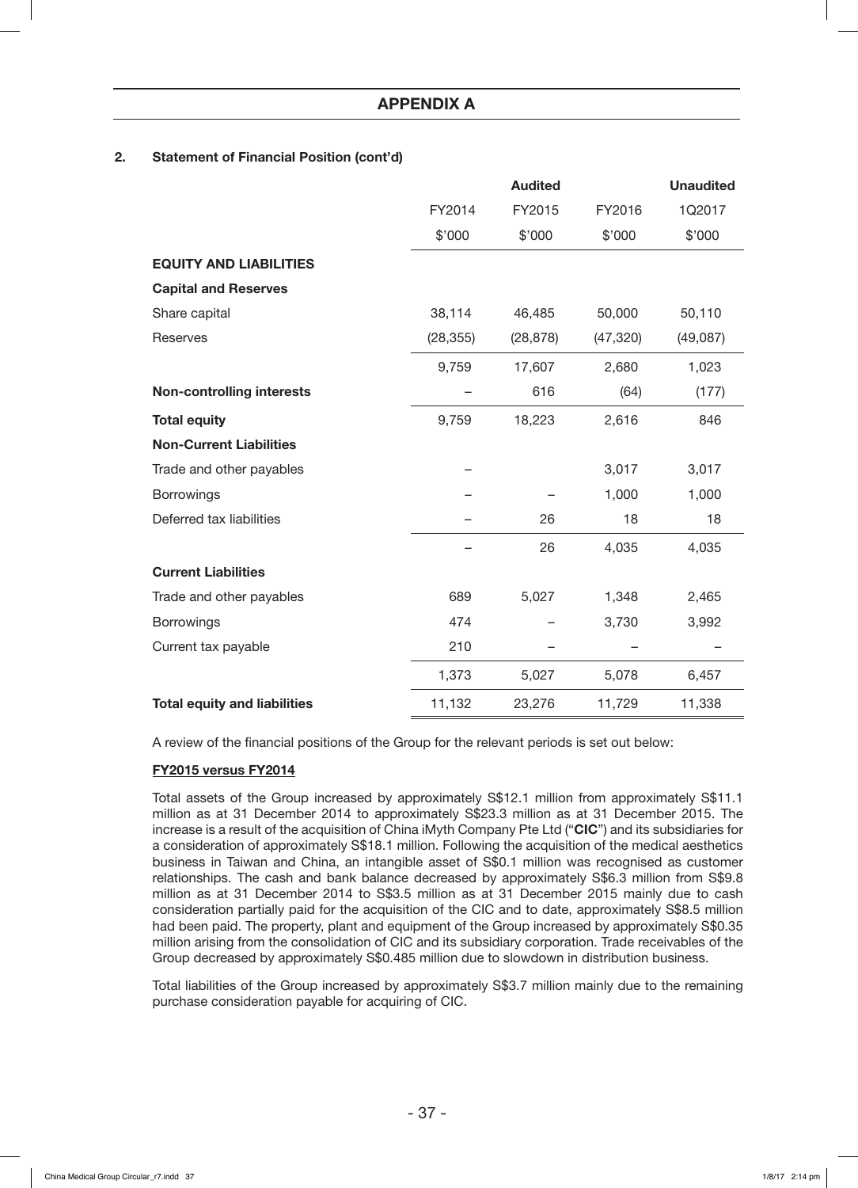### 2. Statement of Financial Position (cont'd)

|                                     |           | <b>Audited</b> |           | <b>Unaudited</b> |
|-------------------------------------|-----------|----------------|-----------|------------------|
|                                     | FY2014    | FY2015         | FY2016    | 1Q2017           |
|                                     | \$'000    | \$'000         | \$'000    | \$'000           |
| <b>EQUITY AND LIABILITIES</b>       |           |                |           |                  |
| <b>Capital and Reserves</b>         |           |                |           |                  |
| Share capital                       | 38,114    | 46,485         | 50,000    | 50,110           |
| Reserves                            | (28, 355) | (28, 878)      | (47, 320) | (49,087)         |
|                                     | 9,759     | 17,607         | 2,680     | 1,023            |
| <b>Non-controlling interests</b>    |           | 616            | (64)      | (177)            |
| <b>Total equity</b>                 | 9,759     | 18,223         | 2,616     | 846              |
| <b>Non-Current Liabilities</b>      |           |                |           |                  |
| Trade and other payables            |           |                | 3,017     | 3,017            |
| <b>Borrowings</b>                   |           |                | 1,000     | 1,000            |
| Deferred tax liabilities            |           | 26             | 18        | 18               |
|                                     |           | 26             | 4,035     | 4,035            |
| <b>Current Liabilities</b>          |           |                |           |                  |
| Trade and other payables            | 689       | 5,027          | 1,348     | 2,465            |
| Borrowings                          | 474       |                | 3,730     | 3,992            |
| Current tax payable                 | 210       |                |           |                  |
|                                     | 1,373     | 5,027          | 5,078     | 6,457            |
| <b>Total equity and liabilities</b> | 11,132    | 23,276         | 11,729    | 11,338           |

A review of the financial positions of the Group for the relevant periods is set out below:

#### FY2015 versus FY2014

Total assets of the Group increased by approximately S\$12.1 million from approximately S\$11.1 million as at 31 December 2014 to approximately S\$23.3 million as at 31 December 2015. The increase is a result of the acquisition of China iMyth Company Pte Ltd ("CIC") and its subsidiaries for a consideration of approximately S\$18.1 million. Following the acquisition of the medical aesthetics business in Taiwan and China, an intangible asset of S\$0.1 million was recognised as customer relationships. The cash and bank balance decreased by approximately S\$6.3 million from S\$9.8 million as at 31 December 2014 to S\$3.5 million as at 31 December 2015 mainly due to cash consideration partially paid for the acquisition of the CIC and to date, approximately S\$8.5 million had been paid. The property, plant and equipment of the Group increased by approximately S\$0.35 million arising from the consolidation of CIC and its subsidiary corporation. Trade receivables of the Group decreased by approximately S\$0.485 million due to slowdown in distribution business.

Total liabilities of the Group increased by approximately S\$3.7 million mainly due to the remaining purchase consideration payable for acquiring of CIC.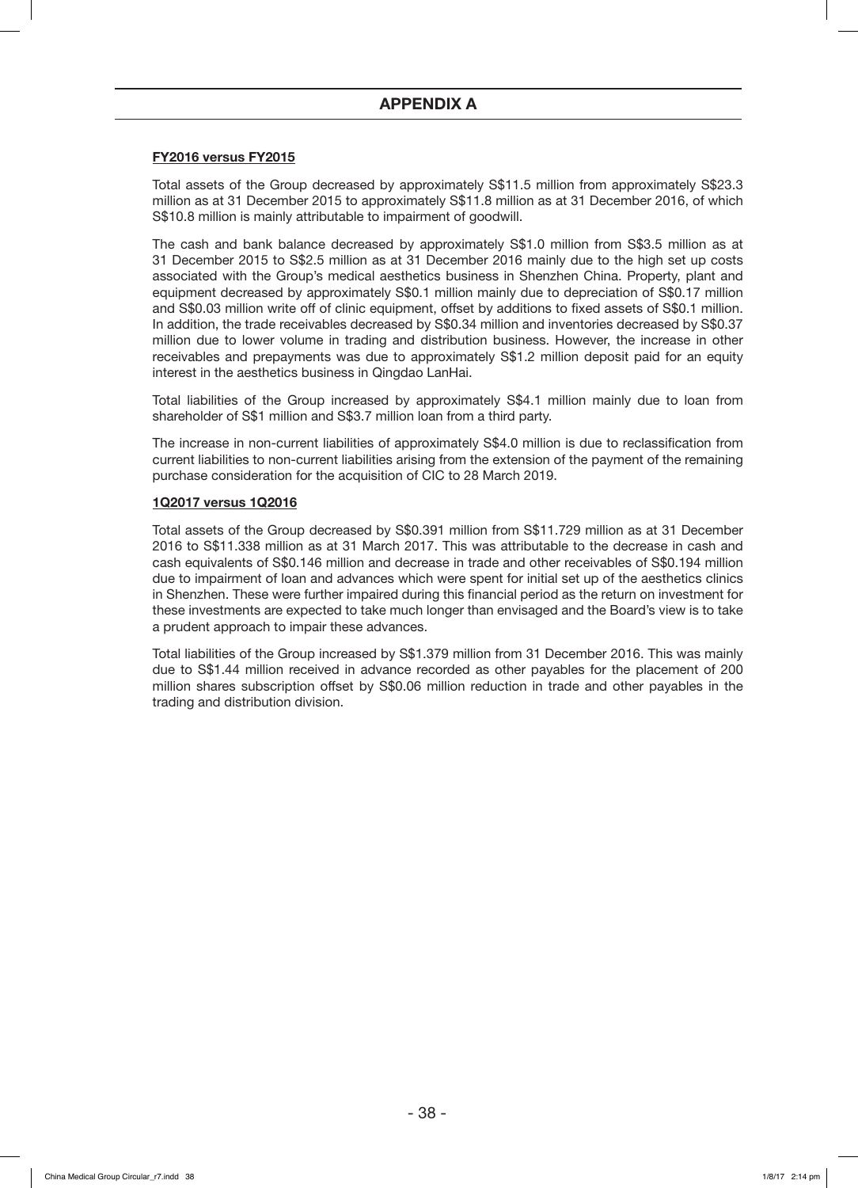#### FY2016 versus FY2015

Total assets of the Group decreased by approximately S\$11.5 million from approximately S\$23.3 million as at 31 December 2015 to approximately S\$11.8 million as at 31 December 2016, of which S\$10.8 million is mainly attributable to impairment of goodwill.

The cash and bank balance decreased by approximately S\$1.0 million from S\$3.5 million as at 31 December 2015 to S\$2.5 million as at 31 December 2016 mainly due to the high set up costs associated with the Group's medical aesthetics business in Shenzhen China. Property, plant and equipment decreased by approximately S\$0.1 million mainly due to depreciation of S\$0.17 million and S\$0.03 million write off of clinic equipment, offset by additions to fixed assets of S\$0.1 million. In addition, the trade receivables decreased by S\$0.34 million and inventories decreased by S\$0.37 million due to lower volume in trading and distribution business. However, the increase in other receivables and prepayments was due to approximately S\$1.2 million deposit paid for an equity interest in the aesthetics business in Qingdao LanHai.

Total liabilities of the Group increased by approximately S\$4.1 million mainly due to loan from shareholder of S\$1 million and S\$3.7 million loan from a third party.

The increase in non-current liabilities of approximately S\$4.0 million is due to reclassification from current liabilities to non-current liabilities arising from the extension of the payment of the remaining purchase consideration for the acquisition of CIC to 28 March 2019.

#### 1Q2017 versus 1Q2016

Total assets of the Group decreased by S\$0.391 million from S\$11.729 million as at 31 December 2016 to S\$11.338 million as at 31 March 2017. This was attributable to the decrease in cash and cash equivalents of S\$0.146 million and decrease in trade and other receivables of S\$0.194 million due to impairment of loan and advances which were spent for initial set up of the aesthetics clinics in Shenzhen. These were further impaired during this financial period as the return on investment for these investments are expected to take much longer than envisaged and the Board's view is to take a prudent approach to impair these advances.

Total liabilities of the Group increased by S\$1.379 million from 31 December 2016. This was mainly due to S\$1.44 million received in advance recorded as other payables for the placement of 200 million shares subscription offset by S\$0.06 million reduction in trade and other payables in the trading and distribution division.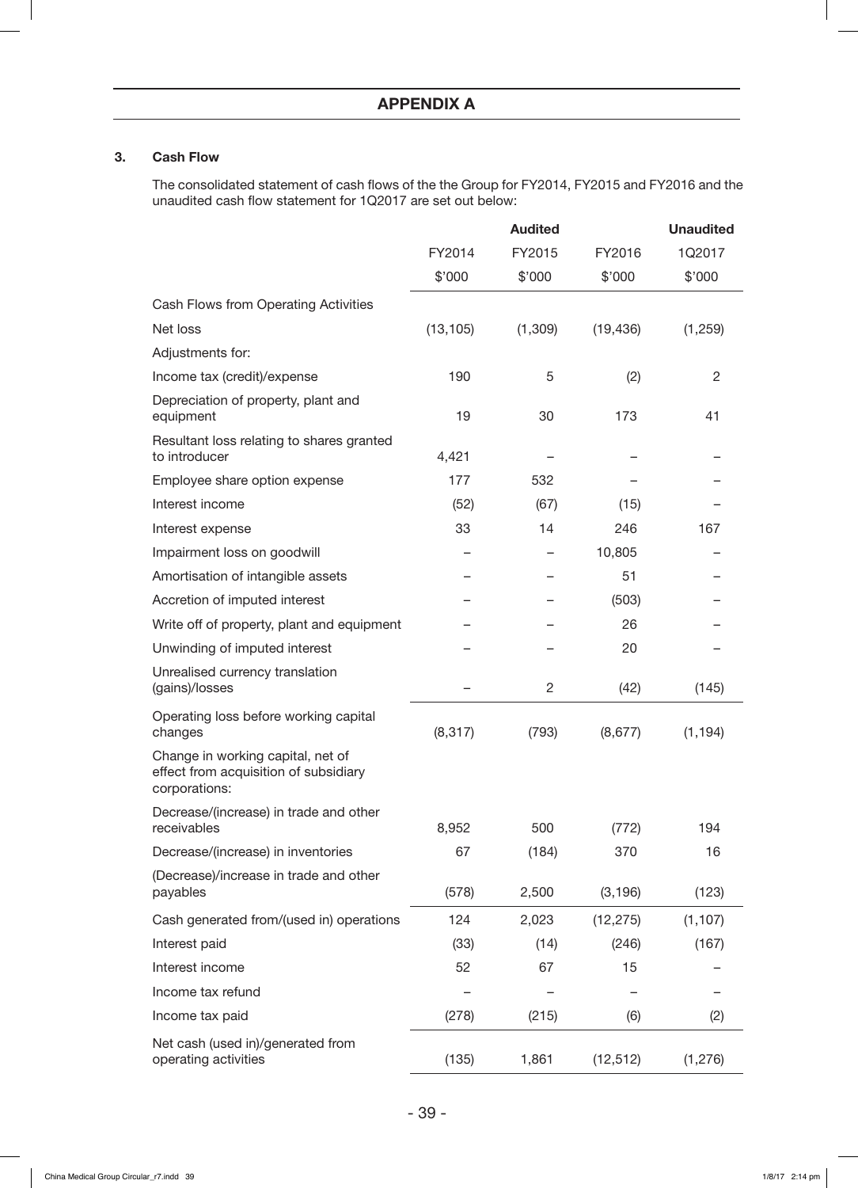## 3. Cash Flow

The consolidated statement of cash flows of the the Group for FY2014, FY2015 and FY2016 and the unaudited cash flow statement for 1Q2017 are set out below:

|                                                                                             |           | <b>Audited</b> |           | <b>Unaudited</b> |
|---------------------------------------------------------------------------------------------|-----------|----------------|-----------|------------------|
|                                                                                             | FY2014    | FY2015         | FY2016    | 1Q2017           |
|                                                                                             | \$'000    | \$'000         | \$'000    | \$'000           |
| Cash Flows from Operating Activities                                                        |           |                |           |                  |
| Net loss                                                                                    | (13, 105) | (1,309)        | (19, 436) | (1, 259)         |
| Adjustments for:                                                                            |           |                |           |                  |
| Income tax (credit)/expense                                                                 | 190       | 5              | (2)       | 2                |
| Depreciation of property, plant and<br>equipment                                            | 19        | 30             | 173       | 41               |
| Resultant loss relating to shares granted<br>to introducer                                  | 4,421     |                |           |                  |
| Employee share option expense                                                               | 177       | 532            |           |                  |
| Interest income                                                                             | (52)      | (67)           | (15)      |                  |
| Interest expense                                                                            | 33        | 14             | 246       | 167              |
| Impairment loss on goodwill                                                                 |           |                | 10,805    |                  |
| Amortisation of intangible assets                                                           |           |                | 51        |                  |
| Accretion of imputed interest                                                               |           |                | (503)     |                  |
| Write off of property, plant and equipment                                                  |           |                | 26        |                  |
| Unwinding of imputed interest                                                               |           |                | 20        |                  |
| Unrealised currency translation<br>(gains)/losses                                           |           | $\overline{c}$ | (42)      | (145)            |
| Operating loss before working capital<br>changes                                            | (8, 317)  | (793)          | (8,677)   | (1, 194)         |
| Change in working capital, net of<br>effect from acquisition of subsidiary<br>corporations: |           |                |           |                  |
| Decrease/(increase) in trade and other<br>receivables                                       | 8,952     | 500            | (772)     | 194              |
| Decrease/(increase) in inventories                                                          | 67        | (184)          | 370       | 16               |
| (Decrease)/increase in trade and other<br>payables                                          | (578)     | 2,500          | (3, 196)  | (123)            |
| Cash generated from/(used in) operations                                                    | 124       | 2,023          | (12, 275) | (1, 107)         |
| Interest paid                                                                               | (33)      | (14)           | (246)     | (167)            |
| Interest income                                                                             | 52        | 67             | 15        |                  |
| Income tax refund                                                                           |           |                |           |                  |
| Income tax paid                                                                             | (278)     | (215)          | (6)       | (2)              |
| Net cash (used in)/generated from<br>operating activities                                   | (135)     | 1,861          | (12, 512) | (1,276)          |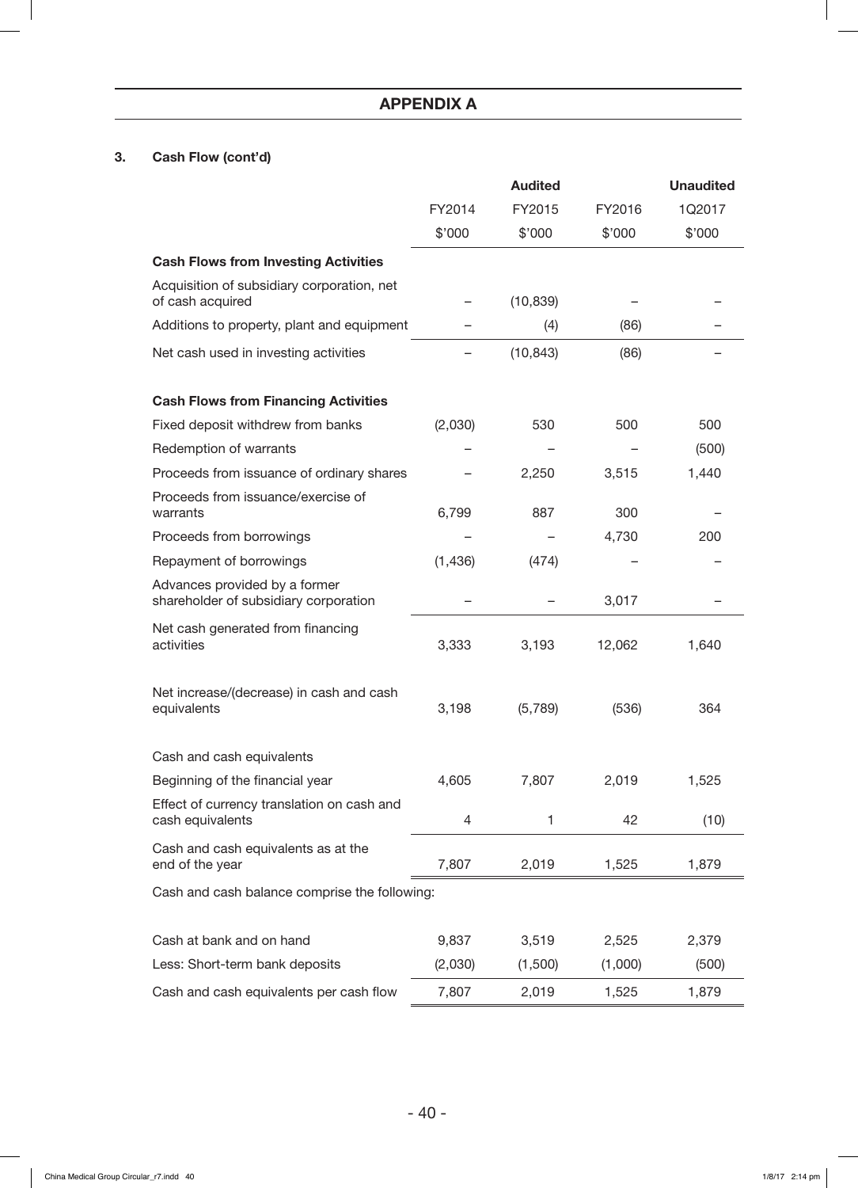## 3. Cash Flow (cont'd)

|                                                                        |         | <b>Audited</b> |         | <b>Unaudited</b> |
|------------------------------------------------------------------------|---------|----------------|---------|------------------|
|                                                                        | FY2014  | FY2015         | FY2016  | 1Q2017           |
|                                                                        | \$'000  | \$'000         | \$'000  | \$'000           |
| <b>Cash Flows from Investing Activities</b>                            |         |                |         |                  |
| Acquisition of subsidiary corporation, net<br>of cash acquired         |         | (10, 839)      |         |                  |
| Additions to property, plant and equipment                             |         | (4)            | (86)    |                  |
| Net cash used in investing activities                                  |         | (10, 843)      | (86)    |                  |
| <b>Cash Flows from Financing Activities</b>                            |         |                |         |                  |
| Fixed deposit withdrew from banks                                      | (2,030) | 530            | 500     | 500              |
| Redemption of warrants                                                 |         |                |         | (500)            |
| Proceeds from issuance of ordinary shares                              |         | 2,250          | 3,515   | 1,440            |
| Proceeds from issuance/exercise of<br>warrants                         | 6,799   | 887            | 300     |                  |
| Proceeds from borrowings                                               |         |                | 4,730   | 200              |
| Repayment of borrowings                                                | (1,436) | (474)          |         |                  |
| Advances provided by a former<br>shareholder of subsidiary corporation |         |                | 3,017   |                  |
| Net cash generated from financing<br>activities                        | 3,333   | 3,193          | 12,062  | 1,640            |
| Net increase/(decrease) in cash and cash<br>equivalents                | 3,198   | (5,789)        | (536)   | 364              |
| Cash and cash equivalents                                              |         |                |         |                  |
| Beginning of the financial year                                        | 4,605   | 7,807          | 2,019   | 1,525            |
| Effect of currency translation on cash and<br>cash equivalents         | 4       | 1              | 42      | (10)             |
| Cash and cash equivalents as at the<br>end of the year                 | 7,807   | 2,019          | 1,525   | 1,879            |
| Cash and cash balance comprise the following:                          |         |                |         |                  |
| Cash at bank and on hand                                               | 9,837   | 3,519          | 2,525   | 2,379            |
| Less: Short-term bank deposits                                         | (2,030) | (1,500)        | (1,000) | (500)            |
| Cash and cash equivalents per cash flow                                | 7,807   | 2,019          | 1,525   | 1,879            |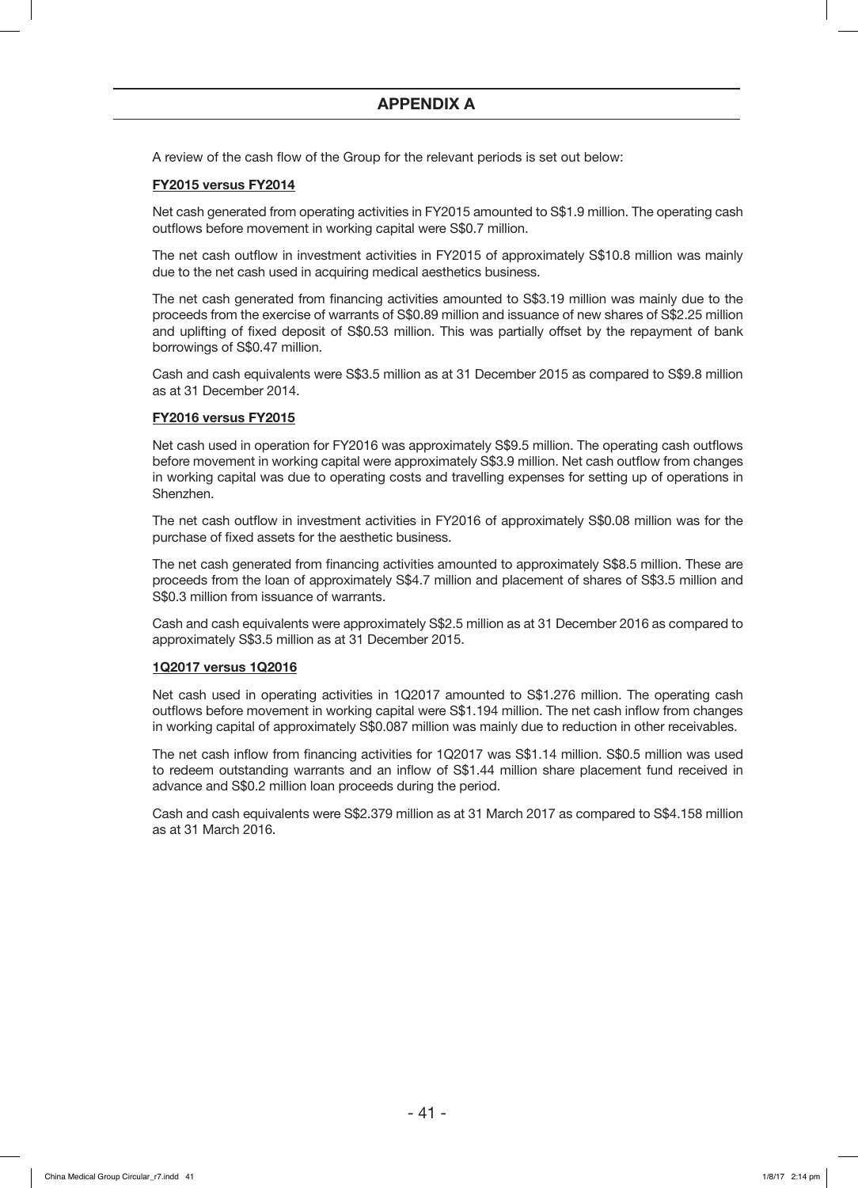A review of the cash flow of the Group for the relevant periods is set out below:

#### FY2015 versus FY2014

Net cash generated from operating activities in FY2015 amounted to S\$1.9 million. The operating cash outflows before movement in working capital were S\$0.7 million.

The net cash outflow in investment activities in FY2015 of approximately S\$10.8 million was mainly due to the net cash used in acquiring medical aesthetics business.

The net cash generated from financing activities amounted to S\$3.19 million was mainly due to the proceeds from the exercise of warrants of S\$0.89 million and issuance of new shares of S\$2.25 million and uplifting of fixed deposit of S\$0.53 million. This was partially offset by the repayment of bank borrowings of S\$0.47 million.

Cash and cash equivalents were S\$3.5 million as at 31 December 2015 as compared to S\$9.8 million as at 31 December 2014.

#### FY2016 versus FY2015

Net cash used in operation for FY2016 was approximately S\$9.5 million. The operating cash outflows before movement in working capital were approximately S\$3.9 million. Net cash outflow from changes in working capital was due to operating costs and travelling expenses for setting up of operations in Shenzhen.

The net cash outflow in investment activities in FY2016 of approximately S\$0.08 million was for the purchase of fixed assets for the aesthetic business.

The net cash generated from financing activities amounted to approximately S\$8.5 million. These are proceeds from the loan of approximately S\$4.7 million and placement of shares of S\$3.5 million and S\$0.3 million from issuance of warrants.

Cash and cash equivalents were approximately S\$2.5 million as at 31 December 2016 as compared to approximately S\$3.5 million as at 31 December 2015.

#### 1Q2017 versus 1Q2016

Net cash used in operating activities in 1Q2017 amounted to S\$1.276 million. The operating cash outflows before movement in working capital were S\$1.194 million. The net cash inflow from changes in working capital of approximately S\$0.087 million was mainly due to reduction in other receivables.

The net cash inflow from financing activities for 1Q2017 was S\$1.14 million. S\$0.5 million was used to redeem outstanding warrants and an inflow of S\$1.44 million share placement fund received in advance and S\$0.2 million loan proceeds during the period.

Cash and cash equivalents were S\$2.379 million as at 31 March 2017 as compared to S\$4.158 million as at 31 March 2016.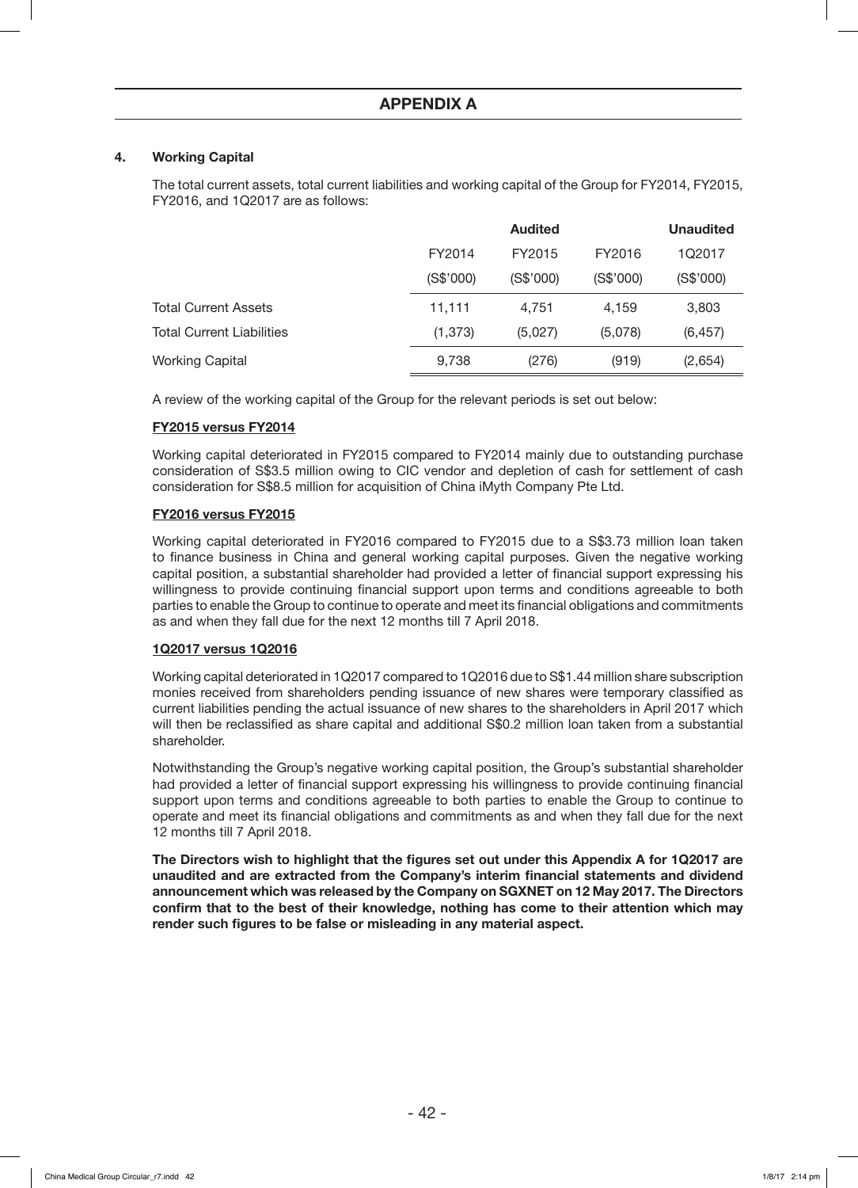### 4. Working Capital

The total current assets, total current liabilities and working capital of the Group for FY2014, FY2015, FY2016, and 1Q2017 are as follows:

|                                  |           | <b>Audited</b> |           | <b>Unaudited</b> |
|----------------------------------|-----------|----------------|-----------|------------------|
|                                  | FY2014    | FY2015         | FY2016    | 1Q2017           |
|                                  | (S\$'000) | (S\$'000)      | (S\$'000) | (S\$'000)        |
| <b>Total Current Assets</b>      | 11,111    | 4.751          | 4.159     | 3,803            |
| <b>Total Current Liabilities</b> | (1, 373)  | (5,027)        | (5,078)   | (6, 457)         |
| <b>Working Capital</b>           | 9,738     | (276)          | (919)     | (2,654)          |

A review of the working capital of the Group for the relevant periods is set out below:

#### FY2015 versus FY2014

Working capital deteriorated in FY2015 compared to FY2014 mainly due to outstanding purchase consideration of S\$3.5 million owing to CIC vendor and depletion of cash for settlement of cash consideration for S\$8.5 million for acquisition of China iMyth Company Pte Ltd.

#### FY2016 versus FY2015

Working capital deteriorated in FY2016 compared to FY2015 due to a S\$3.73 million loan taken to finance business in China and general working capital purposes. Given the negative working capital position, a substantial shareholder had provided a letter of financial support expressing his willingness to provide continuing financial support upon terms and conditions agreeable to both parties to enable the Group to continue to operate and meet its financial obligations and commitments as and when they fall due for the next 12 months till 7 April 2018.

#### 1Q2017 versus 1Q2016

Working capital deteriorated in 1Q2017 compared to 1Q2016 due to S\$1.44 million share subscription monies received from shareholders pending issuance of new shares were temporary classified as current liabilities pending the actual issuance of new shares to the shareholders in April 2017 which will then be reclassified as share capital and additional S\$0.2 million loan taken from a substantial shareholder.

Notwithstanding the Group's negative working capital position, the Group's substantial shareholder had provided a letter of financial support expressing his willingness to provide continuing financial support upon terms and conditions agreeable to both parties to enable the Group to continue to operate and meet its financial obligations and commitments as and when they fall due for the next 12 months till 7 April 2018.

The Directors wish to highlight that the figures set out under this Appendix A for 1Q2017 are unaudited and are extracted from the Company's interim financial statements and dividend announcement which was released by the Company on SGXNET on 12 May 2017. The Directors confirm that to the best of their knowledge, nothing has come to their attention which may render such figures to be false or misleading in any material aspect.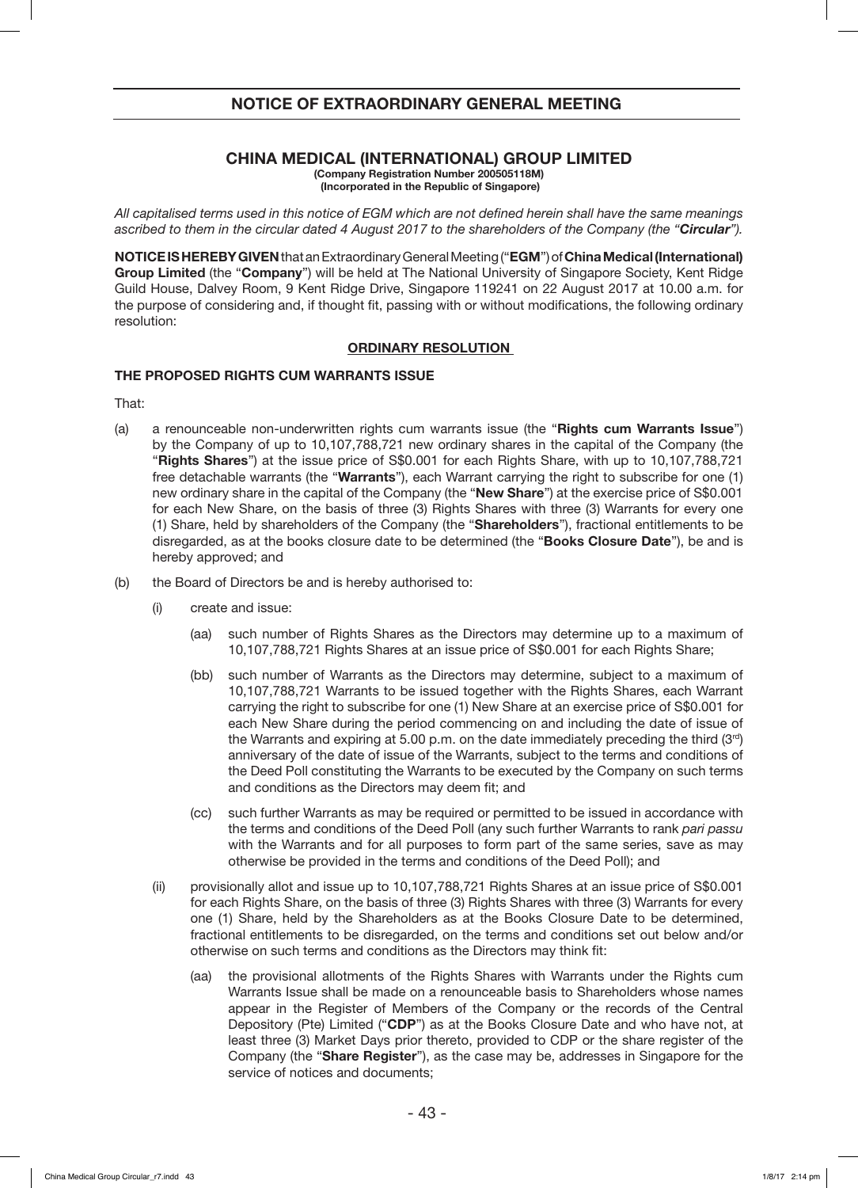#### CHINA MEDICAL (INTERNATIONAL) GROUP LIMITED

(Company Registration Number 200505118M) (Incorporated in the Republic of Singapore)

*All capitalised terms used in this notice of EGM which are not defined herein shall have the same meanings ascribed to them in the circular dated 4 August 2017 to the shareholders of the Company (the "Circular").*

NOTICE IS HEREBY GIVEN that an Extraordinary General Meeting ("EGM") of China Medical (International) Group Limited (the "Company") will be held at The National University of Singapore Society, Kent Ridge Guild House, Dalvey Room, 9 Kent Ridge Drive, Singapore 119241 on 22 August 2017 at 10.00 a.m. for the purpose of considering and, if thought fit, passing with or without modifications, the following ordinary resolution:

#### ORDINARY RESOLUTION

#### THE PROPOSED RIGHTS CUM WARRANTS ISSUE

That:

- (a) a renounceable non-underwritten rights cum warrants issue (the "Rights cum Warrants Issue") by the Company of up to 10,107,788,721 new ordinary shares in the capital of the Company (the "Rights Shares") at the issue price of S\$0.001 for each Rights Share, with up to 10,107,788,721 free detachable warrants (the "Warrants"), each Warrant carrying the right to subscribe for one (1) new ordinary share in the capital of the Company (the "New Share") at the exercise price of S\$0.001 for each New Share, on the basis of three (3) Rights Shares with three (3) Warrants for every one (1) Share, held by shareholders of the Company (the "Shareholders"), fractional entitlements to be disregarded, as at the books closure date to be determined (the "**Books Closure Date**"), be and is hereby approved; and
- (b) the Board of Directors be and is hereby authorised to:
	- (i) create and issue:
		- (aa) such number of Rights Shares as the Directors may determine up to a maximum of 10,107,788,721 Rights Shares at an issue price of S\$0.001 for each Rights Share;
		- (bb) such number of Warrants as the Directors may determine, subject to a maximum of 10,107,788,721 Warrants to be issued together with the Rights Shares, each Warrant carrying the right to subscribe for one (1) New Share at an exercise price of S\$0.001 for each New Share during the period commencing on and including the date of issue of the Warrants and expiring at 5.00 p.m. on the date immediately preceding the third  $(3<sup>rd</sup>)$ anniversary of the date of issue of the Warrants, subject to the terms and conditions of the Deed Poll constituting the Warrants to be executed by the Company on such terms and conditions as the Directors may deem fit; and
		- (cc) such further Warrants as may be required or permitted to be issued in accordance with the terms and conditions of the Deed Poll (any such further Warrants to rank *pari passu* with the Warrants and for all purposes to form part of the same series, save as may otherwise be provided in the terms and conditions of the Deed Poll); and
	- (ii) provisionally allot and issue up to 10,107,788,721 Rights Shares at an issue price of S\$0.001 for each Rights Share, on the basis of three (3) Rights Shares with three (3) Warrants for every one (1) Share, held by the Shareholders as at the Books Closure Date to be determined, fractional entitlements to be disregarded, on the terms and conditions set out below and/or otherwise on such terms and conditions as the Directors may think fit:
		- (aa) the provisional allotments of the Rights Shares with Warrants under the Rights cum Warrants Issue shall be made on a renounceable basis to Shareholders whose names appear in the Register of Members of the Company or the records of the Central Depository (Pte) Limited ("CDP") as at the Books Closure Date and who have not, at least three (3) Market Days prior thereto, provided to CDP or the share register of the Company (the "Share Register"), as the case may be, addresses in Singapore for the service of notices and documents;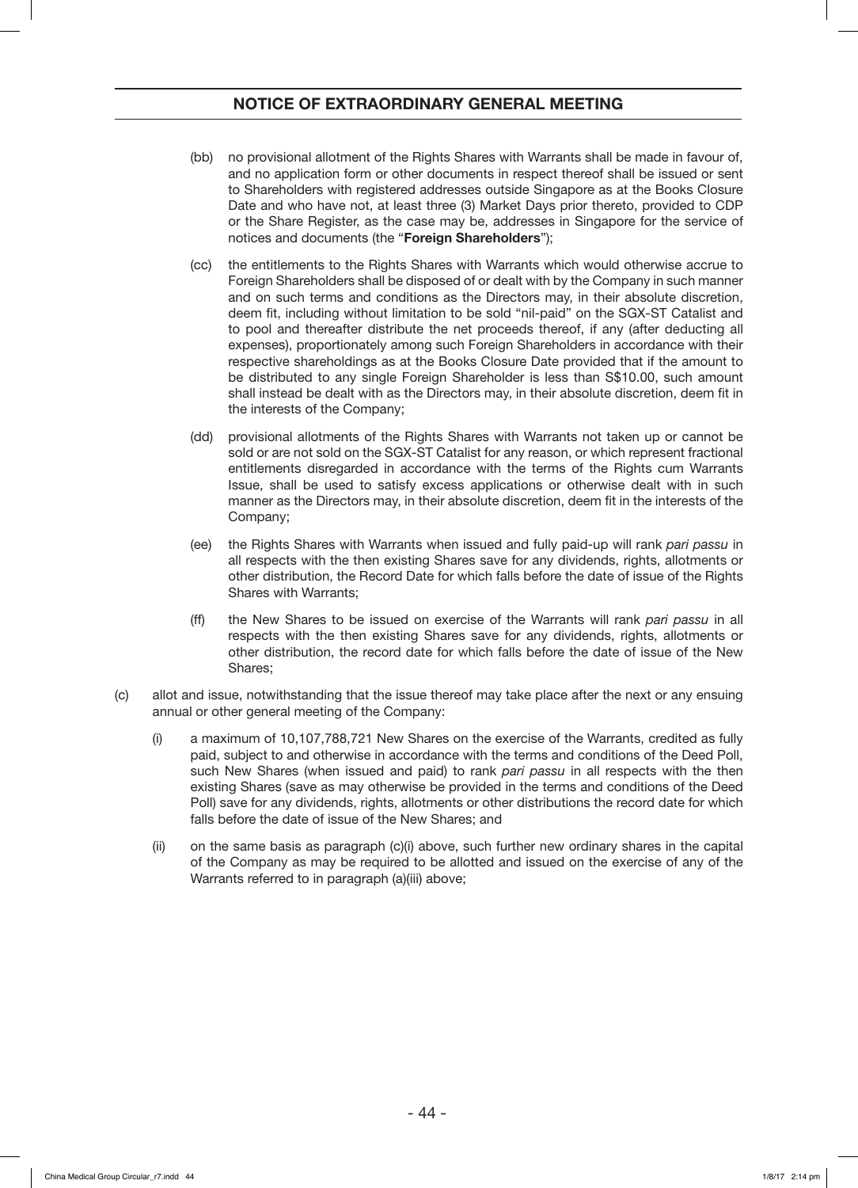## NOTICE OF EXTRAORDINARY GENERAL MEETING

- (bb) no provisional allotment of the Rights Shares with Warrants shall be made in favour of, and no application form or other documents in respect thereof shall be issued or sent to Shareholders with registered addresses outside Singapore as at the Books Closure Date and who have not, at least three (3) Market Days prior thereto, provided to CDP or the Share Register, as the case may be, addresses in Singapore for the service of notices and documents (the "Foreign Shareholders");
- (cc) the entitlements to the Rights Shares with Warrants which would otherwise accrue to Foreign Shareholders shall be disposed of or dealt with by the Company in such manner and on such terms and conditions as the Directors may, in their absolute discretion, deem fit, including without limitation to be sold "nil-paid" on the SGX-ST Catalist and to pool and thereafter distribute the net proceeds thereof, if any (after deducting all expenses), proportionately among such Foreign Shareholders in accordance with their respective shareholdings as at the Books Closure Date provided that if the amount to be distributed to any single Foreign Shareholder is less than S\$10.00, such amount shall instead be dealt with as the Directors may, in their absolute discretion, deem fit in the interests of the Company;
- (dd) provisional allotments of the Rights Shares with Warrants not taken up or cannot be sold or are not sold on the SGX-ST Catalist for any reason, or which represent fractional entitlements disregarded in accordance with the terms of the Rights cum Warrants Issue, shall be used to satisfy excess applications or otherwise dealt with in such manner as the Directors may, in their absolute discretion, deem fit in the interests of the Company;
- (ee) the Rights Shares with Warrants when issued and fully paid-up will rank *pari passu* in all respects with the then existing Shares save for any dividends, rights, allotments or other distribution, the Record Date for which falls before the date of issue of the Rights Shares with Warrants;
- (ff) the New Shares to be issued on exercise of the Warrants will rank *pari passu* in all respects with the then existing Shares save for any dividends, rights, allotments or other distribution, the record date for which falls before the date of issue of the New Shares;
- (c) allot and issue, notwithstanding that the issue thereof may take place after the next or any ensuing annual or other general meeting of the Company:
	- (i) a maximum of 10,107,788,721 New Shares on the exercise of the Warrants, credited as fully paid, subject to and otherwise in accordance with the terms and conditions of the Deed Poll, such New Shares (when issued and paid) to rank *pari passu* in all respects with the then existing Shares (save as may otherwise be provided in the terms and conditions of the Deed Poll) save for any dividends, rights, allotments or other distributions the record date for which falls before the date of issue of the New Shares; and
	- (ii) on the same basis as paragraph (c)(i) above, such further new ordinary shares in the capital of the Company as may be required to be allotted and issued on the exercise of any of the Warrants referred to in paragraph (a)(iii) above;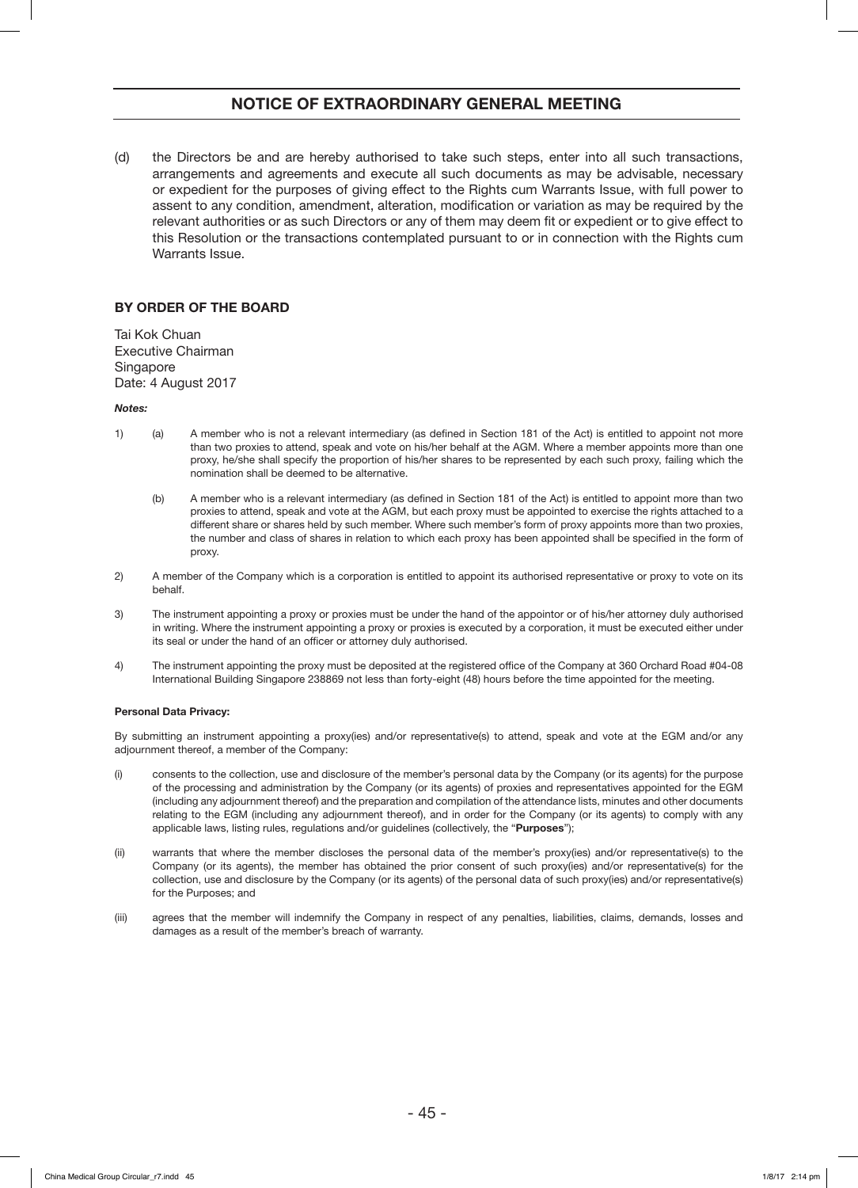## NOTICE OF EXTRAORDINARY GENERAL MEETING

(d) the Directors be and are hereby authorised to take such steps, enter into all such transactions, arrangements and agreements and execute all such documents as may be advisable, necessary or expedient for the purposes of giving effect to the Rights cum Warrants Issue, with full power to assent to any condition, amendment, alteration, modification or variation as may be required by the relevant authorities or as such Directors or any of them may deem fit or expedient or to give effect to this Resolution or the transactions contemplated pursuant to or in connection with the Rights cum Warrants Issue.

#### BY ORDER OF THE BOARD

Tai Kok Chuan Executive Chairman Singapore Date: 4 August 2017

#### *Notes:*

- 1) (a) A member who is not a relevant intermediary (as defined in Section 181 of the Act) is entitled to appoint not more than two proxies to attend, speak and vote on his/her behalf at the AGM. Where a member appoints more than one proxy, he/she shall specify the proportion of his/her shares to be represented by each such proxy, failing which the nomination shall be deemed to be alternative.
	- (b) A member who is a relevant intermediary (as defined in Section 181 of the Act) is entitled to appoint more than two proxies to attend, speak and vote at the AGM, but each proxy must be appointed to exercise the rights attached to a different share or shares held by such member. Where such member's form of proxy appoints more than two proxies, the number and class of shares in relation to which each proxy has been appointed shall be specified in the form of proxy.
- 2) A member of the Company which is a corporation is entitled to appoint its authorised representative or proxy to vote on its behalf.
- 3) The instrument appointing a proxy or proxies must be under the hand of the appointor or of his/her attorney duly authorised in writing. Where the instrument appointing a proxy or proxies is executed by a corporation, it must be executed either under its seal or under the hand of an officer or attorney duly authorised.
- 4) The instrument appointing the proxy must be deposited at the registered office of the Company at 360 Orchard Road #04-08 International Building Singapore 238869 not less than forty-eight (48) hours before the time appointed for the meeting.

#### Personal Data Privacy:

By submitting an instrument appointing a proxy(ies) and/or representative(s) to attend, speak and vote at the EGM and/or any adjournment thereof, a member of the Company:

- (i) consents to the collection, use and disclosure of the member's personal data by the Company (or its agents) for the purpose of the processing and administration by the Company (or its agents) of proxies and representatives appointed for the EGM (including any adjournment thereof) and the preparation and compilation of the attendance lists, minutes and other documents relating to the EGM (including any adjournment thereof), and in order for the Company (or its agents) to comply with any applicable laws, listing rules, regulations and/or guidelines (collectively, the "Purposes");
- (ii) warrants that where the member discloses the personal data of the member's proxy(ies) and/or representative(s) to the Company (or its agents), the member has obtained the prior consent of such proxy(ies) and/or representative(s) for the collection, use and disclosure by the Company (or its agents) of the personal data of such proxy(ies) and/or representative(s) for the Purposes; and
- (iii) agrees that the member will indemnify the Company in respect of any penalties, liabilities, claims, demands, losses and damages as a result of the member's breach of warranty.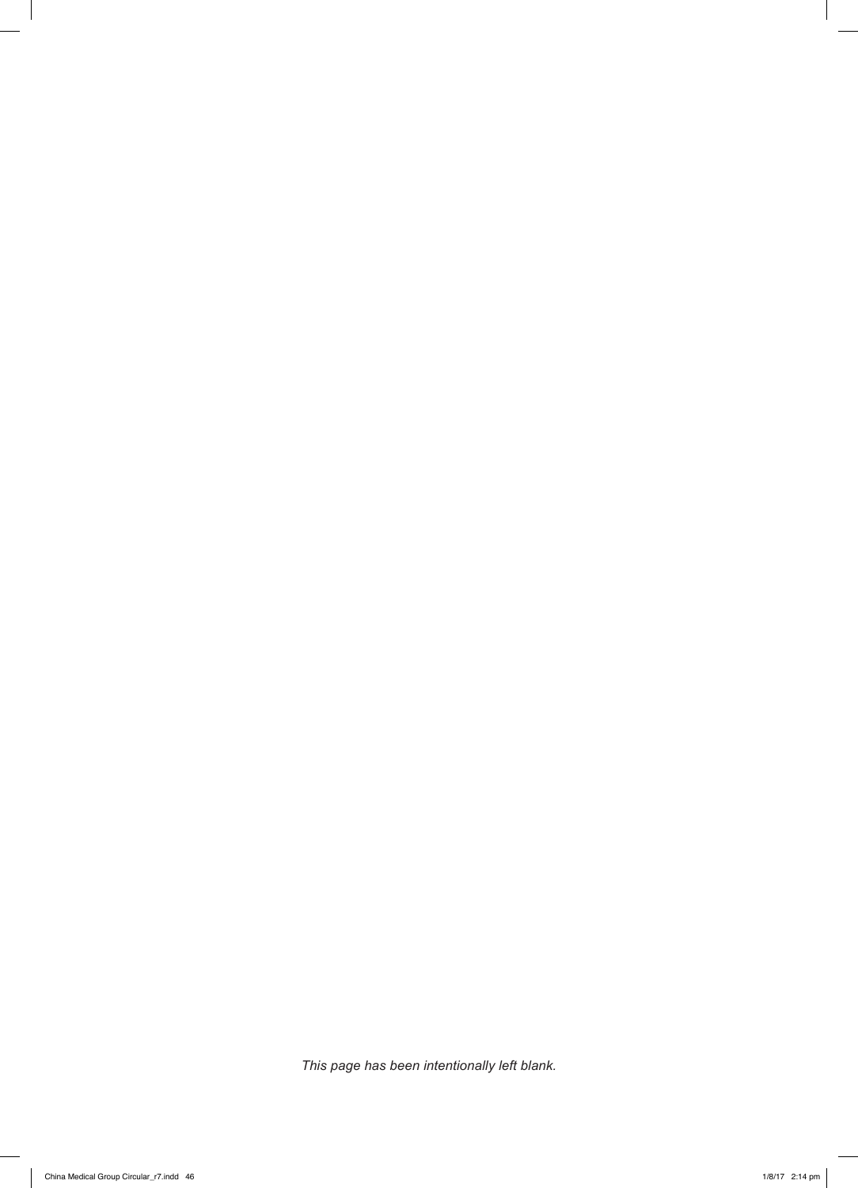*This page has been intentionally left blank.*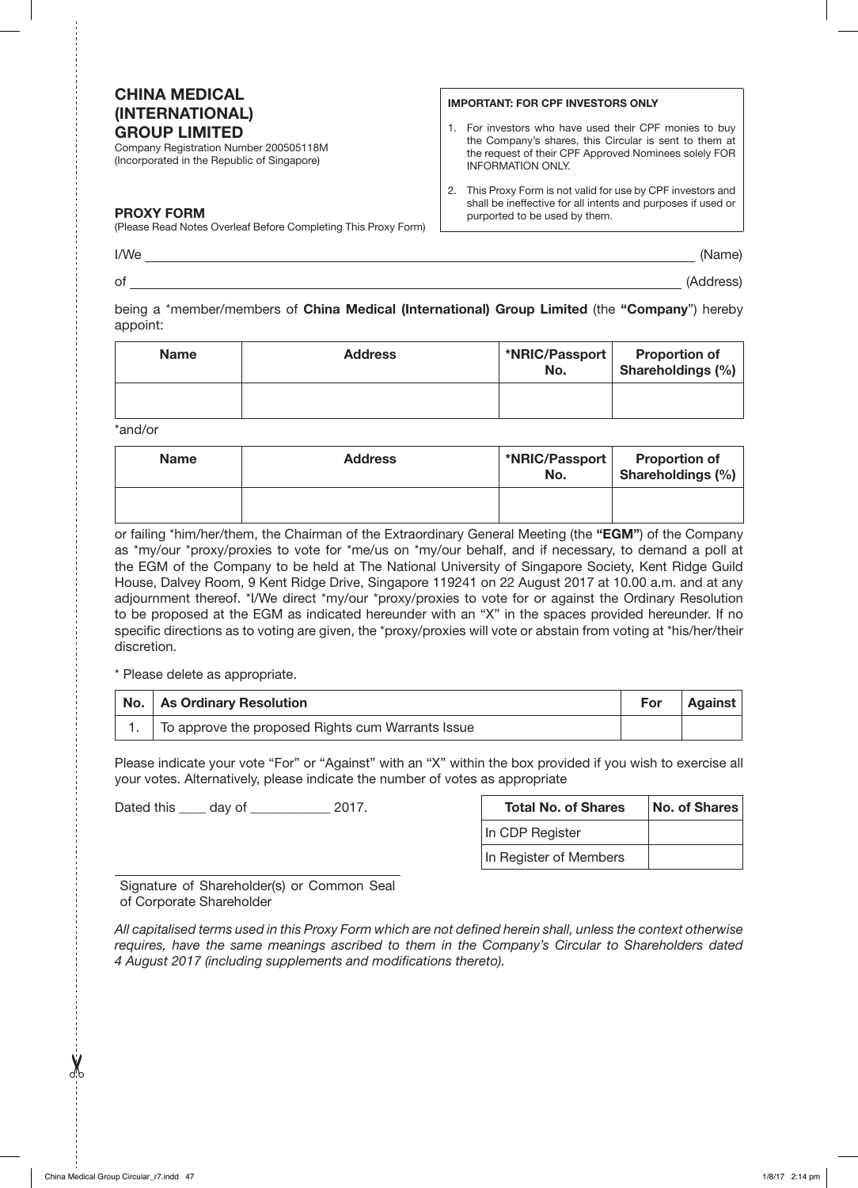## CHINA MEDICAL (INTERNATIONAL) GROUP LIMITED

Company Registration Number 200505118M (Incorporated in the Republic of Singapore)

#### PROXY FORM

(Please Read Notes Overleaf Before Completing This Proxy Form)

#### IMPORTANT: FOR CPF INVESTORS ONLY

- 1. For investors who have used their CPF monies to buy the Company's shares, this Circular is sent to them at the request of their CPF Approved Nominees solely FOR INFORMATION ONLY.
- 2. This Proxy Form is not valid for use by CPF investors and shall be ineffective for all intents and purposes if used or purported to be used by them.

I/We (Name)

of (Address)

being a \*member/members of China Medical (International) Group Limited (the "Company") hereby appoint:

| <b>Name</b> | <b>Address</b> | *NRIC/Passport<br>No. | <b>Proportion of</b><br>Shareholdings (%) |
|-------------|----------------|-----------------------|-------------------------------------------|
|             |                |                       |                                           |

\*and/or

✂

| <b>Name</b> | <b>Address</b> | *NRIC/Passport<br>No. | <b>Proportion of</b><br>Shareholdings (%) |
|-------------|----------------|-----------------------|-------------------------------------------|
|             |                |                       |                                           |

or failing \*him/her/them, the Chairman of the Extraordinary General Meeting (the "EGM") of the Company as \*my/our \*proxy/proxies to vote for \*me/us on \*my/our behalf, and if necessary, to demand a poll at the EGM of the Company to be held at The National University of Singapore Society, Kent Ridge Guild House, Dalvey Room, 9 Kent Ridge Drive, Singapore 119241 on 22 August 2017 at 10.00 a.m. and at any adjournment thereof. \*I/We direct \*my/our \*proxy/proxies to vote for or against the Ordinary Resolution to be proposed at the EGM as indicated hereunder with an "X" in the spaces provided hereunder. If no specific directions as to voting are given, the \*proxy/proxies will vote or abstain from voting at \*his/her/their discretion.

\* Please delete as appropriate.

| No.   As Ordinary Resolution                      | For | ∣ Against ∣ |
|---------------------------------------------------|-----|-------------|
| To approve the proposed Rights cum Warrants Issue |     |             |

Please indicate your vote "For" or "Against" with an "X" within the box provided if you wish to exercise all your votes. Alternatively, please indicate the number of votes as appropriate

Dated this \_\_\_\_ day of \_\_\_\_\_\_\_\_\_\_\_ 2017.

| <b>Total No. of Shares</b> | No. of Shares |
|----------------------------|---------------|
| In CDP Register            |               |
| In Register of Members     |               |

Signature of Shareholder(s) or Common Seal of Corporate Shareholder

*All capitalised terms used in this Proxy Form which are not defined herein shall, unless the context otherwise requires, have the same meanings ascribed to them in the Company's Circular to Shareholders dated 4 August 2017 (including supplements and modifications thereto).*